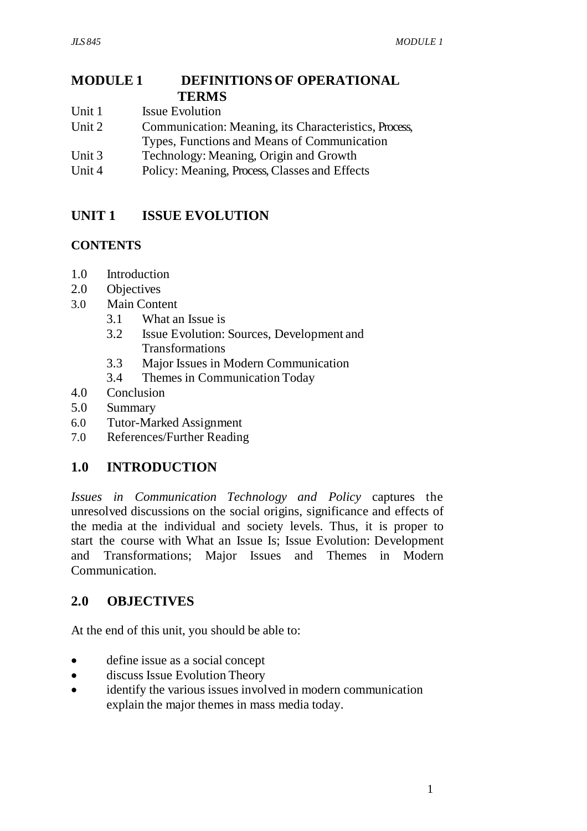#### **MODULE 1 DEFINITIONS OF OPERATIONAL TERMS**

- Unit 1 **Issue Evolution**
- Unit 2 Communication: Meaning, its Characteristics, Process, Types, Functions and Means of Communication
- Unit 3 Technology: Meaning, Origin and Growth
- Unit 4 Policy: Meaning, Process, Classes and Effects

# **UNIT 1 ISSUE EVOLUTION**

# **CONTENTS**

- 1.0 Introduction
- 2.0 Objectives
- 3.0 Main Content
	- 3.1 What an Issue is
	- 3.2 Issue Evolution: Sources, Development and Transformations
	- 3.3 Major Issues in Modern Communication
	- 3.4 Themes in Communication Today
- 4.0 Conclusion
- 5.0 Summary
- 6.0 Tutor-Marked Assignment
- 7.0 References/Further Reading

# **1.0 INTRODUCTION**

*Issues in Communication Technology and Policy* captures the unresolved discussions on the social origins, significance and effects of the media at the individual and society levels. Thus, it is proper to start the course with What an Issue Is; Issue Evolution: Development and Transformations; Major Issues and Themes in Modern Communication.

# **2.0 OBJECTIVES**

At the end of this unit, you should be able to:

- define issue as a social concept
- discuss Issue Evolution Theory
- identify the various issues involved in modern communication explain the major themes in mass media today.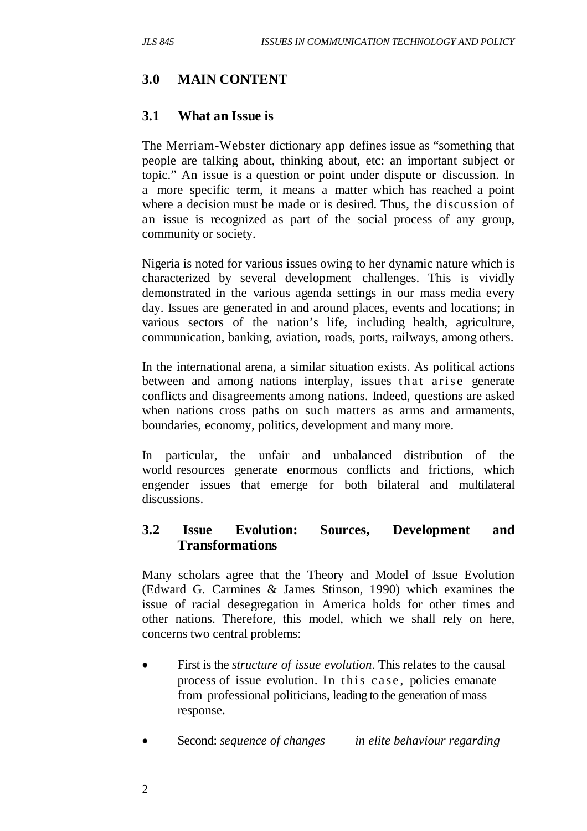# **3.0 MAIN CONTENT**

#### **3.1 What an Issue is**

The Merriam-Webster dictionary app defines issue as "something that people are talking about, thinking about, etc: an important subject or topic." An issue is a question or point under dispute or discussion. In a more specific term, it means a matter which has reached a point where a decision must be made or is desired. Thus, the discussion of an issue is recognized as part of the social process of any group, community or society.

Nigeria is noted for various issues owing to her dynamic nature which is characterized by several development challenges. This is vividly demonstrated in the various agenda settings in our mass media every day. Issues are generated in and around places, events and locations; in various sectors of the nation's life, including health, agriculture, communication, banking, aviation, roads, ports, railways, among others.

In the international arena, a similar situation exists. As political actions between and among nations interplay, issues that arise generate conflicts and disagreements among nations. Indeed, questions are asked when nations cross paths on such matters as arms and armaments, boundaries, economy, politics, development and many more.

In particular, the unfair and unbalanced distribution of the world resources generate enormous conflicts and frictions, which engender issues that emerge for both bilateral and multilateral discussions.

### **3.2 Issue Evolution: Sources, Development and Transformations**

Many scholars agree that the Theory and Model of Issue Evolution (Edward G. Carmines & James Stinson, 1990) which examines the issue of racial desegregation in America holds for other times and other nations. Therefore, this model, which we shall rely on here, concerns two central problems:

- First is the *structure of issue evolution*. This relates to the causal process of issue evolution. In this case, policies emanate from professional politicians, leading to the generation of mass response.
- Second: *sequence of changes in elite behaviour regarding*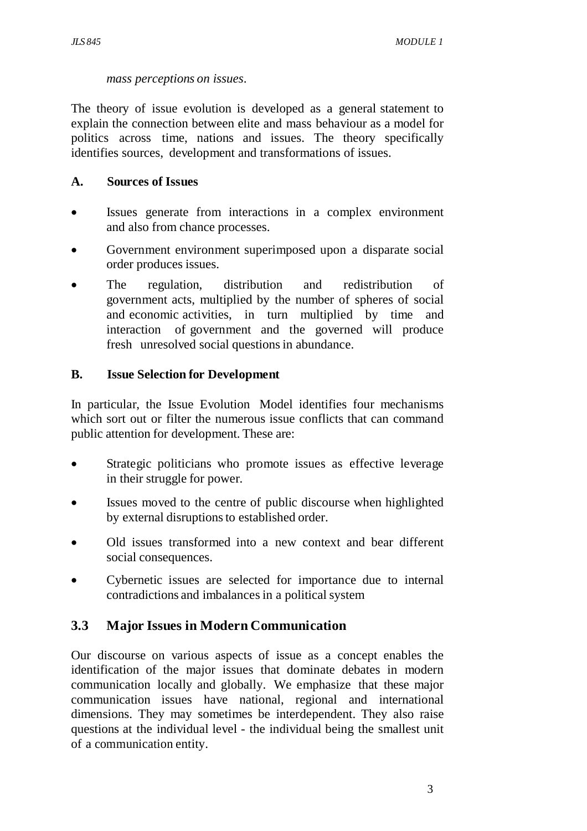#### *mass perceptions on issues*.

The theory of issue evolution is developed as a general statement to explain the connection between elite and mass behaviour as a model for politics across time, nations and issues. The theory specifically identifies sources, development and transformations of issues.

#### **A. Sources of Issues**

- Issues generate from interactions in a complex environment and also from chance processes.
- Government environment superimposed upon a disparate social order produces issues.
- The regulation, distribution and redistribution of government acts, multiplied by the number of spheres of social and economic activities, in turn multiplied by time and interaction of government and the governed will produce fresh unresolved social questions in abundance.

#### **B. Issue Selection for Development**

In particular, the Issue Evolution Model identifies four mechanisms which sort out or filter the numerous issue conflicts that can command public attention for development. These are:

- Strategic politicians who promote issues as effective leverage in their struggle for power.
- Issues moved to the centre of public discourse when highlighted by external disruptions to established order.
- Old issues transformed into a new context and bear different social consequences.
- Cybernetic issues are selected for importance due to internal contradictions and imbalances in a political system

### **3.3 Major Issues in Modern Communication**

Our discourse on various aspects of issue as a concept enables the identification of the major issues that dominate debates in modern communication locally and globally. We emphasize that these major communication issues have national, regional and international dimensions. They may sometimes be interdependent. They also raise questions at the individual level - the individual being the smallest unit of a communication entity.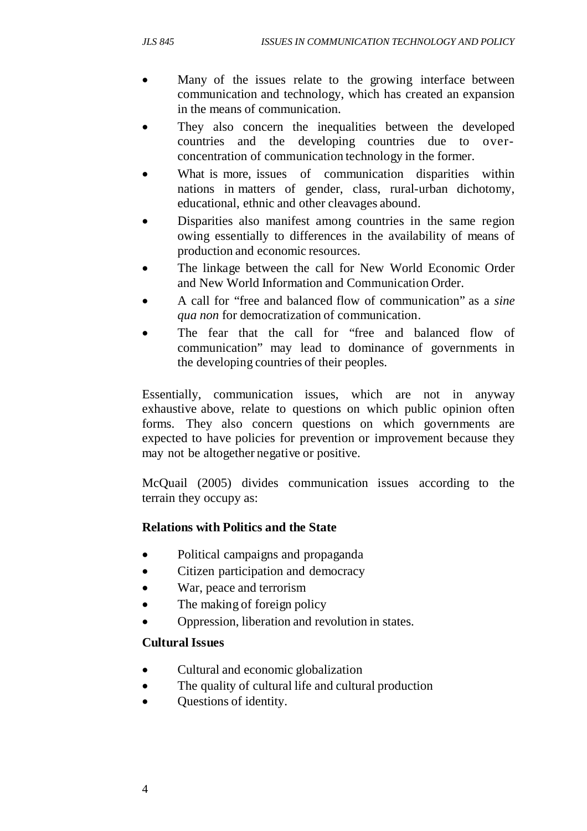- Many of the issues relate to the growing interface between communication and technology, which has created an expansion in the means of communication.
- They also concern the inequalities between the developed countries and the developing countries due to over concentration of communication technology in the former.
- What is more, issues of communication disparities within nations in matters of gender, class, rural-urban dichotomy, educational, ethnic and other cleavages abound.
- Disparities also manifest among countries in the same region owing essentially to differences in the availability of means of production and economic resources.
- The linkage between the call for New World Economic Order and New World Information and Communication Order.
- A call for "free and balanced flow of communication" as a *sine qua non* for democratization of communication.
- The fear that the call for "free and balanced flow of communication" may lead to dominance of governments in the developing countries of their peoples.

Essentially, communication issues, which are not in anyway exhaustive above, relate to questions on which public opinion often forms. They also concern questions on which governments are expected to have policies for prevention or improvement because they may not be altogether negative or positive.

McQuail (2005) divides communication issues according to the terrain they occupy as:

### **Relations with Politics and the State**

- Political campaigns and propaganda
- Citizen participation and democracy
- War, peace and terrorism
- The making of foreign policy
- Oppression, liberation and revolution in states.

### **Cultural Issues**

- Cultural and economic globalization
- The quality of cultural life and cultural production
- Questions of identity.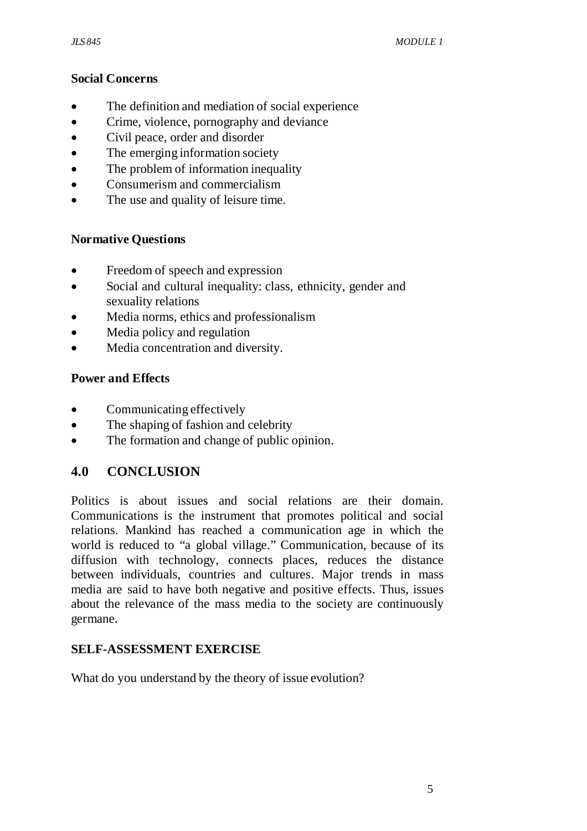#### **Social Concerns**

- The definition and mediation of social experience
- Crime, violence, pornography and deviance
- Civil peace, order and disorder
- The emerging information society
- The problem of information inequality
- Consumerism and commercialism
- The use and quality of leisure time.

## **Normative Questions**

- Freedom of speech and expression
- Social and cultural inequality: class, ethnicity, gender and sexuality relations
- Media norms, ethics and professionalism
- Media policy and regulation
- Media concentration and diversity.

## **Power and Effects**

- Communicating effectively
- The shaping of fashion and celebrity
- The formation and change of public opinion.

# **4.0 CONCLUSION**

Politics is about issues and social relations are their domain. Communications is the instrument that promotes political and social relations. Mankind has reached a communication age in which the world is reduced to "a global village." Communication, because of its diffusion with technology, connects places, reduces the distance between individuals, countries and cultures. Major trends in mass media are said to have both negative and positive effects. Thus, issues about the relevance of the mass media to the society are continuously germane.

### **SELF-ASSESSMENT EXERCISE**

What do you understand by the theory of issue evolution?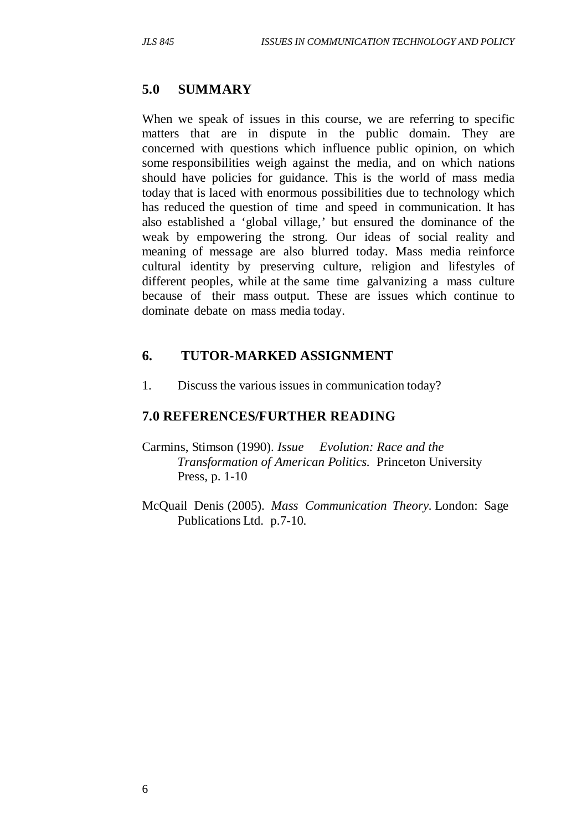## **5.0 SUMMARY**

When we speak of issues in this course, we are referring to specific matters that are in dispute in the public domain. They are concerned with questions which influence public opinion, on which some responsibilities weigh against the media, and on which nations should have policies for guidance. This is the world of mass media today that is laced with enormous possibilities due to technology which has reduced the question of time and speed in communication. It has also established a 'global village,' but ensured the dominance of the weak by empowering the strong. Our ideas of social reality and meaning of message are also blurred today. Mass media reinforce cultural identity by preserving culture, religion and lifestyles of different peoples, while at the same time galvanizing a mass culture because of their mass output. These are issues which continue to dominate debate on mass media today.

## **6. TUTOR-MARKED ASSIGNMENT**

1. Discuss the various issues in communication today?

# **7.0 REFERENCES/FURTHER READING**

- Carmins, Stimson (1990). *Issue Evolution: Race and the Transformation of American Politics.* Princeton University Press, p. 1-10
- McQuail Denis (2005). *Mass Communication Theory.* London: Sage Publications Ltd. p.7-10.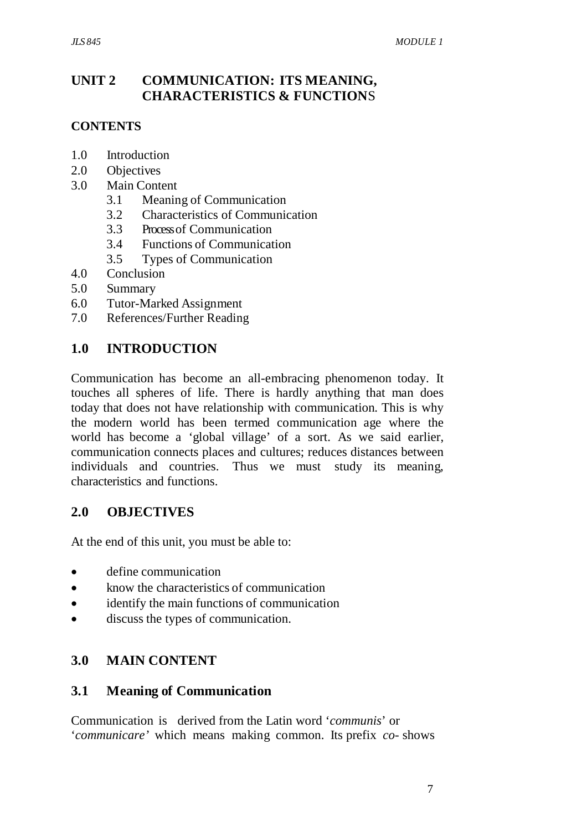## **UNIT 2 COMMUNICATION: ITS MEANING, CHARACTERISTICS & FUNCTION**S

#### **CONTENTS**

- 1.0 Introduction
- 2.0 Objectives
- 3.0 Main Content
	- 3.1 Meaning of Communication
	- 3.2 Characteristics of Communication
	- 3.3 Process of Communication
	- 3.4 Functions of Communication
	- 3.5 Types of Communication
- 4.0 Conclusion
- 5.0 Summary
- 6.0 Tutor-Marked Assignment
- 7.0 References/Further Reading

## **1.0 INTRODUCTION**

Communication has become an all-embracing phenomenon today. It touches all spheres of life. There is hardly anything that man does today that does not have relationship with communication. This is why the modern world has been termed communication age where the world has become a 'global village' of a sort. As we said earlier, communication connects places and cultures; reduces distances between individuals and countries. Thus we must study its meaning, characteristics and functions.

### **2.0 OBJECTIVES**

At the end of this unit, you must be able to:

- define communication
- know the characteristics of communication
- identify the main functions of communication
- discuss the types of communication.

# **3.0 MAIN CONTENT**

### **3.1 Meaning of Communication**

Communication is derived from the Latin word '*communis*' or '*communicare'* which means making common. Its prefix *co*- shows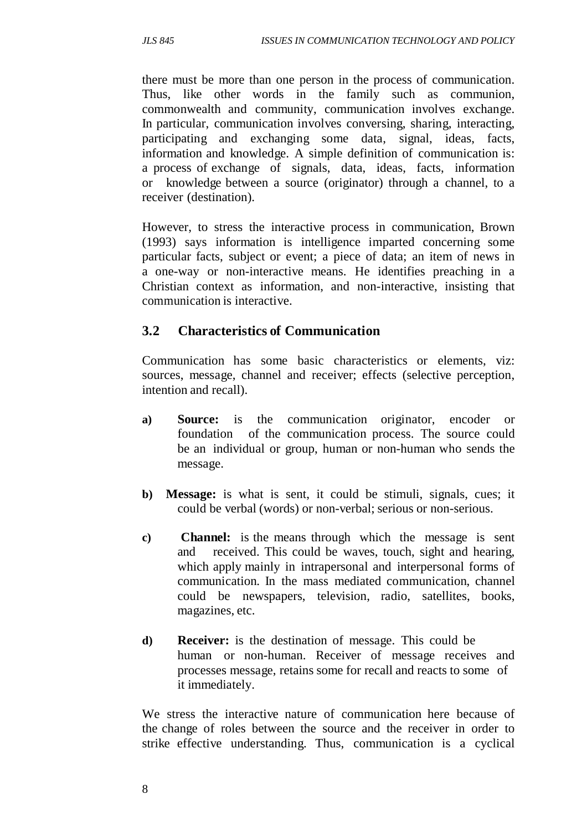there must be more than one person in the process of communication. Thus, like other words in the family such as communion, commonwealth and community, communication involves exchange. In particular, communication involves conversing, sharing, interacting, participating and exchanging some data, signal, ideas, facts, information and knowledge. A simple definition of communication is: a process of exchange of signals, data, ideas, facts, information or knowledge between a source (originator) through a channel, to a receiver (destination).

However, to stress the interactive process in communication, Brown (1993) says information is intelligence imparted concerning some particular facts, subject or event; a piece of data; an item of news in a one-way or non-interactive means. He identifies preaching in a Christian context as information, and non-interactive, insisting that communication is interactive.

#### **3.2 Characteristics of Communication**

Communication has some basic characteristics or elements, viz: sources, message, channel and receiver; effects (selective perception, intention and recall).

- **a) Source:** is the communication originator, encoder or foundation of the communication process. The source could be an individual or group, human or non-human who sends the message.
- **b) Message:** is what is sent, it could be stimuli, signals, cues; it could be verbal (words) or non-verbal; serious or non-serious.
- **c) Channel:** is the means through which the message is sent and received. This could be waves, touch, sight and hearing, which apply mainly in intrapersonal and interpersonal forms of communication. In the mass mediated communication, channel could be newspapers, television, radio, satellites, books, magazines, etc.
- **d) Receiver:** is the destination of message. This could be human or non-human. Receiver of message receives and processes message, retains some for recall and reacts to some of it immediately.

We stress the interactive nature of communication here because of the change of roles between the source and the receiver in order to strike effective understanding. Thus, communication is a cyclical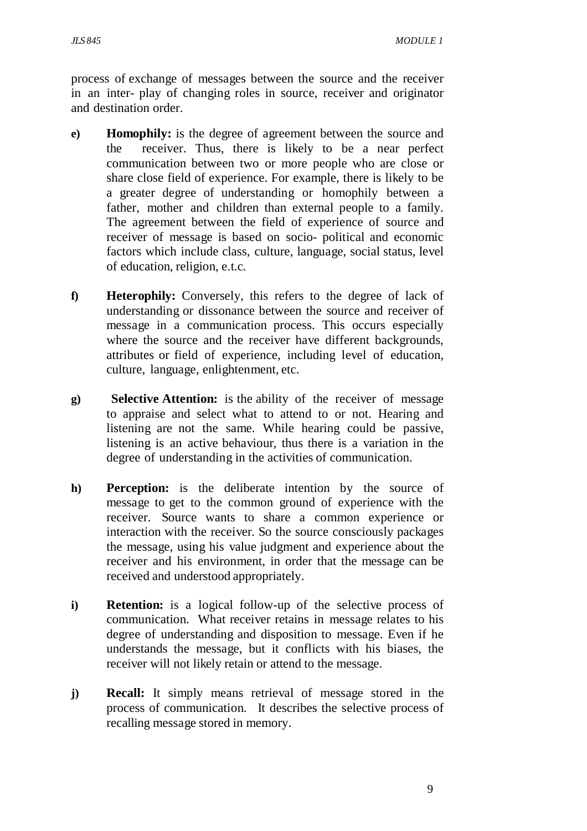process of exchange of messages between the source and the receiver in an inter- play of changing roles in source, receiver and originator and destination order.

- **e) Homophily:** is the degree of agreement between the source and the receiver. Thus, there is likely to be a near perfect communication between two or more people who are close or share close field of experience. For example, there is likely to be a greater degree of understanding or homophily between a father, mother and children than external people to a family. The agreement between the field of experience of source and receiver of message is based on socio- political and economic factors which include class, culture, language, social status, level of education, religion, e.t.c.
- **f) Heterophily:** Conversely, this refers to the degree of lack of understanding or dissonance between the source and receiver of message in a communication process. This occurs especially where the source and the receiver have different backgrounds, attributes or field of experience, including level of education, culture, language, enlightenment, etc.
- **g) Selective Attention:** is the ability of the receiver of message to appraise and select what to attend to or not. Hearing and listening are not the same. While hearing could be passive, listening is an active behaviour, thus there is a variation in the degree of understanding in the activities of communication.
- **h) Perception:** is the deliberate intention by the source of message to get to the common ground of experience with the receiver. Source wants to share a common experience or interaction with the receiver. So the source consciously packages the message, using his value judgment and experience about the receiver and his environment, in order that the message can be received and understood appropriately.
- **i) Retention:** is a logical follow-up of the selective process of communication. What receiver retains in message relates to his degree of understanding and disposition to message. Even if he understands the message, but it conflicts with his biases, the receiver will not likely retain or attend to the message.
- **j) Recall:** It simply means retrieval of message stored in the process of communication. It describes the selective process of recalling message stored in memory.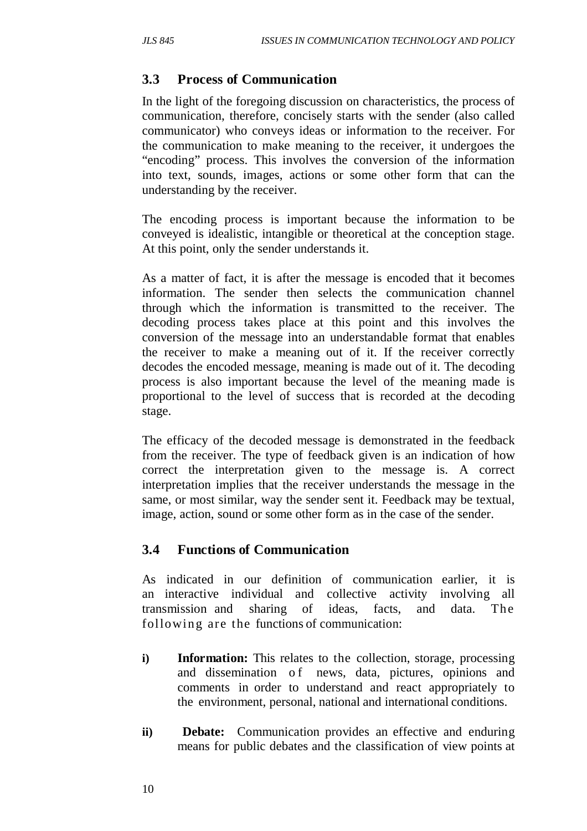## **3.3 Process of Communication**

In the light of the foregoing discussion on characteristics, the process of communication, therefore, concisely starts with the sender (also called communicator) who conveys ideas or information to the receiver. For the communication to make meaning to the receiver, it undergoes the "encoding" process. This involves the conversion of the information into text, sounds, images, actions or some other form that can the understanding by the receiver.

The encoding process is important because the information to be conveyed is idealistic, intangible or theoretical at the conception stage. At this point, only the sender understands it.

As a matter of fact, it is after the message is encoded that it becomes information. The sender then selects the communication channel through which the information is transmitted to the receiver. The decoding process takes place at this point and this involves the conversion of the message into an understandable format that enables the receiver to make a meaning out of it. If the receiver correctly decodes the encoded message, meaning is made out of it. The decoding process is also important because the level of the meaning made is proportional to the level of success that is recorded at the decoding stage.

The efficacy of the decoded message is demonstrated in the feedback from the receiver. The type of feedback given is an indication of how correct the interpretation given to the message is. A correct interpretation implies that the receiver understands the message in the same, or most similar, way the sender sent it. Feedback may be textual, image, action, sound or some other form as in the case of the sender.

# **3.4 Functions of Communication**

As indicated in our definition of communication earlier, it is an interactive individual and collective activity involving all transmission and sharing of ideas, facts, and data. The following are the functions of communication:

- **i) Information:** This relates to the collection, storage, processing and dissemination of news, data, pictures, opinions and comments in order to understand and react appropriately to the environment, personal, national and international conditions.
- **ii**) **Debate:** Communication provides an effective and enduring means for public debates and the classification of view points at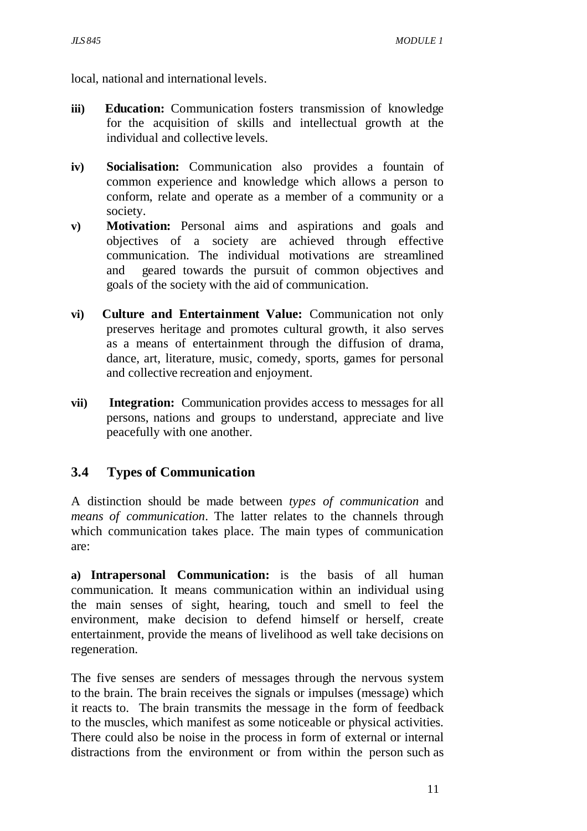local, national and international levels.

- **iii) Education:** Communication fosters transmission of knowledge for the acquisition of skills and intellectual growth at the individual and collective levels.
- **iv) Socialisation:** Communication also provides a fountain of common experience and knowledge which allows a person to conform, relate and operate as a member of a community or a society.
- **v) Motivation:** Personal aims and aspirations and goals and objectives of a society are achieved through effective communication. The individual motivations are streamlined and geared towards the pursuit of common objectives and goals of the society with the aid of communication.
- **vi) Culture and Entertainment Value:** Communication not only preserves heritage and promotes cultural growth, it also serves as a means of entertainment through the diffusion of drama, dance, art, literature, music, comedy, sports, games for personal and collective recreation and enjoyment.
- **vii) Integration:** Communication provides access to messages for all persons, nations and groups to understand, appreciate and live peacefully with one another.

# **3.4 Types of Communication**

A distinction should be made between *types of communication* and *means of communication*. The latter relates to the channels through which communication takes place. The main types of communication are:

**a) Intrapersonal Communication:** is the basis of all human communication. It means communication within an individual using the main senses of sight, hearing, touch and smell to feel the environment, make decision to defend himself or herself, create entertainment, provide the means of livelihood as well take decisions on regeneration.

The five senses are senders of messages through the nervous system to the brain. The brain receives the signals or impulses (message) which it reacts to. The brain transmits the message in the form of feedback to the muscles, which manifest as some noticeable or physical activities. There could also be noise in the process in form of external or internal distractions from the environment or from within the person such as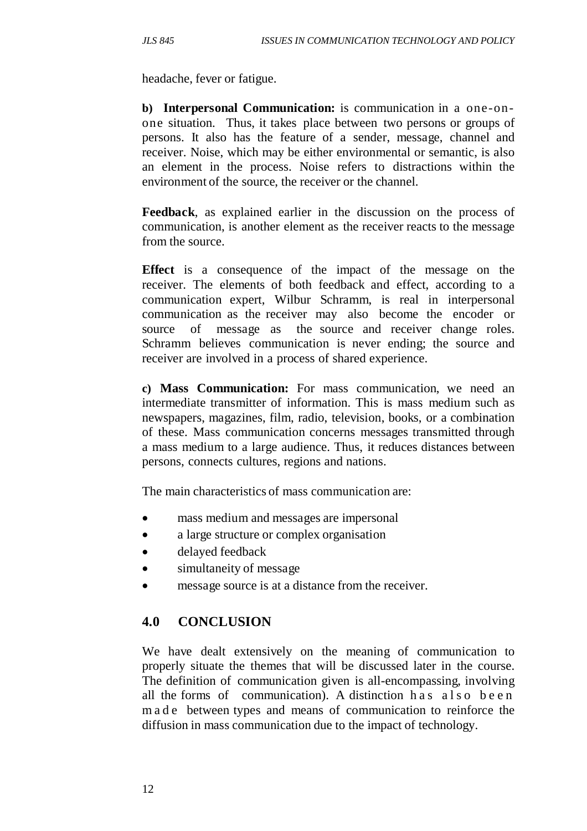headache, fever or fatigue.

**b) Interpersonal Communication:** is communication in a one-onone situation. Thus, it takes place between two persons or groups of persons. It also has the feature of a sender, message, channel and receiver. Noise, which may be either environmental or semantic, is also an element in the process. Noise refers to distractions within the environment of the source, the receiver or the channel.

**Feedback**, as explained earlier in the discussion on the process of communication, is another element as the receiver reacts to the message from the source.

**Effect** is a consequence of the impact of the message on the receiver. The elements of both feedback and effect, according to a communication expert, Wilbur Schramm, is real in interpersonal communication as the receiver may also become the encoder or source of message as the source and receiver change roles. Schramm believes communication is never ending; the source and receiver are involved in a process of shared experience.

**c) Mass Communication:** For mass communication, we need an intermediate transmitter of information. This is mass medium such as newspapers, magazines, film, radio, television, books, or a combination of these. Mass communication concerns messages transmitted through a mass medium to a large audience. Thus, it reduces distances between persons, connects cultures, regions and nations.

The main characteristics of mass communication are:

- mass medium and messages are impersonal
- a large structure or complex organisation
- delayed feedback
- simultaneity of message
- message source is at a distance from the receiver.

# **4.0 CONCLUSION**

We have dealt extensively on the meaning of communication to properly situate the themes that will be discussed later in the course. The definition of communication given is all-encompassing, involving all the forms of communication). A distinction h a s also been m a d e between types and means of communication to reinforce the diffusion in mass communication due to the impact of technology.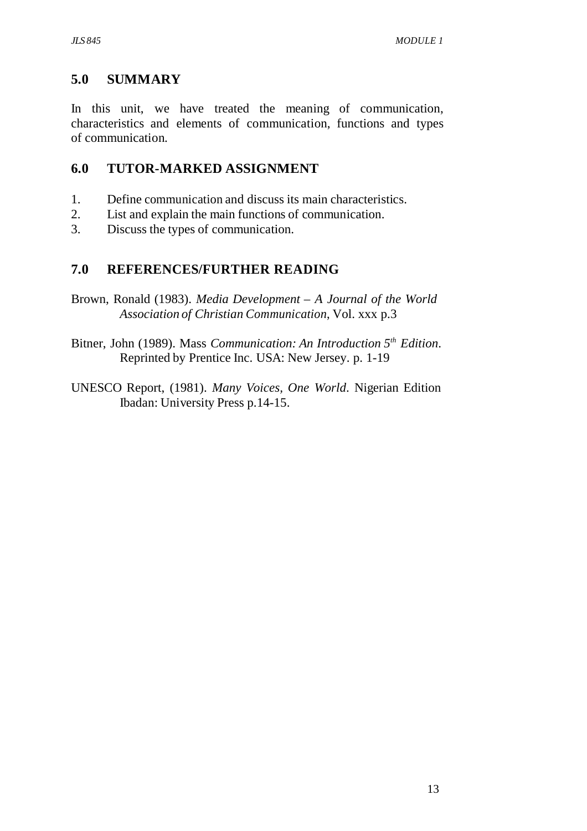## **5.0 SUMMARY**

In this unit, we have treated the meaning of communication, characteristics and elements of communication, functions and types of communication.

## **6.0 TUTOR-MARKED ASSIGNMENT**

- 1. Define communication and discuss its main characteristics.
- 2. List and explain the main functions of communication.
- 3. Discuss the types of communication.

## **7.0 REFERENCES/FURTHER READING**

- Brown, Ronald (1983). *Media Development A Journal of the World Association of Christian Communication*, Vol. xxx p.3
- Bitner, John (1989). Mass *Communication: An Introduction 5th Edition*. Reprinted by Prentice Inc. USA: New Jersey. p. 1-19
- UNESCO Report, (1981). *Many Voices, One World*. Nigerian Edition Ibadan: University Press p.14-15.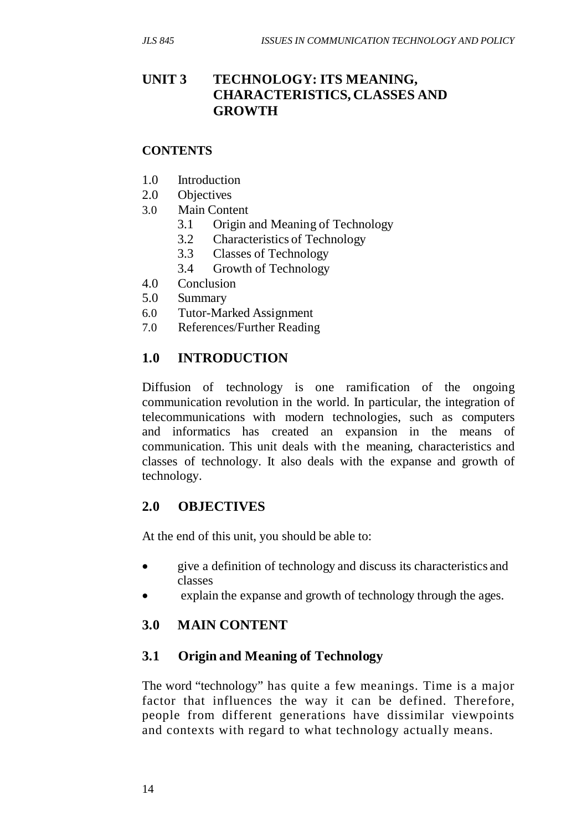## **UNIT 3 TECHNOLOGY: ITS MEANING, CHARACTERISTICS, CLASSES AND GROWTH**

#### **CONTENTS**

- 1.0 Introduction
- 2.0 Objectives
- 3.0 Main Content
	- 3.1 Origin and Meaning of Technology
	- 3.2 Characteristics of Technology
	- 3.3 Classes of Technology
	- 3.4 Growth of Technology
- 4.0 Conclusion
- 5.0 Summary
- 6.0 Tutor-Marked Assignment
- 7.0 References/Further Reading

### **1.0 INTRODUCTION**

Diffusion of technology is one ramification of the ongoing communication revolution in the world. In particular, the integration of telecommunications with modern technologies, such as computers and informatics has created an expansion in the means of communication. This unit deals with the meaning, characteristics and classes of technology. It also deals with the expanse and growth of technology.

### **2.0 OBJECTIVES**

At the end of this unit, you should be able to:

- give a definition of technology and discuss its characteristics and classes
- explain the expanse and growth of technology through the ages.

#### **3.0 MAIN CONTENT**

#### **3.1 Origin and Meaning of Technology**

The word "technology" has quite a few meanings. Time is a major factor that influences the way it can be defined. Therefore, people from different generations have dissimilar viewpoints and contexts with regard to what technology actually means.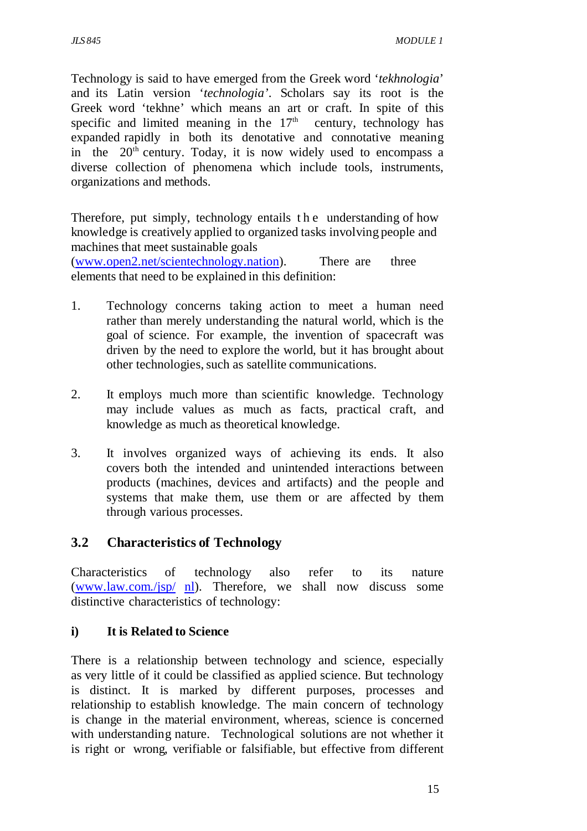Technology is said to have emerged from the Greek word '*tekhnologia*' and its Latin version '*technologia'*. Scholars say its root is the Greek word 'tekhne' which means an art or craft. In spite of this specific and limited meaning in the  $17<sup>th</sup>$  century, technology has expanded rapidly in both its denotative and connotative meaning in the  $20<sup>th</sup>$  century. Today, it is now widely used to encompass a diverse collection of phenomena which include tools, instruments, organizations and methods.

Therefore, put simply, technology entails t h e understanding of how knowledge is creatively applied to organized tasks involving people and machines that meet sustainable goals

(www.open2.net/scientechnology.nation). There are three elements that need to be explained in this definition:

- 1. Technology concerns taking action to meet a human need rather than merely understanding the natural world, which is the goal of science. For example, the invention of spacecraft was driven by the need to explore the world, but it has brought about other technologies, such as satellite communications.
- 2. It employs much more than scientific knowledge. Technology may include values as much as facts, practical craft, and knowledge as much as theoretical knowledge.
- 3. It involves organized ways of achieving its ends. It also covers both the intended and unintended interactions between products (machines, devices and artifacts) and the people and systems that make them, use them or are affected by them through various processes.

### **3.2 Characteristics of Technology**

Characteristics of technology also refer to its nature (www.law.com./jsp/ nl). Therefore, we shall now discuss some distinctive characteristics of technology:

### **i) It is Related to Science**

There is a relationship between technology and science, especially as very little of it could be classified as applied science. But technology is distinct. It is marked by different purposes, processes and relationship to establish knowledge. The main concern of technology is change in the material environment, whereas, science is concerned with understanding nature. Technological solutions are not whether it is right or wrong, verifiable or falsifiable, but effective from different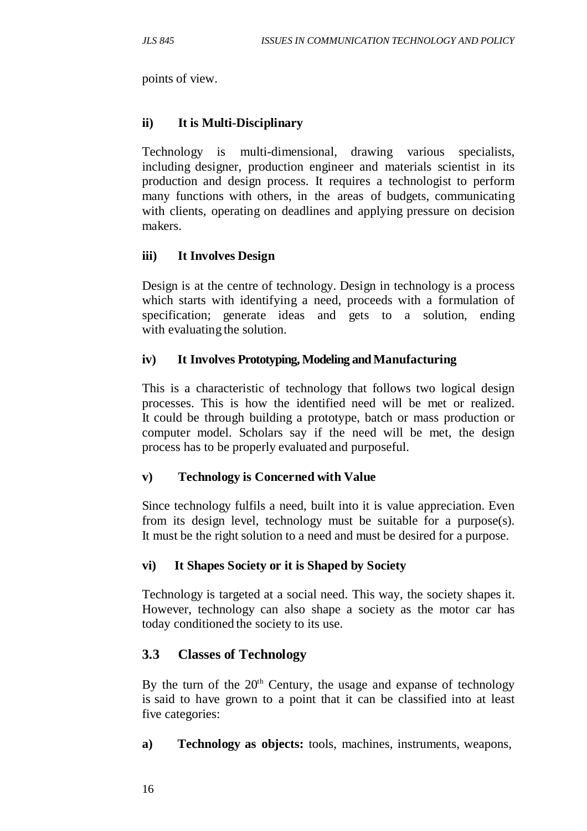points of view.

### **ii) It is Multi-Disciplinary**

Technology is multi-dimensional, drawing various specialists, including designer, production engineer and materials scientist in its production and design process. It requires a technologist to perform many functions with others, in the areas of budgets, communicating with clients, operating on deadlines and applying pressure on decision makers.

### **iii) It Involves Design**

Design is at the centre of technology. Design in technology is a process which starts with identifying a need, proceeds with a formulation of specification; generate ideas and gets to a solution, ending with evaluating the solution.

### **iv) It Involves Prototyping, Modeling and Manufacturing**

This is a characteristic of technology that follows two logical design processes. This is how the identified need will be met or realized. It could be through building a prototype, batch or mass production or computer model. Scholars say if the need will be met, the design process has to be properly evaluated and purposeful.

### **v) Technology is Concerned with Value**

Since technology fulfils a need, built into it is value appreciation. Even from its design level, technology must be suitable for a purpose(s). It must be the right solution to a need and must be desired for a purpose.

### **vi) It Shapes Society or it is Shaped by Society**

Technology is targeted at a social need. This way, the society shapes it. However, technology can also shape a society as the motor car has today conditioned the society to its use.

### **3.3 Classes of Technology**

By the turn of the  $20<sup>th</sup>$  Century, the usage and expanse of technology is said to have grown to a point that it can be classified into at least five categories:

**a) Technology as objects:** tools, machines, instruments, weapons,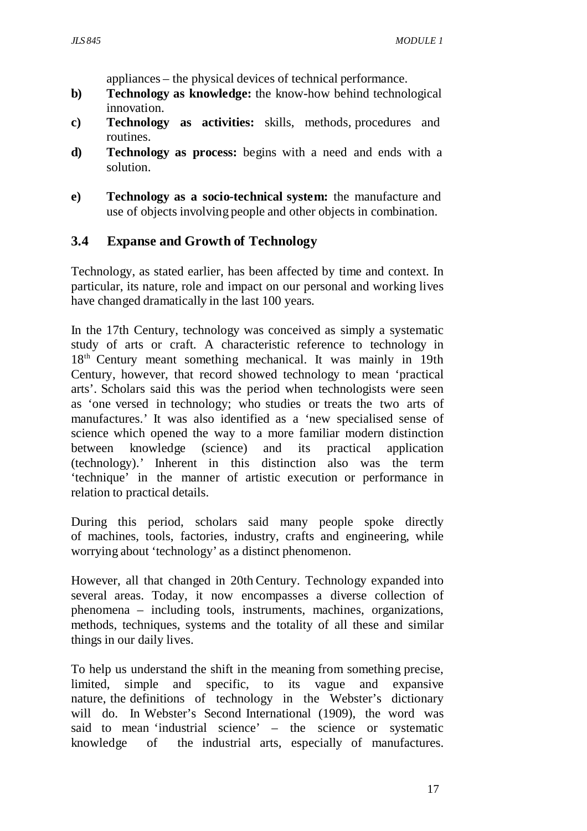appliances – the physical devices of technical performance.

- **b) Technology as knowledge:** the know-how behind technological innovation.
- **c) Technology as activities:** skills, methods, procedures and routines.
- **d) Technology as process:** begins with a need and ends with a solution.
- **e) Technology as a socio-technical system:** the manufacture and use of objects involving people and other objects in combination.

### **3.4 Expanse and Growth of Technology**

Technology, as stated earlier, has been affected by time and context. In particular, its nature, role and impact on our personal and working lives have changed dramatically in the last 100 years.

In the 17th Century, technology was conceived as simply a systematic study of arts or craft. A characteristic reference to technology in 18<sup>th</sup> Century meant something mechanical. It was mainly in 19th Century, however, that record showed technology to mean 'practical arts'. Scholars said this was the period when technologists were seen as 'one versed in technology; who studies or treats the two arts of manufactures.' It was also identified as a 'new specialised sense of science which opened the way to a more familiar modern distinction between knowledge (science) and its practical application (technology).' Inherent in this distinction also was the term 'technique' in the manner of artistic execution or performance in relation to practical details.

During this period, scholars said many people spoke directly of machines, tools, factories, industry, crafts and engineering, while worrying about 'technology' as a distinct phenomenon.

However, all that changed in 20th Century. Technology expanded into several areas. Today, it now encompasses a diverse collection of phenomena – including tools, instruments, machines, organizations, methods, techniques, systems and the totality of all these and similar things in our daily lives.

To help us understand the shift in the meaning from something precise, limited, simple and specific, to its vague and expansive nature, the definitions of technology in the Webster's dictionary will do. In Webster's Second International (1909), the word was said to mean 'industrial science' – the science or systematic knowledge of the industrial arts, especially of manufactures.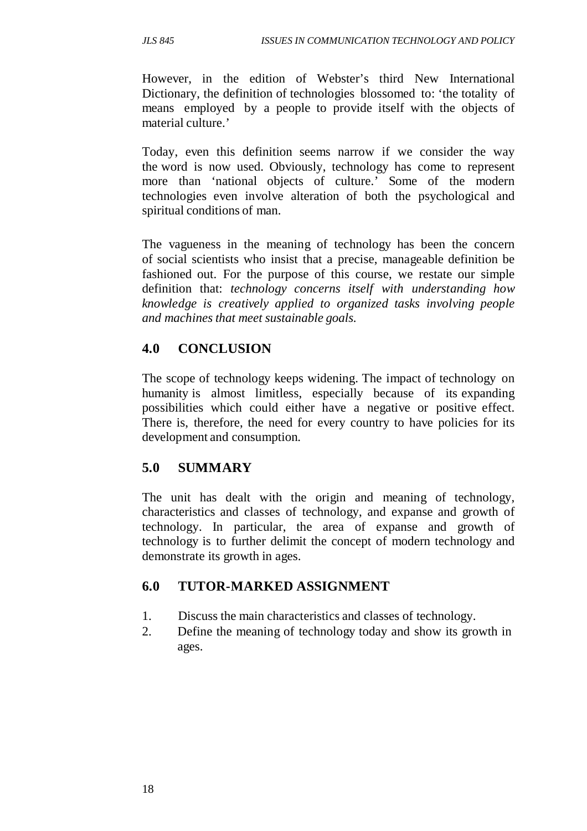However, in the edition of Webster's third New International Dictionary, the definition of technologies blossomed to: 'the totality of means employed by a people to provide itself with the objects of material culture.'

Today, even this definition seems narrow if we consider the way the word is now used. Obviously, technology has come to represent more than 'national objects of culture.' Some of the modern technologies even involve alteration of both the psychological and spiritual conditions of man.

The vagueness in the meaning of technology has been the concern of social scientists who insist that a precise, manageable definition be fashioned out. For the purpose of this course, we restate our simple definition that: *technology concerns itself with understanding how knowledge is creatively applied to organized tasks involving people and machines that meet sustainable goals.*

## **4.0 CONCLUSION**

The scope of technology keeps widening. The impact of technology on humanity is almost limitless, especially because of its expanding possibilities which could either have a negative or positive effect. There is, therefore, the need for every country to have policies for its development and consumption.

# **5.0 SUMMARY**

The unit has dealt with the origin and meaning of technology, characteristics and classes of technology, and expanse and growth of technology. In particular, the area of expanse and growth of technology is to further delimit the concept of modern technology and demonstrate its growth in ages.

# **6.0 TUTOR-MARKED ASSIGNMENT**

- 1. Discuss the main characteristics and classes of technology.
- 2. Define the meaning of technology today and show its growth in ages.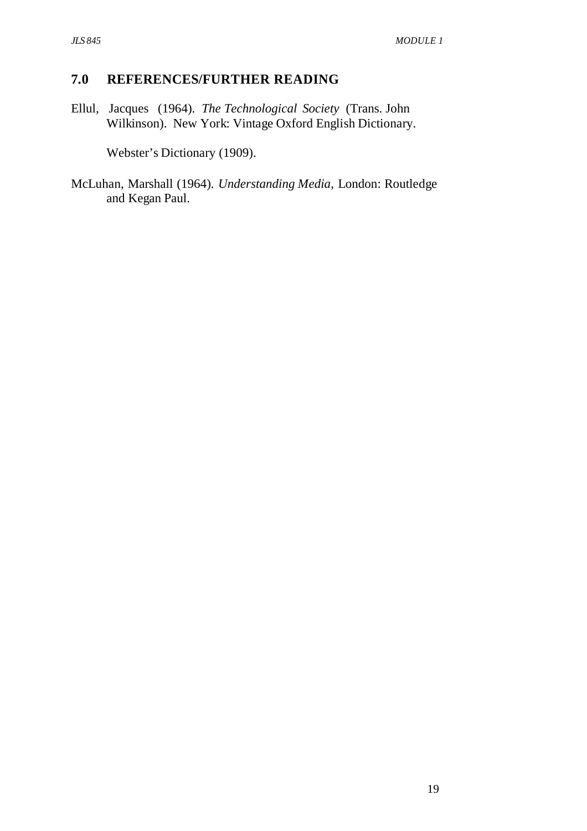### **7.0 REFERENCES/FURTHER READING**

Ellul, Jacques (1964). *The Technological Society* (Trans. John Wilkinson). New York: Vintage Oxford English Dictionary.

Webster's Dictionary (1909).

McLuhan, Marshall (1964). *Understanding Media*, London: Routledge and Kegan Paul.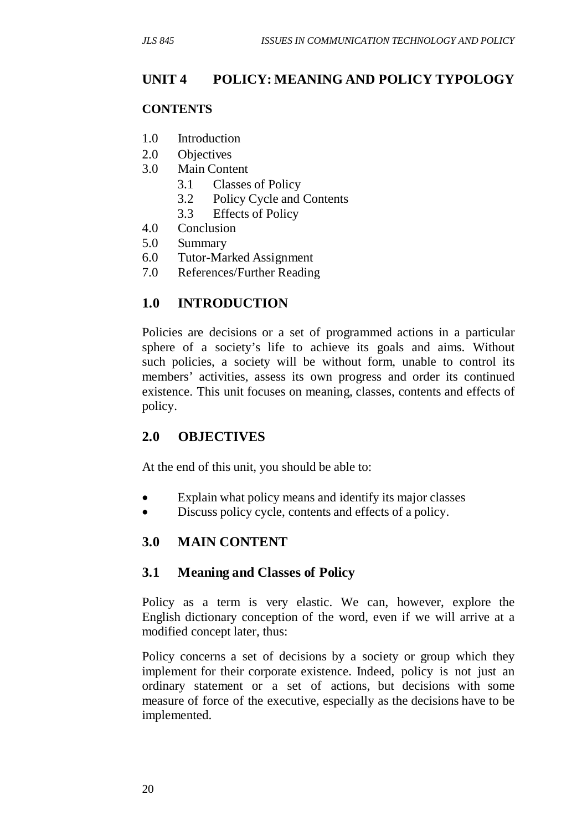## **UNIT 4 POLICY: MEANING AND POLICY TYPOLOGY**

#### **CONTENTS**

- 1.0 Introduction
- 2.0 Objectives
- 3.0 Main Content
	- 3.1 Classes of Policy
	- 3.2 Policy Cycle and Contents
	- 3.3 Effects of Policy
- 4.0 Conclusion
- 5.0 Summary
- 6.0 Tutor-Marked Assignment
- 7.0 References/Further Reading

### **1.0 INTRODUCTION**

Policies are decisions or a set of programmed actions in a particular sphere of a society's life to achieve its goals and aims. Without such policies, a society will be without form, unable to control its members' activities, assess its own progress and order its continued existence. This unit focuses on meaning, classes, contents and effects of policy.

#### **2.0 OBJECTIVES**

At the end of this unit, you should be able to:

- Explain what policy means and identify its major classes
- Discuss policy cycle, contents and effects of a policy.

### **3.0 MAIN CONTENT**

#### **3.1 Meaning and Classes of Policy**

Policy as a term is very elastic. We can, however, explore the English dictionary conception of the word, even if we will arrive at a modified concept later, thus:

Policy concerns a set of decisions by a society or group which they implement for their corporate existence. Indeed, policy is not just an ordinary statement or a set of actions, but decisions with some measure of force of the executive, especially as the decisions have to be implemented.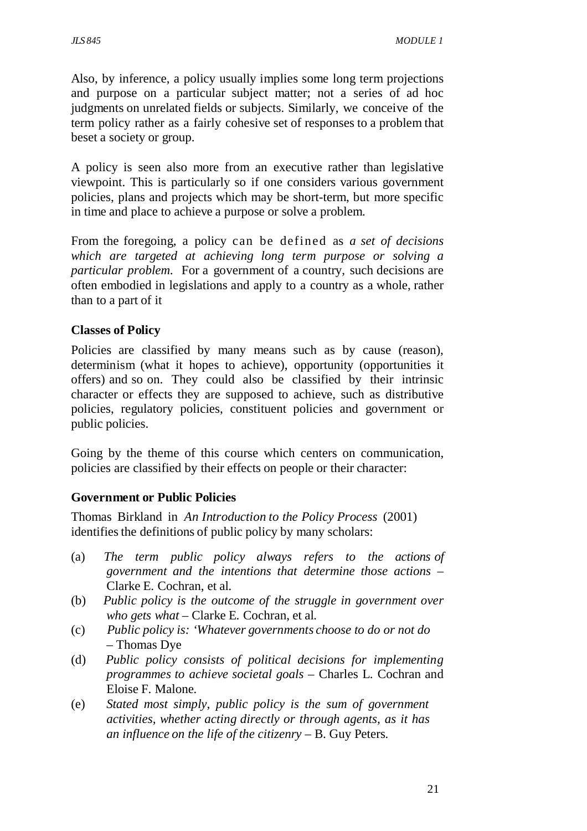Also, by inference, a policy usually implies some long term projections and purpose on a particular subject matter; not a series of ad hoc judgments on unrelated fields or subjects. Similarly, we conceive of the term policy rather as a fairly cohesive set of responses to a problem that beset a society or group.

A policy is seen also more from an executive rather than legislative viewpoint. This is particularly so if one considers various government policies, plans and projects which may be short-term, but more specific in time and place to achieve a purpose or solve a problem.

From the foregoing, a policy can be defined as *a set of decisions which are targeted at achieving long term purpose or solving a particular problem*. For a government of a country, such decisions are often embodied in legislations and apply to a country as a whole, rather than to a part of it

#### **Classes of Policy**

Policies are classified by many means such as by cause (reason), determinism (what it hopes to achieve), opportunity (opportunities it offers) and so on. They could also be classified by their intrinsic character or effects they are supposed to achieve, such as distributive policies, regulatory policies, constituent policies and government or public policies.

Going by the theme of this course which centers on communication, policies are classified by their effects on people or their character:

### **Government or Public Policies**

Thomas Birkland in *An Introduction to the Policy Process* (2001) identifies the definitions of public policy by many scholars:

- (a) *The term public policy always refers to the actions of government and the intentions that determine those actions* – Clarke E. Cochran, et al*.*
- (b) *Public policy is the outcome of the struggle in government over who gets what –* Clarke E. Cochran, et al*.*
- (c) *Public policy is: 'Whatever governments choose to do or not do –* Thomas Dye
- (d) *Public policy consists of political decisions for implementing programmes to achieve societal goals –* Charles L. Cochran and Eloise F. Malone*.*
- (e) *Stated most simply, public policy is the sum of government activities, whether acting directly or through agents, as it has an influence on the life of the citizenry –* B. Guy Peters*.*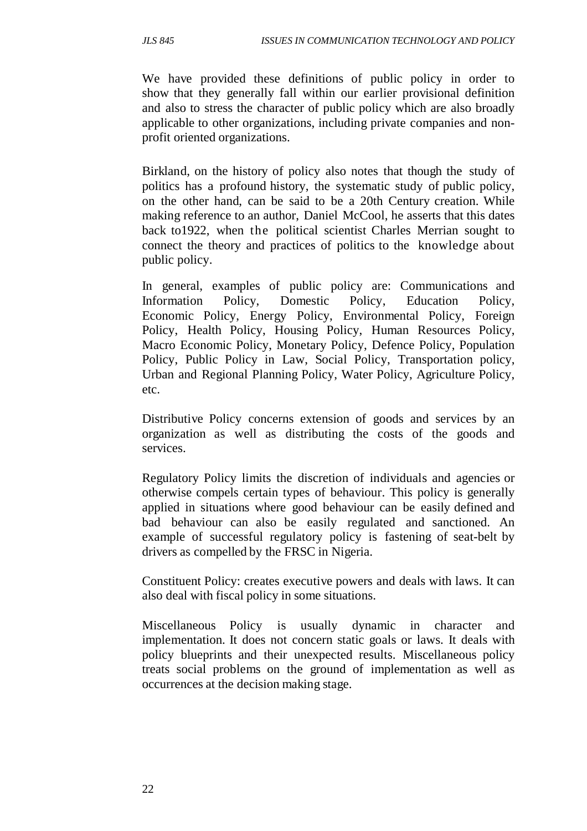We have provided these definitions of public policy in order to show that they generally fall within our earlier provisional definition and also to stress the character of public policy which are also broadly applicable to other organizations, including private companies and nonprofit oriented organizations.

Birkland, on the history of policy also notes that though the study of politics has a profound history, the systematic study of public policy, on the other hand, can be said to be a 20th Century creation. While making reference to an author, Daniel McCool, he asserts that this dates back to1922, when the political scientist Charles Merrian sought to connect the theory and practices of politics to the knowledge about public policy.

In general, examples of public policy are: Communications and Information Policy, Domestic Policy, Education Policy, Economic Policy, Energy Policy, Environmental Policy, Foreign Policy, Health Policy, Housing Policy, Human Resources Policy, Macro Economic Policy, Monetary Policy, Defence Policy, Population Policy, Public Policy in Law, Social Policy, Transportation policy, Urban and Regional Planning Policy, Water Policy, Agriculture Policy, etc.

Distributive Policy concerns extension of goods and services by an organization as well as distributing the costs of the goods and services.

Regulatory Policy limits the discretion of individuals and agencies or otherwise compels certain types of behaviour. This policy is generally applied in situations where good behaviour can be easily defined and bad behaviour can also be easily regulated and sanctioned. An example of successful regulatory policy is fastening of seat-belt by drivers as compelled by the FRSC in Nigeria.

Constituent Policy: creates executive powers and deals with laws. It can also deal with fiscal policy in some situations.

Miscellaneous Policy is usually dynamic in character and implementation. It does not concern static goals or laws. It deals with policy blueprints and their unexpected results. Miscellaneous policy treats social problems on the ground of implementation as well as occurrences at the decision making stage.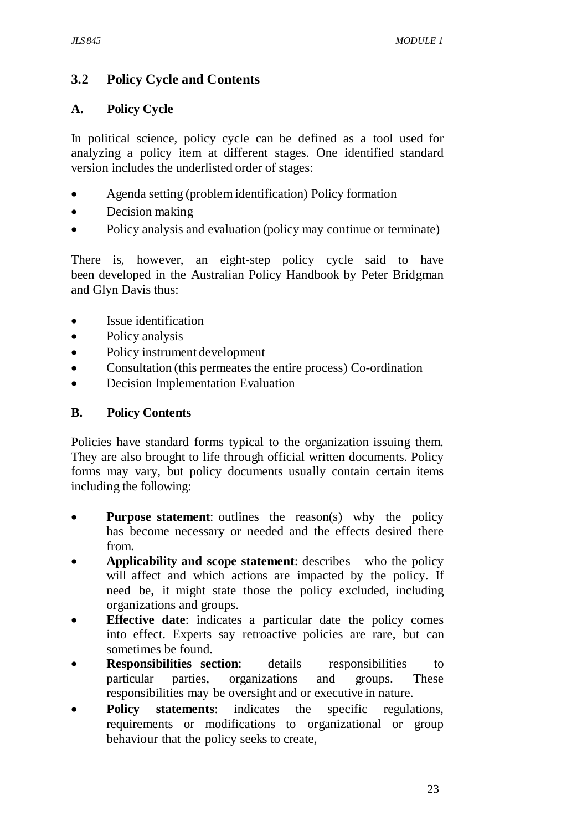# **3.2 Policy Cycle and Contents**

#### **A. Policy Cycle**

In political science, policy cycle can be defined as a tool used for analyzing a policy item at different stages. One identified standard version includes the underlisted order of stages:

- Agenda setting (problem identification) Policy formation
- Decision making
- Policy analysis and evaluation (policy may continue or terminate)

There is, however, an eight-step policy cycle said to have been developed in the Australian Policy Handbook by Peter Bridgman and Glyn Davis thus:

- Issue identification
- Policy analysis
- Policy instrument development
- Consultation (this permeates the entire process) Co-ordination
- Decision Implementation Evaluation

#### **B. Policy Contents**

Policies have standard forms typical to the organization issuing them. They are also brought to life through official written documents. Policy forms may vary, but policy documents usually contain certain items including the following:

- **Purpose statement:** outlines the reason(s) why the policy has become necessary or needed and the effects desired there from.
- **Applicability and scope statement**: describes who the policy will affect and which actions are impacted by the policy. If need be, it might state those the policy excluded, including organizations and groups.
- **Effective date**: indicates a particular date the policy comes into effect. Experts say retroactive policies are rare, but can sometimes be found.
- **Responsibilities section**: details responsibilities to particular parties, organizations and groups. These responsibilities may be oversight and or executive in nature.
- **Policy statements:** indicates the specific regulations, requirements or modifications to organizational or group behaviour that the policy seeks to create,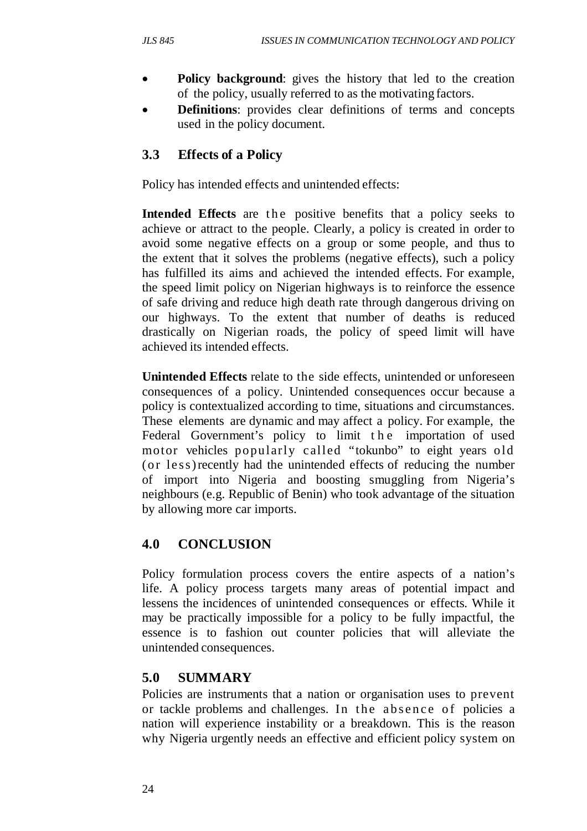- **Policy background:** gives the history that led to the creation of the policy, usually referred to as the motivating factors.
- **Definitions**: provides clear definitions of terms and concepts used in the policy document.

# **3.3 Effects of a Policy**

Policy has intended effects and unintended effects:

**Intended Effects** are the positive benefits that a policy seeks to achieve or attract to the people. Clearly, a policy is created in order to avoid some negative effects on a group or some people, and thus to the extent that it solves the problems (negative effects), such a policy has fulfilled its aims and achieved the intended effects. For example, the speed limit policy on Nigerian highways is to reinforce the essence of safe driving and reduce high death rate through dangerous driving on our highways. To the extent that number of deaths is reduced drastically on Nigerian roads, the policy of speed limit will have achieved its intended effects.

**Unintended Effects** relate to the side effects, unintended or unforeseen consequences of a policy. Unintended consequences occur because a policy is contextualized according to time, situations and circumstances. These elements are dynamic and may affect a policy. For example, the Federal Government's policy to limit the importation of used motor vehicles popularly called "tokunbo" to eight years old (or less) recently had the unintended effects of reducing the number of import into Nigeria and boosting smuggling from Nigeria's neighbours (e.g. Republic of Benin) who took advantage of the situation by allowing more car imports.

# **4.0 CONCLUSION**

Policy formulation process covers the entire aspects of a nation's life. A policy process targets many areas of potential impact and lessens the incidences of unintended consequences or effects. While it may be practically impossible for a policy to be fully impactful, the essence is to fashion out counter policies that will alleviate the unintended consequences.

# **5.0 SUMMARY**

Policies are instruments that a nation or organisation uses to prevent or tackle problems and challenges. In the absence of policies a nation will experience instability or a breakdown. This is the reason why Nigeria urgently needs an effective and efficient policy system on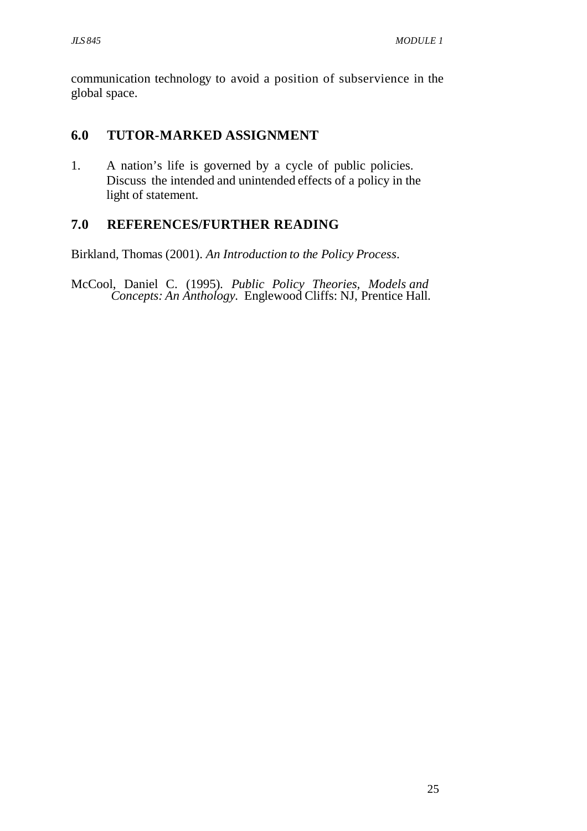communication technology to avoid a position of subservience in the global space.

## **6.0 TUTOR-MARKED ASSIGNMENT**

1. A nation's life is governed by a cycle of public policies. Discuss the intended and unintended effects of a policy in the light of statement.

## **7.0 REFERENCES/FURTHER READING**

Birkland, Thomas (2001). *An Introduction to the Policy Process*.

McCool, Daniel C. (1995). *Public Policy Theories, Models and Concepts: An Anthology.* Englewood Cliffs: NJ, Prentice Hall.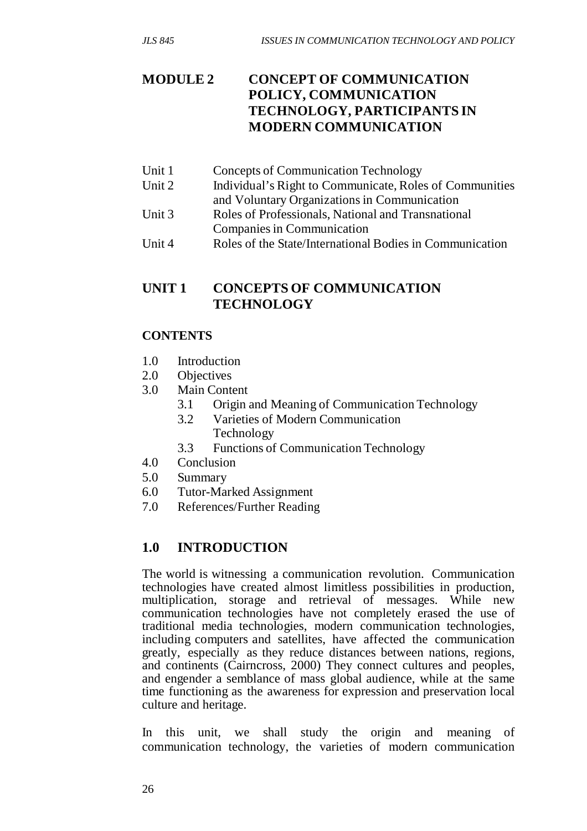# **MODULE 2 CONCEPT OF COMMUNICATION POLICY, COMMUNICATION TECHNOLOGY, PARTICIPANTS IN MODERN COMMUNICATION**

- Unit 1 Concepts of Communication Technology
- Unit 2 Individual's Right to Communicate, Roles of Communities
- and Voluntary Organizations in Communication
- Unit 3 Roles of Professionals, National and Transnational Companies in Communication
- Unit 4 Roles of the State/International Bodies in Communication

### **UNIT 1 CONCEPTS OF COMMUNICATION TECHNOLOGY**

#### **CONTENTS**

- 1.0 Introduction
- 2.0 Objectives
- 3.0 Main Content
	- 3.1 Origin and Meaning of Communication Technology
	- 3.2 Varieties of Modern Communication Technology
	- 3.3 Functions of Communication Technology
- 4.0 Conclusion
- 5.0 Summary
- 6.0 Tutor-Marked Assignment
- 7.0 References/Further Reading

### **1.0 INTRODUCTION**

The world is witnessing a communication revolution. Communication technologies have created almost limitless possibilities in production, multiplication, storage and retrieval of messages. While new communication technologies have not completely erased the use of traditional media technologies, modern communication technologies, including computers and satellites, have affected the communication greatly, especially as they reduce distances between nations, regions, and continents (Cairncross, 2000) They connect cultures and peoples, and engender a semblance of mass global audience, while at the same time functioning as the awareness for expression and preservation local culture and heritage.

In this unit, we shall study the origin and meaning of communication technology, the varieties of modern communication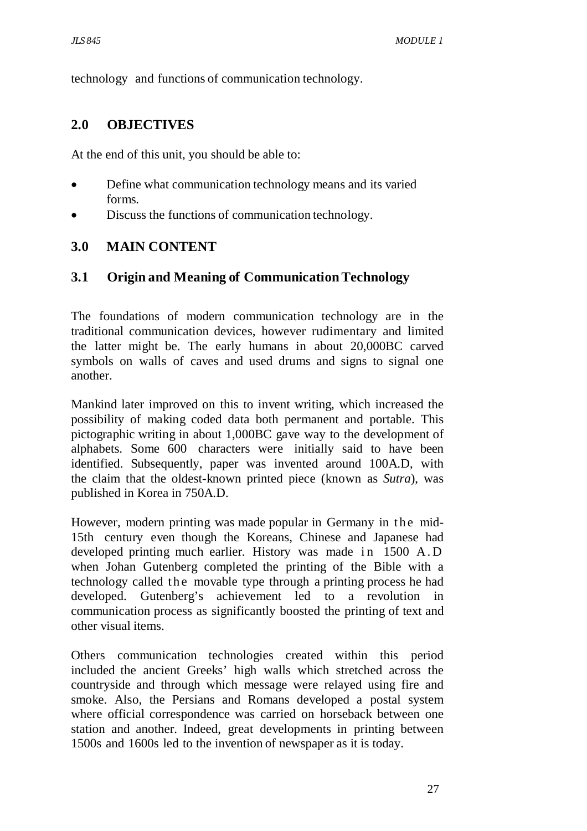technology and functions of communication technology.

#### **2.0 OBJECTIVES**

At the end of this unit, you should be able to:

- Define what communication technology means and its varied forms.
- Discuss the functions of communication technology.

#### **3.0 MAIN CONTENT**

#### **3.1 Origin and Meaning of Communication Technology**

The foundations of modern communication technology are in the traditional communication devices, however rudimentary and limited the latter might be. The early humans in about 20,000BC carved symbols on walls of caves and used drums and signs to signal one another.

Mankind later improved on this to invent writing, which increased the possibility of making coded data both permanent and portable. This pictographic writing in about 1,000BC gave way to the development of alphabets. Some 600 characters were initially said to have been identified. Subsequently, paper was invented around 100A.D, with the claim that the oldest-known printed piece (known as *Sutra*), was published in Korea in 750A.D.

However, modern printing was made popular in Germany in the mid-15th century even though the Koreans, Chinese and Japanese had developed printing much earlier. History was made in 1500 A.D when Johan Gutenberg completed the printing of the Bible with a technology called the movable type through a printing process he had developed. Gutenberg's achievement led to a revolution in communication process as significantly boosted the printing of text and other visual items.

Others communication technologies created within this period included the ancient Greeks' high walls which stretched across the countryside and through which message were relayed using fire and smoke. Also, the Persians and Romans developed a postal system where official correspondence was carried on horseback between one station and another. Indeed, great developments in printing between 1500s and 1600s led to the invention of newspaper as it is today.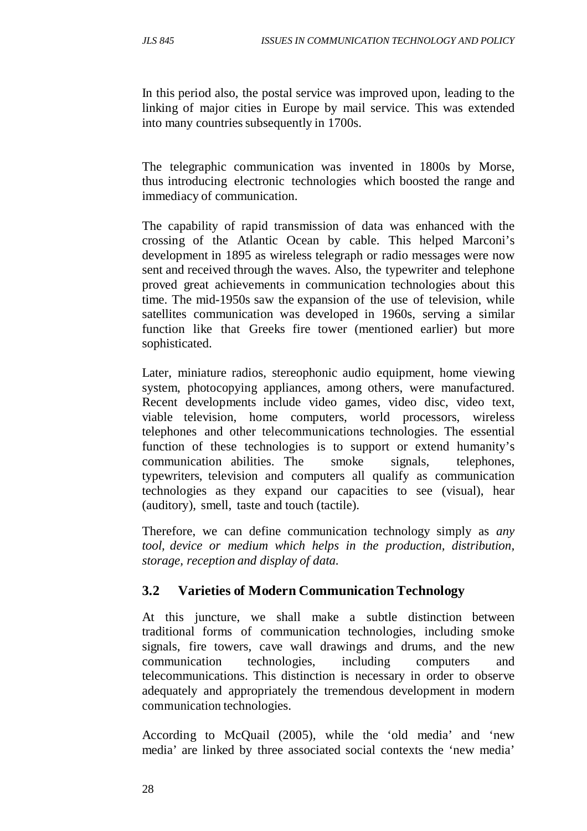In this period also, the postal service was improved upon, leading to the linking of major cities in Europe by mail service. This was extended into many countries subsequently in 1700s.

The telegraphic communication was invented in 1800s by Morse, thus introducing electronic technologies which boosted the range and immediacy of communication.

The capability of rapid transmission of data was enhanced with the crossing of the Atlantic Ocean by cable. This helped Marconi's development in 1895 as wireless telegraph or radio messages were now sent and received through the waves. Also, the typewriter and telephone proved great achievements in communication technologies about this time. The mid-1950s saw the expansion of the use of television, while satellites communication was developed in 1960s, serving a similar function like that Greeks fire tower (mentioned earlier) but more sophisticated.

Later, miniature radios, stereophonic audio equipment, home viewing system, photocopying appliances, among others, were manufactured. Recent developments include video games, video disc, video text, viable television, home computers, world processors, wireless telephones and other telecommunications technologies. The essential function of these technologies is to support or extend humanity's communication abilities. The smoke signals, telephones, typewriters, television and computers all qualify as communication technologies as they expand our capacities to see (visual), hear (auditory), smell, taste and touch (tactile).

Therefore, we can define communication technology simply as *any tool, device or medium which helps in the production, distribution, storage, reception and display of data.*

# **3.2 Varieties of Modern Communication Technology**

At this juncture, we shall make a subtle distinction between traditional forms of communication technologies, including smoke signals, fire towers, cave wall drawings and drums, and the new communication technologies, including computers and telecommunications. This distinction is necessary in order to observe adequately and appropriately the tremendous development in modern communication technologies.

According to McQuail (2005), while the 'old media' and 'new media' are linked by three associated social contexts the 'new media'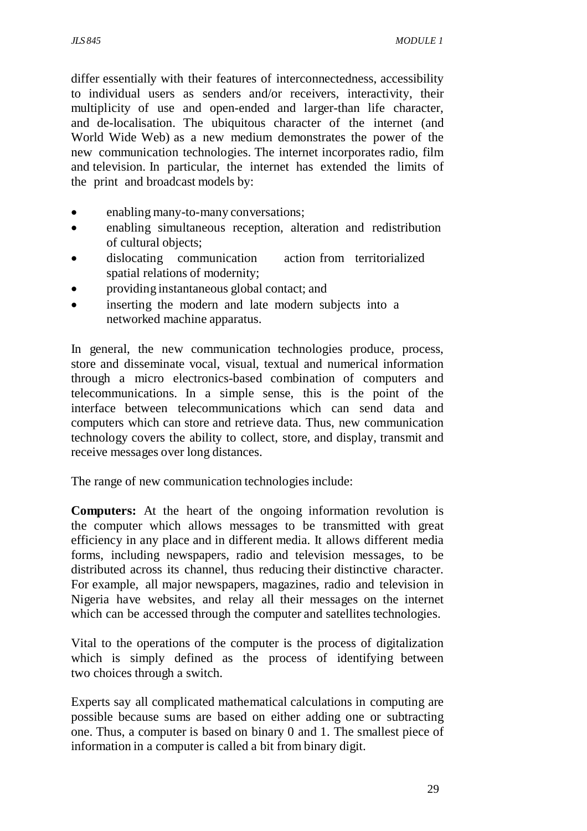differ essentially with their features of interconnectedness, accessibility to individual users as senders and/or receivers, interactivity, their multiplicity of use and open-ended and larger-than life character, and de-localisation. The ubiquitous character of the internet (and World Wide Web) as a new medium demonstrates the power of the new communication technologies. The internet incorporates radio, film and television. In particular, the internet has extended the limits of the print and broadcast models by:

- enabling many-to-many conversations;
- enabling simultaneous reception, alteration and redistribution of cultural objects;
- dislocating communication action from territorialized spatial relations of modernity;
- providing instantaneous global contact; and
- inserting the modern and late modern subjects into a networked machine apparatus.

In general, the new communication technologies produce, process, store and disseminate vocal, visual, textual and numerical information through a micro electronics-based combination of computers and telecommunications. In a simple sense, this is the point of the interface between telecommunications which can send data and computers which can store and retrieve data. Thus, new communication technology covers the ability to collect, store, and display, transmit and receive messages over long distances.

The range of new communication technologies include:

**Computers:** At the heart of the ongoing information revolution is the computer which allows messages to be transmitted with great efficiency in any place and in different media. It allows different media forms, including newspapers, radio and television messages, to be distributed across its channel, thus reducing their distinctive character. For example, all major newspapers, magazines, radio and television in Nigeria have websites, and relay all their messages on the internet which can be accessed through the computer and satellites technologies.

Vital to the operations of the computer is the process of digitalization which is simply defined as the process of identifying between two choices through a switch.

Experts say all complicated mathematical calculations in computing are possible because sums are based on either adding one or subtracting one. Thus, a computer is based on binary 0 and 1. The smallest piece of information in a computer is called a bit from binary digit.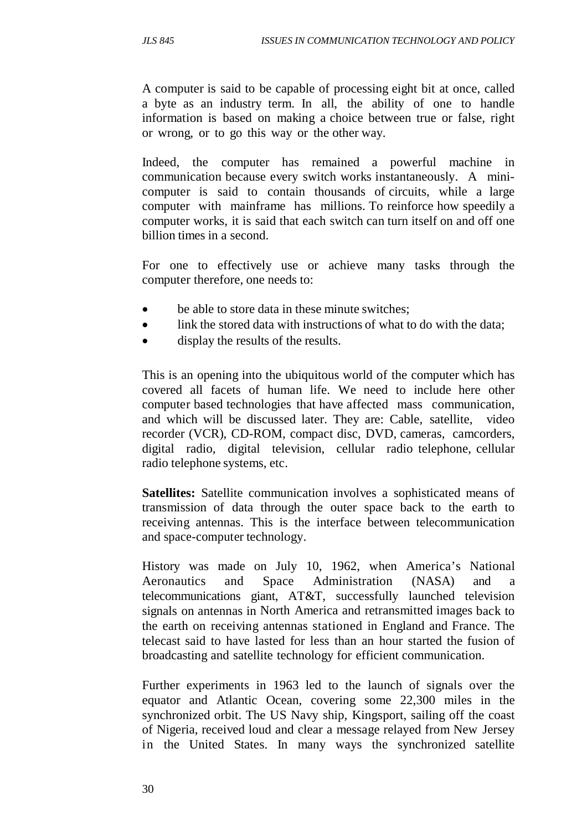A computer is said to be capable of processing eight bit at once, called a byte as an industry term. In all, the ability of one to handle information is based on making a choice between true or false, right or wrong, or to go this way or the other way.

Indeed, the computer has remained a powerful machine in communication because every switch works instantaneously. A minicomputer is said to contain thousands of circuits, while a large computer with mainframe has millions. To reinforce how speedily a computer works, it is said that each switch can turn itself on and off one billion times in a second.

For one to effectively use or achieve many tasks through the computer therefore, one needs to:

- be able to store data in these minute switches:
- link the stored data with instructions of what to do with the data;
- display the results of the results.

This is an opening into the ubiquitous world of the computer which has covered all facets of human life. We need to include here other computer based technologies that have affected mass communication, and which will be discussed later. They are: Cable, satellite, video recorder (VCR), CD-ROM, compact disc, DVD, cameras, camcorders, digital radio, digital television, cellular radio telephone, cellular radio telephone systems, etc.

**Satellites:** Satellite communication involves a sophisticated means of transmission of data through the outer space back to the earth to receiving antennas. This is the interface between telecommunication and space-computer technology.

History was made on July 10, 1962, when America's National Aeronautics and Space Administration (NASA) and a telecommunications giant, AT&T, successfully launched television signals on antennas in North America and retransmitted images back to the earth on receiving antennas stationed in England and France. The telecast said to have lasted for less than an hour started the fusion of broadcasting and satellite technology for efficient communication.

Further experiments in 1963 led to the launch of signals over the equator and Atlantic Ocean, covering some 22,300 miles in the synchronized orbit. The US Navy ship, Kingsport, sailing off the coast of Nigeria, received loud and clear a message relayed from New Jersey in the United States. In many ways the synchronized satellite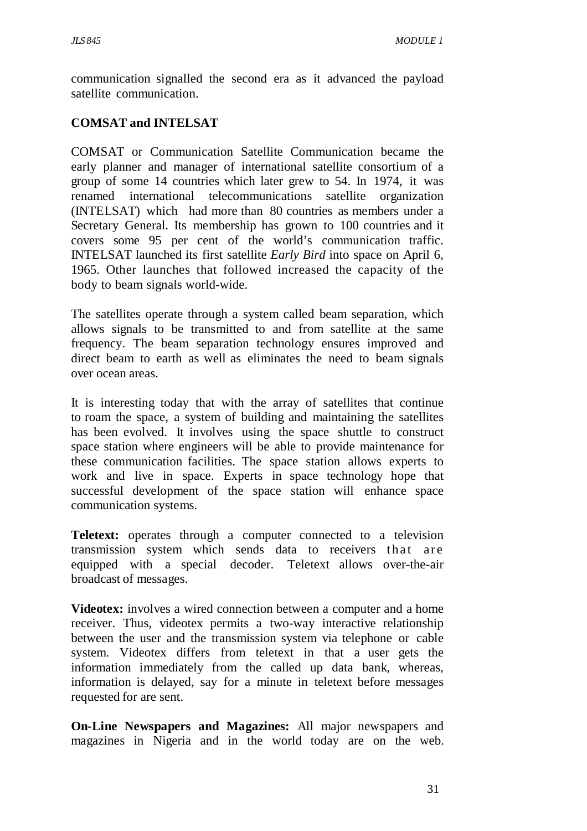communication signalled the second era as it advanced the payload satellite communication.

## **COMSAT and INTELSAT**

COMSAT or Communication Satellite Communication became the early planner and manager of international satellite consortium of a group of some 14 countries which later grew to 54. In 1974, it was renamed international telecommunications satellite organization (INTELSAT) which had more than 80 countries as members under a Secretary General. Its membership has grown to 100 countries and it covers some 95 per cent of the world's communication traffic. INTELSAT launched its first satellite *Early Bird* into space on April 6, 1965. Other launches that followed increased the capacity of the body to beam signals world-wide.

The satellites operate through a system called beam separation, which allows signals to be transmitted to and from satellite at the same frequency. The beam separation technology ensures improved and direct beam to earth as well as eliminates the need to beam signals over ocean areas.

It is interesting today that with the array of satellites that continue to roam the space, a system of building and maintaining the satellites has been evolved. It involves using the space shuttle to construct space station where engineers will be able to provide maintenance for these communication facilities. The space station allows experts to work and live in space. Experts in space technology hope that successful development of the space station will enhance space communication systems.

**Teletext:** operates through a computer connected to a television transmission system which sends data to receivers that are equipped with a special decoder. Teletext allows over-the-air broadcast of messages.

**Videotex:** involves a wired connection between a computer and a home receiver. Thus, videotex permits a two-way interactive relationship between the user and the transmission system via telephone or cable system. Videotex differs from teletext in that a user gets the information immediately from the called up data bank, whereas, information is delayed, say for a minute in teletext before messages requested for are sent.

**On-Line Newspapers and Magazines:** All major newspapers and magazines in Nigeria and in the world today are on the web.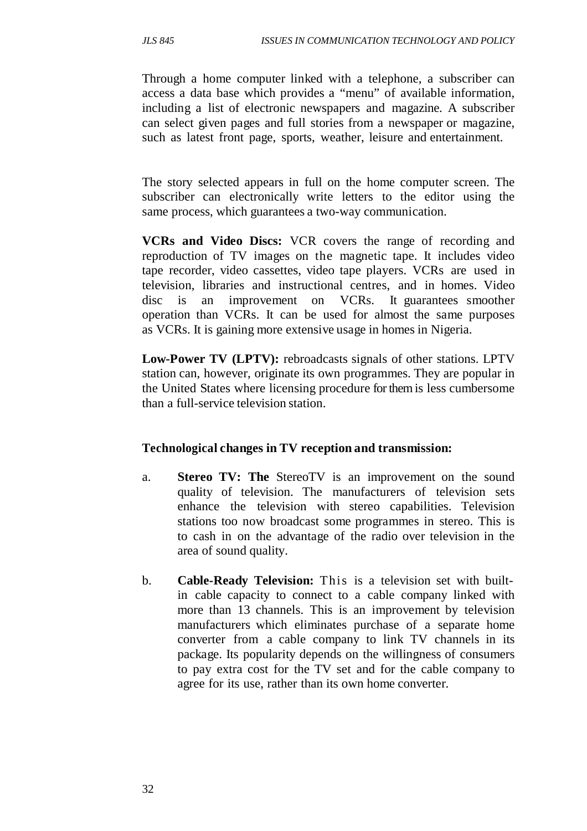Through a home computer linked with a telephone, a subscriber can access a data base which provides a "menu" of available information, including a list of electronic newspapers and magazine. A subscriber can select given pages and full stories from a newspaper or magazine, such as latest front page, sports, weather, leisure and entertainment.

The story selected appears in full on the home computer screen. The subscriber can electronically write letters to the editor using the same process, which guarantees a two-way communication.

**VCRs and Video Discs:** VCR covers the range of recording and reproduction of TV images on the magnetic tape. It includes video tape recorder, video cassettes, video tape players. VCRs are used in television, libraries and instructional centres, and in homes. Video disc is an improvement on VCRs. It guarantees smoother operation than VCRs. It can be used for almost the same purposes as VCRs. It is gaining more extensive usage in homes in Nigeria.

**Low-Power TV (LPTV):** rebroadcasts signals of other stations. LPTV station can, however, originate its own programmes. They are popular in the United States where licensing procedure for them is less cumbersome than a full-service television station.

#### **Technological changes in TV reception and transmission:**

- a. **Stereo TV: The** StereoTV is an improvement on the sound quality of television. The manufacturers of television sets enhance the television with stereo capabilities. Television stations too now broadcast some programmes in stereo. This is to cash in on the advantage of the radio over television in the area of sound quality.
- b. **Cable-Ready Television:** This is a television set with built in cable capacity to connect to a cable company linked with more than 13 channels. This is an improvement by television manufacturers which eliminates purchase of a separate home converter from a cable company to link TV channels in its package. Its popularity depends on the willingness of consumers to pay extra cost for the TV set and for the cable company to agree for its use, rather than its own home converter.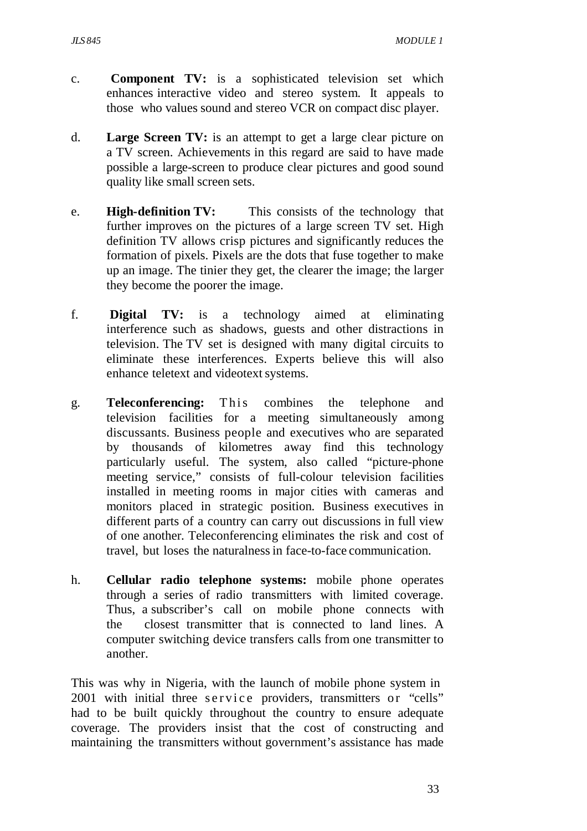- c. **Component TV:** is a sophisticated television set which enhances interactive video and stereo system. It appeals to those who values sound and stereo VCR on compact disc player.
- d. **Large Screen TV:** is an attempt to get a large clear picture on a TV screen. Achievements in this regard are said to have made possible a large-screen to produce clear pictures and good sound quality like small screen sets.
- e. **High-definition TV:** This consists of the technology that further improves on the pictures of a large screen TV set. High definition TV allows crisp pictures and significantly reduces the formation of pixels. Pixels are the dots that fuse together to make up an image. The tinier they get, the clearer the image; the larger they become the poorer the image.
- f. **Digital TV:** is a technology aimed at eliminating interference such as shadows, guests and other distractions in television. The TV set is designed with many digital circuits to eliminate these interferences. Experts believe this will also enhance teletext and videotext systems.
- g. **Teleconferencing:** This combines the telephone and television facilities for a meeting simultaneously among discussants. Business people and executives who are separated by thousands of kilometres away find this technology particularly useful. The system, also called "picture-phone meeting service," consists of full-colour television facilities installed in meeting rooms in major cities with cameras and monitors placed in strategic position. Business executives in different parts of a country can carry out discussions in full view of one another. Teleconferencing eliminates the risk and cost of travel, but loses the naturalness in face-to-face communication.
- h. **Cellular radio telephone systems:** mobile phone operates through a series of radio transmitters with limited coverage. Thus, a subscriber's call on mobile phone connects with the closest transmitter that is connected to land lines. A computer switching device transfers calls from one transmitter to another.

This was why in Nigeria, with the launch of mobile phone system in 2001 with initial three service providers, transmitters or "cells" had to be built quickly throughout the country to ensure adequate coverage. The providers insist that the cost of constructing and maintaining the transmitters without government's assistance has made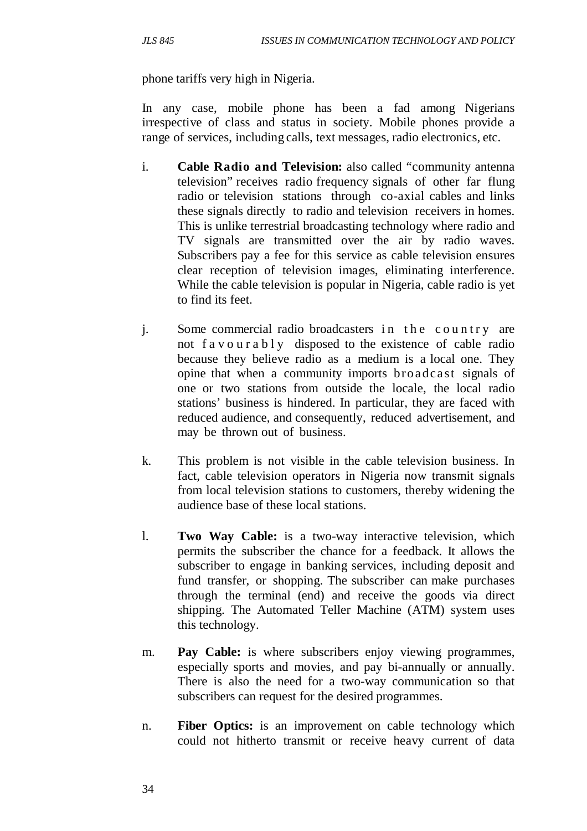phone tariffs very high in Nigeria.

In any case, mobile phone has been a fad among Nigerians irrespective of class and status in society. Mobile phones provide a range of services, including calls, text messages, radio electronics, etc.

- i. **Cable Radio and Television:** also called "community antenna television" receives radio frequency signals of other far flung radio or television stations through co-axial cables and links these signals directly to radio and television receivers in homes. This is unlike terrestrial broadcasting technology where radio and TV signals are transmitted over the air by radio waves. Subscribers pay a fee for this service as cable television ensures clear reception of television images, eliminating interference. While the cable television is popular in Nigeria, cable radio is yet to find its feet.
- j. Some commercial radio broadcasters in the country are not f a v o u r a b l y disposed to the existence of cable radio because they believe radio as a medium is a local one. They opine that when a community imports bro adcast signals of one or two stations from outside the locale, the local radio stations' business is hindered. In particular, they are faced with reduced audience, and consequently, reduced advertisement, and may be thrown out of business.
- k. This problem is not visible in the cable television business. In fact, cable television operators in Nigeria now transmit signals from local television stations to customers, thereby widening the audience base of these local stations.
- l. **Two Way Cable:** is a two-way interactive television, which permits the subscriber the chance for a feedback. It allows the subscriber to engage in banking services, including deposit and fund transfer, or shopping. The subscriber can make purchases through the terminal (end) and receive the goods via direct shipping. The Automated Teller Machine (ATM) system uses this technology.
- m. **Pay Cable:** is where subscribers enjoy viewing programmes, especially sports and movies, and pay bi-annually or annually. There is also the need for a two-way communication so that subscribers can request for the desired programmes.
- n. **Fiber Optics:** is an improvement on cable technology which could not hitherto transmit or receive heavy current of data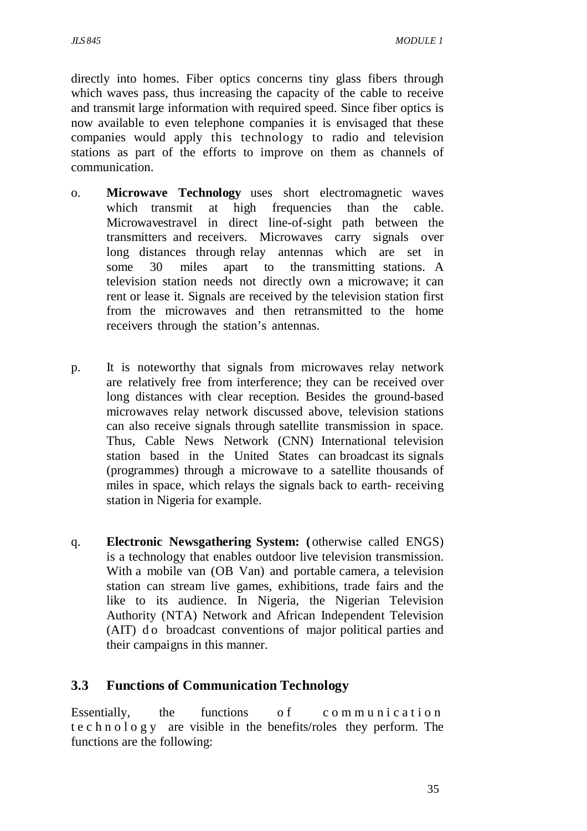directly into homes. Fiber optics concerns tiny glass fibers through which waves pass, thus increasing the capacity of the cable to receive and transmit large information with required speed. Since fiber optics is now available to even telephone companies it is envisaged that these companies would apply this technology to radio and television stations as part of the efforts to improve on them as channels of communication.

- o. **Microwave Technology** uses short electromagnetic waves which transmit at high frequencies than the cable. Microwavestravel in direct line-of-sight path between the transmitters and receivers. Microwaves carry signals over long distances through relay antennas which are set in some 30 miles apart to the transmitting stations. A television station needs not directly own a microwave; it can rent or lease it. Signals are received by the television station first from the microwaves and then retransmitted to the home receivers through the station's antennas.
- p. It is noteworthy that signals from microwaves relay network are relatively free from interference; they can be received over long distances with clear reception. Besides the ground-based microwaves relay network discussed above, television stations can also receive signals through satellite transmission in space. Thus, Cable News Network (CNN) International television station based in the United States can broadcast its signals (programmes) through a microwave to a satellite thousands of miles in space, which relays the signals back to earth- receiving station in Nigeria for example.
- q. **Electronic Newsgathering System: (** otherwise called ENGS) is a technology that enables outdoor live television transmission. With a mobile van (OB Van) and portable camera, a television station can stream live games, exhibitions, trade fairs and the like to its audience. In Nigeria, the Nigerian Television Authority (NTA) Network and African Independent Television (AIT) do broadcast conventions of major political parties and their campaigns in this manner.

#### **3.3 Functions of Communication Technology**

Essentially, the functions of communication t e c h n o l o g y are visible in the benefits/roles they perform. The functions are the following: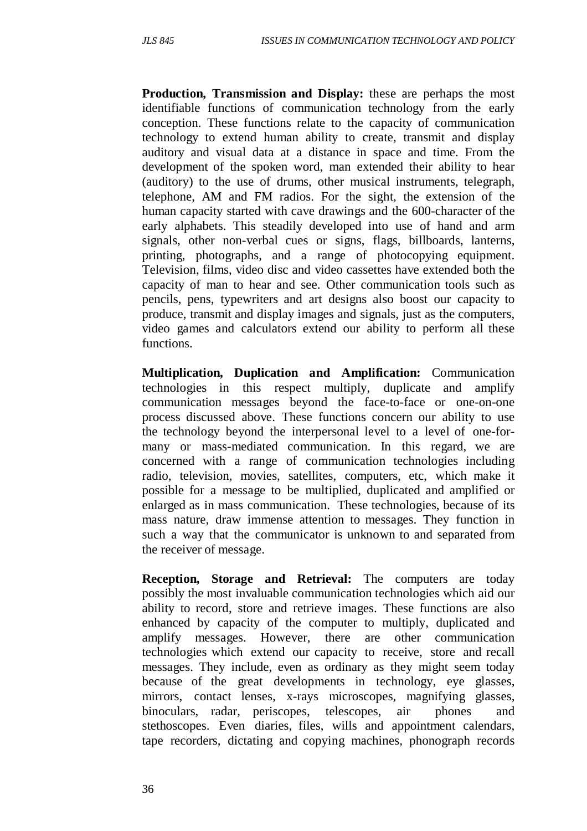**Production, Transmission and Display:** these are perhaps the most identifiable functions of communication technology from the early conception. These functions relate to the capacity of communication technology to extend human ability to create, transmit and display auditory and visual data at a distance in space and time. From the development of the spoken word, man extended their ability to hear (auditory) to the use of drums, other musical instruments, telegraph, telephone, AM and FM radios. For the sight, the extension of the human capacity started with cave drawings and the 600-character of the early alphabets. This steadily developed into use of hand and arm signals, other non-verbal cues or signs, flags, billboards, lanterns, printing, photographs, and a range of photocopying equipment. Television, films, video disc and video cassettes have extended both the capacity of man to hear and see. Other communication tools such as pencils, pens, typewriters and art designs also boost our capacity to produce, transmit and display images and signals, just as the computers, video games and calculators extend our ability to perform all these functions.

**Multiplication, Duplication and Amplification:** Communication technologies in this respect multiply, duplicate and amplify communication messages beyond the face-to-face or one-on-one process discussed above. These functions concern our ability to use the technology beyond the interpersonal level to a level of one-formany or mass-mediated communication. In this regard, we are concerned with a range of communication technologies including radio, television, movies, satellites, computers, etc, which make it possible for a message to be multiplied, duplicated and amplified or enlarged as in mass communication. These technologies, because of its mass nature, draw immense attention to messages. They function in such a way that the communicator is unknown to and separated from the receiver of message.

**Reception, Storage and Retrieval:** The computers are today possibly the most invaluable communication technologies which aid our ability to record, store and retrieve images. These functions are also enhanced by capacity of the computer to multiply, duplicated and amplify messages. However, there are other communication technologies which extend our capacity to receive, store and recall messages. They include, even as ordinary as they might seem today because of the great developments in technology, eye glasses, mirrors, contact lenses, x-rays microscopes, magnifying glasses, binoculars, radar, periscopes, telescopes, air phones and stethoscopes. Even diaries, files, wills and appointment calendars, tape recorders, dictating and copying machines, phonograph records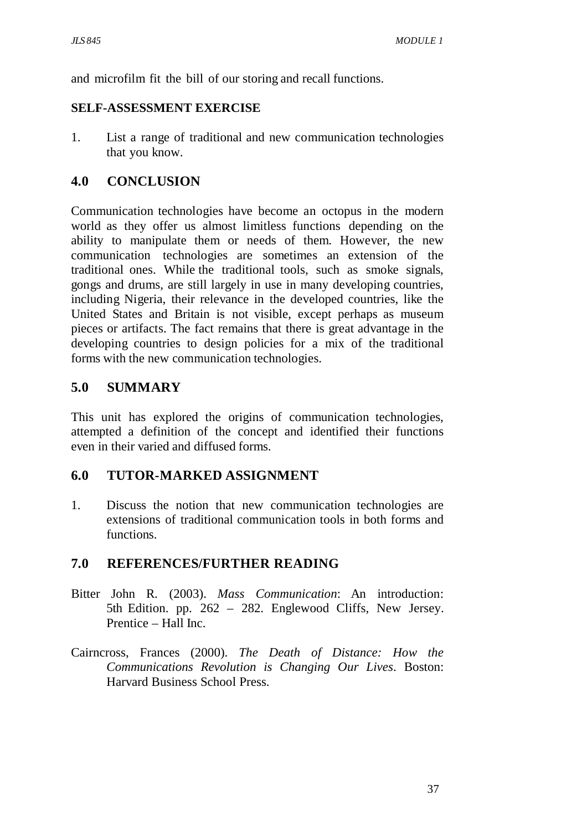and microfilm fit the bill of our storing and recall functions.

#### **SELF-ASSESSMENT EXERCISE**

1. List a range of traditional and new communication technologies that you know.

### **4.0 CONCLUSION**

Communication technologies have become an octopus in the modern world as they offer us almost limitless functions depending on the ability to manipulate them or needs of them. However, the new communication technologies are sometimes an extension of the traditional ones. While the traditional tools, such as smoke signals, gongs and drums, are still largely in use in many developing countries, including Nigeria, their relevance in the developed countries, like the United States and Britain is not visible, except perhaps as museum pieces or artifacts. The fact remains that there is great advantage in the developing countries to design policies for a mix of the traditional forms with the new communication technologies.

### **5.0 SUMMARY**

This unit has explored the origins of communication technologies, attempted a definition of the concept and identified their functions even in their varied and diffused forms.

### **6.0 TUTOR-MARKED ASSIGNMENT**

1. Discuss the notion that new communication technologies are extensions of traditional communication tools in both forms and functions.

### **7.0 REFERENCES/FURTHER READING**

- Bitter John R. (2003). *Mass Communication*: An introduction: 5th Edition. pp. 262 – 282. Englewood Cliffs, New Jersey. Prentice – Hall Inc.
- Cairncross, Frances (2000). *The Death of Distance: How the Communications Revolution is Changing Our Lives*. Boston: Harvard Business School Press.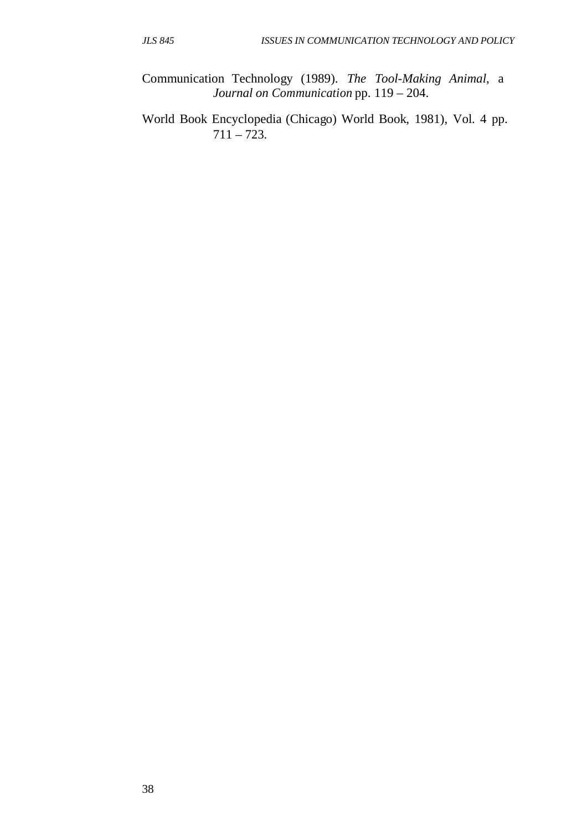Communication Technology (1989). *The Tool-Making Animal*, a  *Journal on Communication* pp. 119 – 204.

World Book Encyclopedia (Chicago) World Book, 1981), Vol. 4 pp.  $711 - 723.$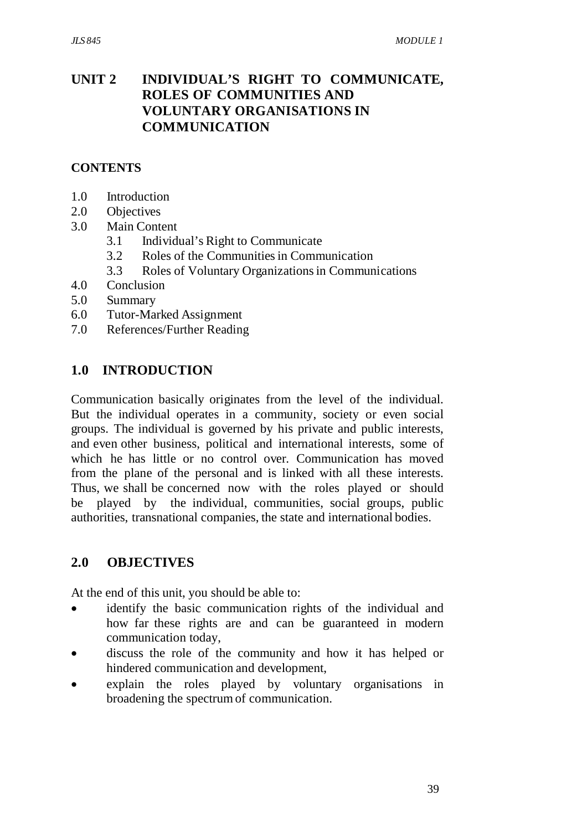### **UNIT 2 INDIVIDUAL'S RIGHT TO COMMUNICATE, ROLES OF COMMUNITIES AND VOLUNTARY ORGANISATIONS IN COMMUNICATION**

#### **CONTENTS**

- 1.0 Introduction
- 2.0 Objectives
- 3.0 Main Content
	- 3.1 Individual's Right to Communicate
	- 3.2 Roles of the Communities in Communication
	- 3.3 Roles of Voluntary Organizations in Communications
- 4.0 Conclusion
- 5.0 Summary
- 6.0 Tutor-Marked Assignment
- 7.0 References/Further Reading

### **1.0 INTRODUCTION**

Communication basically originates from the level of the individual. But the individual operates in a community, society or even social groups. The individual is governed by his private and public interests, and even other business, political and international interests, some of which he has little or no control over. Communication has moved from the plane of the personal and is linked with all these interests. Thus, we shall be concerned now with the roles played or should be played by the individual, communities, social groups, public authorities, transnational companies, the state and international bodies.

#### **2.0 OBJECTIVES**

At the end of this unit, you should be able to:

- identify the basic communication rights of the individual and how far these rights are and can be guaranteed in modern communication today,
- discuss the role of the community and how it has helped or hindered communication and development,
- explain the roles played by voluntary organisations in broadening the spectrum of communication.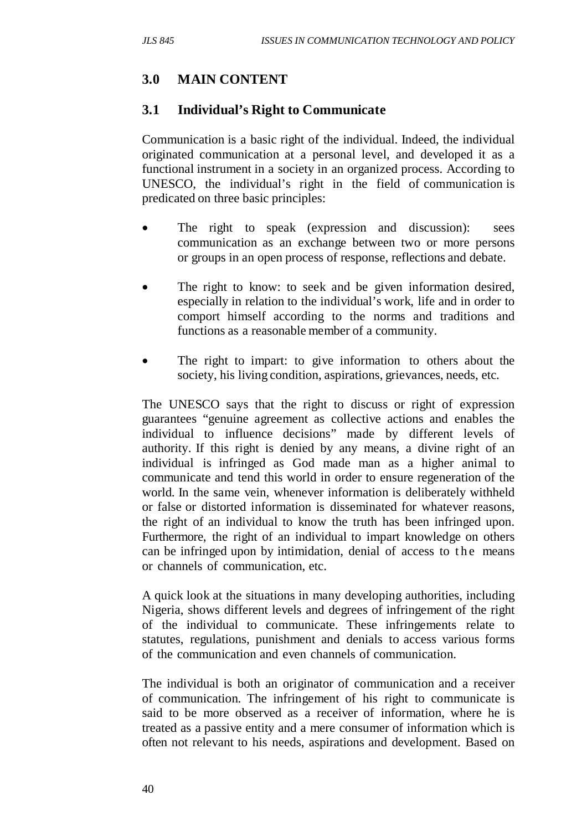# **3.0 MAIN CONTENT**

### **3.1 Individual's Right to Communicate**

Communication is a basic right of the individual. Indeed, the individual originated communication at a personal level, and developed it as a functional instrument in a society in an organized process. According to UNESCO, the individual's right in the field of communication is predicated on three basic principles:

- The right to speak (expression and discussion): sees communication as an exchange between two or more persons or groups in an open process of response, reflections and debate.
- The right to know: to seek and be given information desired, especially in relation to the individual's work, life and in order to comport himself according to the norms and traditions and functions as a reasonable member of a community.
- The right to impart: to give information to others about the society, his living condition, aspirations, grievances, needs, etc.

The UNESCO says that the right to discuss or right of expression guarantees "genuine agreement as collective actions and enables the individual to influence decisions" made by different levels of authority. If this right is denied by any means, a divine right of an individual is infringed as God made man as a higher animal to communicate and tend this world in order to ensure regeneration of the world. In the same vein, whenever information is deliberately withheld or false or distorted information is disseminated for whatever reasons, the right of an individual to know the truth has been infringed upon. Furthermore, the right of an individual to impart knowledge on others can be infringed upon by intimidation, denial of access to the means or channels of communication, etc.

A quick look at the situations in many developing authorities, including Nigeria, shows different levels and degrees of infringement of the right of the individual to communicate. These infringements relate to statutes, regulations, punishment and denials to access various forms of the communication and even channels of communication.

The individual is both an originator of communication and a receiver of communication. The infringement of his right to communicate is said to be more observed as a receiver of information, where he is treated as a passive entity and a mere consumer of information which is often not relevant to his needs, aspirations and development. Based on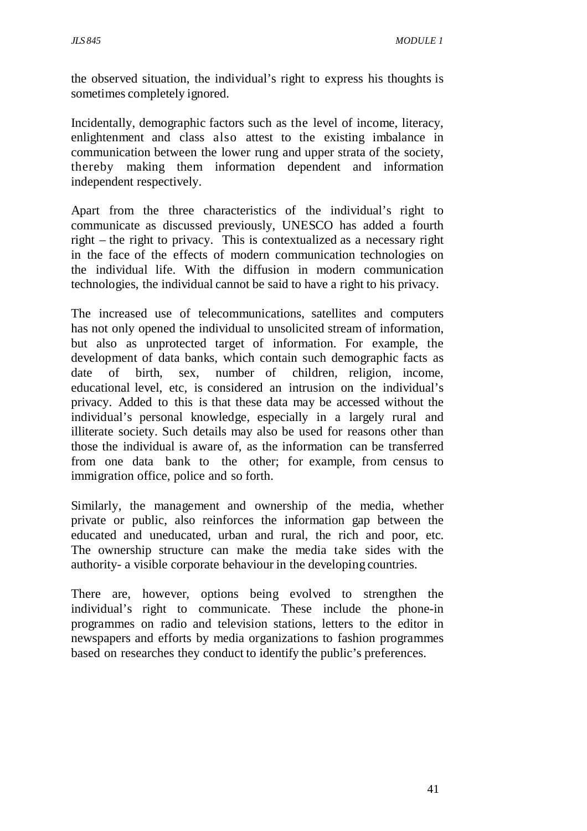the observed situation, the individual's right to express his thoughts is sometimes completely ignored.

Incidentally, demographic factors such as the level of income, literacy, enlightenment and class also attest to the existing imbalance in communication between the lower rung and upper strata of the society, thereby making them information dependent and information independent respectively.

Apart from the three characteristics of the individual's right to communicate as discussed previously, UNESCO has added a fourth right – the right to privacy. This is contextualized as a necessary right in the face of the effects of modern communication technologies on the individual life. With the diffusion in modern communication technologies, the individual cannot be said to have a right to his privacy.

The increased use of telecommunications, satellites and computers has not only opened the individual to unsolicited stream of information, but also as unprotected target of information. For example, the development of data banks, which contain such demographic facts as date of birth, sex, number of children, religion, income, educational level, etc, is considered an intrusion on the individual's privacy. Added to this is that these data may be accessed without the individual's personal knowledge, especially in a largely rural and illiterate society. Such details may also be used for reasons other than those the individual is aware of, as the information can be transferred from one data bank to the other; for example, from census to immigration office, police and so forth.

Similarly, the management and ownership of the media, whether private or public, also reinforces the information gap between the educated and uneducated, urban and rural, the rich and poor, etc. The ownership structure can make the media take sides with the authority- a visible corporate behaviour in the developing countries.

There are, however, options being evolved to strengthen the individual's right to communicate. These include the phone-in programmes on radio and television stations, letters to the editor in newspapers and efforts by media organizations to fashion programmes based on researches they conduct to identify the public's preferences.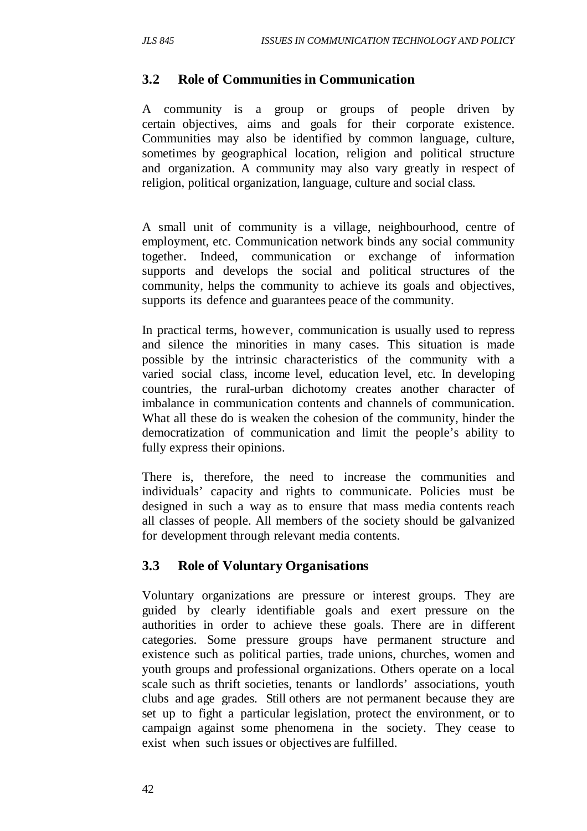### **3.2 Role of Communities in Communication**

A community is a group or groups of people driven by certain objectives, aims and goals for their corporate existence. Communities may also be identified by common language, culture, sometimes by geographical location, religion and political structure and organization. A community may also vary greatly in respect of religion, political organization, language, culture and social class.

A small unit of community is a village, neighbourhood, centre of employment, etc. Communication network binds any social community together. Indeed, communication or exchange of information supports and develops the social and political structures of the community, helps the community to achieve its goals and objectives, supports its defence and guarantees peace of the community.

In practical terms, however, communication is usually used to repress and silence the minorities in many cases. This situation is made possible by the intrinsic characteristics of the community with a varied social class, income level, education level, etc. In developing countries, the rural-urban dichotomy creates another character of imbalance in communication contents and channels of communication. What all these do is weaken the cohesion of the community, hinder the democratization of communication and limit the people's ability to fully express their opinions.

There is, therefore, the need to increase the communities and individuals' capacity and rights to communicate. Policies must be designed in such a way as to ensure that mass media contents reach all classes of people. All members of the society should be galvanized for development through relevant media contents.

# **3.3 Role of Voluntary Organisations**

Voluntary organizations are pressure or interest groups. They are guided by clearly identifiable goals and exert pressure on the authorities in order to achieve these goals. There are in different categories. Some pressure groups have permanent structure and existence such as political parties, trade unions, churches, women and youth groups and professional organizations. Others operate on a local scale such as thrift societies, tenants or landlords' associations, youth clubs and age grades. Still others are not permanent because they are set up to fight a particular legislation, protect the environment, or to campaign against some phenomena in the society. They cease to exist when such issues or objectives are fulfilled.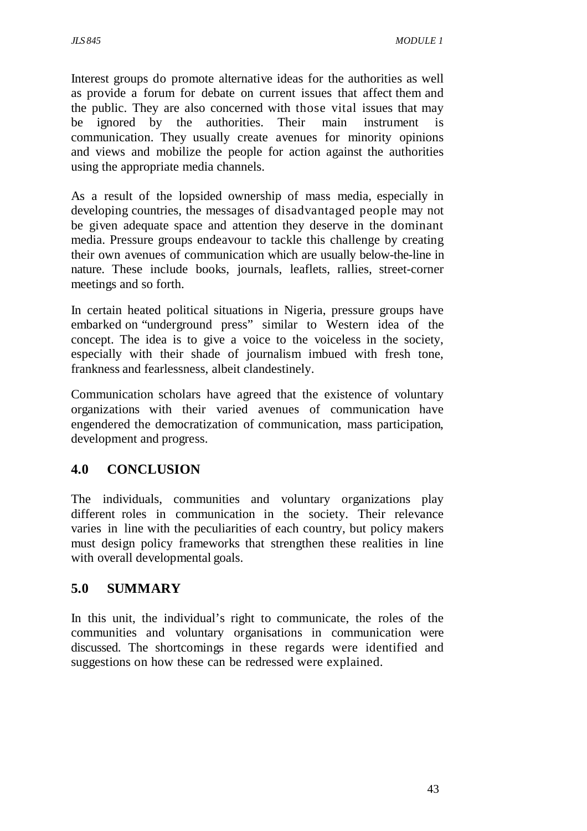Interest groups do promote alternative ideas for the authorities as well as provide a forum for debate on current issues that affect them and the public. They are also concerned with those vital issues that may be ignored by the authorities. Their main instrument is communication. They usually create avenues for minority opinions and views and mobilize the people for action against the authorities using the appropriate media channels.

As a result of the lopsided ownership of mass media, especially in developing countries, the messages of disadvantaged people may not be given adequate space and attention they deserve in the dominant media. Pressure groups endeavour to tackle this challenge by creating their own avenues of communication which are usually below-the-line in nature. These include books, journals, leaflets, rallies, street-corner meetings and so forth.

In certain heated political situations in Nigeria, pressure groups have embarked on "underground press" similar to Western idea of the concept. The idea is to give a voice to the voiceless in the society, especially with their shade of journalism imbued with fresh tone, frankness and fearlessness, albeit clandestinely.

Communication scholars have agreed that the existence of voluntary organizations with their varied avenues of communication have engendered the democratization of communication, mass participation, development and progress.

# **4.0 CONCLUSION**

The individuals, communities and voluntary organizations play different roles in communication in the society. Their relevance varies in line with the peculiarities of each country, but policy makers must design policy frameworks that strengthen these realities in line with overall developmental goals.

# **5.0 SUMMARY**

In this unit, the individual's right to communicate, the roles of the communities and voluntary organisations in communication were discussed. The shortcomings in these regards were identified and suggestions on how these can be redressed were explained.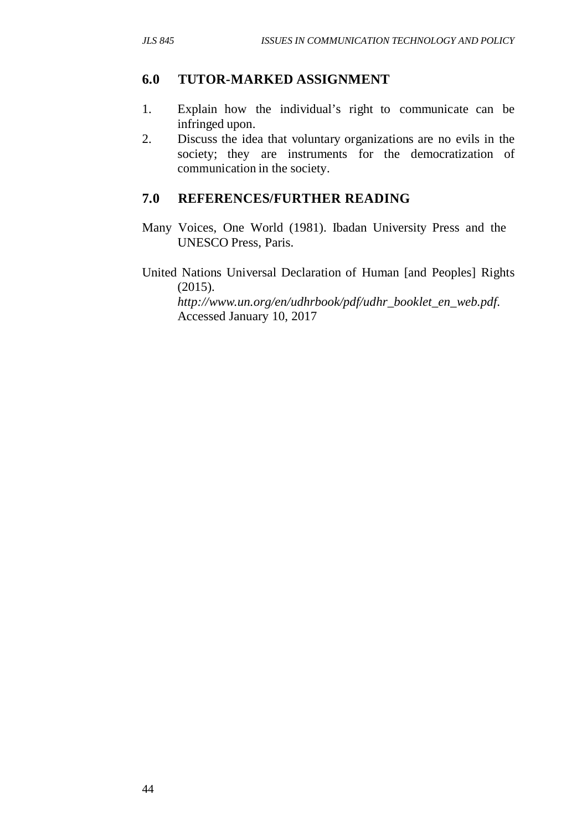#### **6.0 TUTOR-MARKED ASSIGNMENT**

- 1. Explain how the individual's right to communicate can be infringed upon.
- 2. Discuss the idea that voluntary organizations are no evils in the society; they are instruments for the democratization of communication in the society.

#### **7.0 REFERENCES/FURTHER READING**

- Many Voices, One World (1981). Ibadan University Press and the UNESCO Press, Paris.
- United Nations Universal Declaration of Human [and Peoples] Rights (2015).

*http://www.un.org/en/udhrbook/pdf/udhr\_booklet\_en\_web.pdf*. Accessed January 10, 2017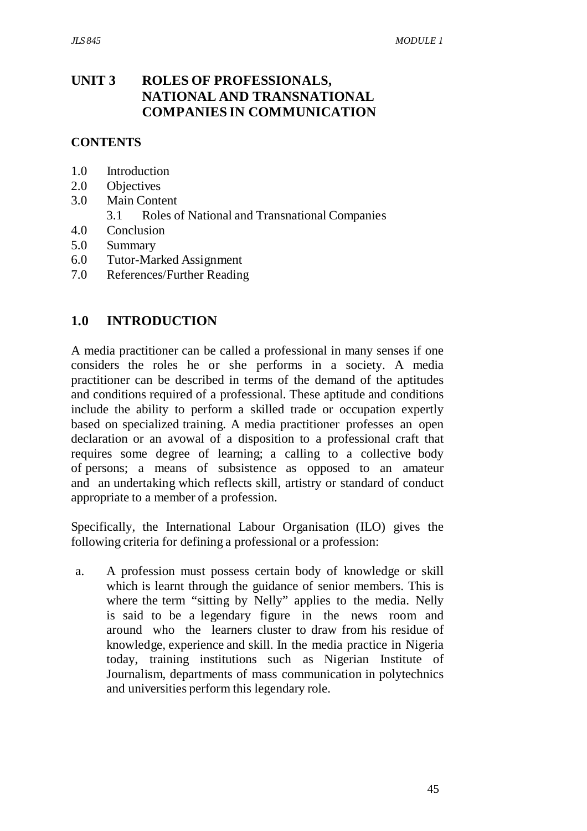## **UNIT 3 ROLES OF PROFESSIONALS, NATIONAL AND TRANSNATIONAL COMPANIES IN COMMUNICATION**

#### **CONTENTS**

- 1.0 Introduction
- 2.0 Objectives
- 3.0 Main Content
	- 3.1 Roles of National and Transnational Companies
- 4.0 Conclusion
- 5.0 Summary
- 6.0 Tutor-Marked Assignment
- 7.0 References/Further Reading

### **1.0 INTRODUCTION**

A media practitioner can be called a professional in many senses if one considers the roles he or she performs in a society. A media practitioner can be described in terms of the demand of the aptitudes and conditions required of a professional. These aptitude and conditions include the ability to perform a skilled trade or occupation expertly based on specialized training. A media practitioner professes an open declaration or an avowal of a disposition to a professional craft that requires some degree of learning; a calling to a collective body of persons; a means of subsistence as opposed to an amateur and an undertaking which reflects skill, artistry or standard of conduct appropriate to a member of a profession.

Specifically, the International Labour Organisation (ILO) gives the following criteria for defining a professional or a profession:

a. A profession must possess certain body of knowledge or skill which is learnt through the guidance of senior members. This is where the term "sitting by Nelly" applies to the media. Nelly is said to be a legendary figure in the news room and around who the learners cluster to draw from his residue of knowledge, experience and skill. In the media practice in Nigeria today, training institutions such as Nigerian Institute of Journalism, departments of mass communication in polytechnics and universities perform this legendary role.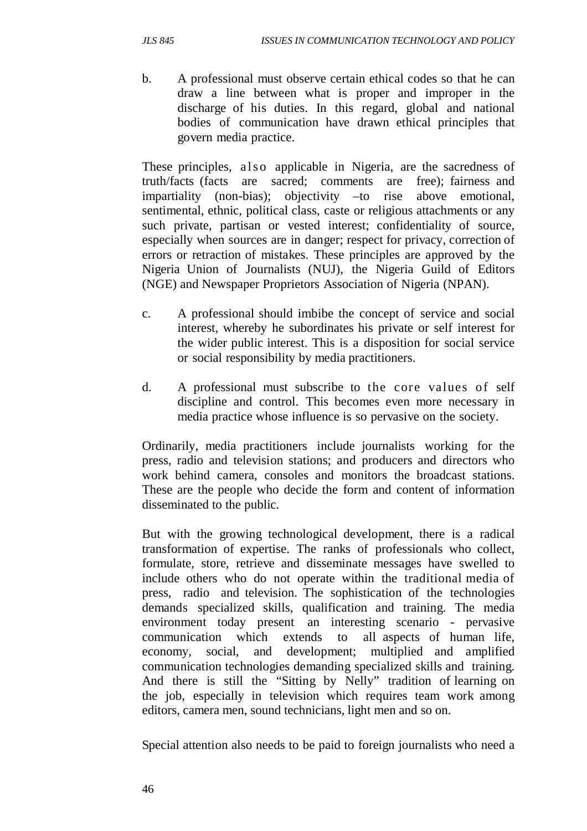b. A professional must observe certain ethical codes so that he can draw a line between what is proper and improper in the discharge of his duties. In this regard, global and national bodies of communication have drawn ethical principles that govern media practice.

These principles, also applicable in Nigeria, are the sacredness of truth/facts (facts are sacred; comments are free); fairness and impartiality (non-bias); objectivity –to rise above emotional, sentimental, ethnic, political class, caste or religious attachments or any such private, partisan or vested interest; confidentiality of source, especially when sources are in danger; respect for privacy, correction of errors or retraction of mistakes. These principles are approved by the Nigeria Union of Journalists (NUJ), the Nigeria Guild of Editors (NGE) and Newspaper Proprietors Association of Nigeria (NPAN).

- c. A professional should imbibe the concept of service and social interest, whereby he subordinates his private or self interest for the wider public interest. This is a disposition for social service or social responsibility by media practitioners.
- d. A professional must subscribe to the core values of self discipline and control. This becomes even more necessary in media practice whose influence is so pervasive on the society.

Ordinarily, media practitioners include journalists working for the press, radio and television stations; and producers and directors who work behind camera, consoles and monitors the broadcast stations. These are the people who decide the form and content of information disseminated to the public.

But with the growing technological development, there is a radical transformation of expertise. The ranks of professionals who collect, formulate, store, retrieve and disseminate messages have swelled to include others who do not operate within the traditional media of press, radio and television. The sophistication of the technologies demands specialized skills, qualification and training. The media environment today present an interesting scenario - pervasive communication which extends to all aspects of human life, economy, social, and development; multiplied and amplified communication technologies demanding specialized skills and training. And there is still the "Sitting by Nelly" tradition of learning on the job, especially in television which requires team work among editors, camera men, sound technicians, light men and so on.

Special attention also needs to be paid to foreign journalists who need a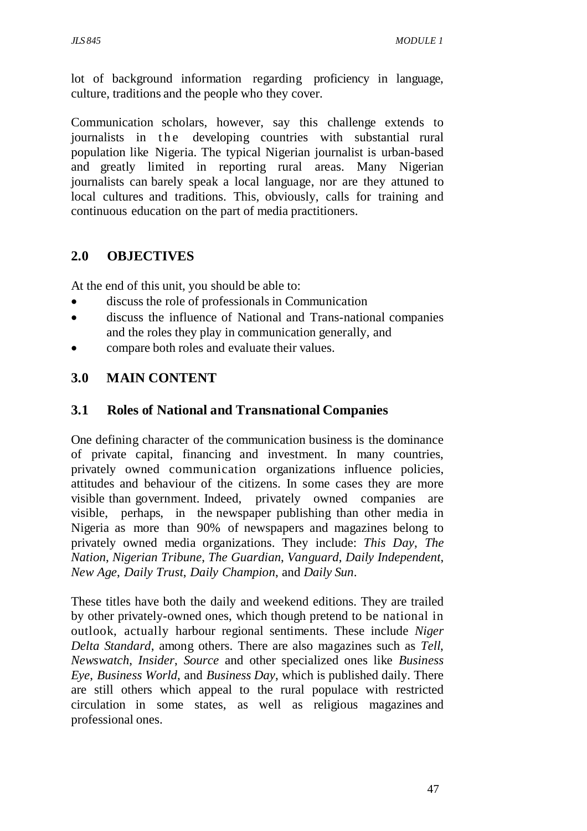lot of background information regarding proficiency in language, culture, traditions and the people who they cover.

Communication scholars, however, say this challenge extends to journalists in the developing countries with substantial rural population like Nigeria. The typical Nigerian journalist is urban-based and greatly limited in reporting rural areas. Many Nigerian journalists can barely speak a local language, nor are they attuned to local cultures and traditions. This, obviously, calls for training and continuous education on the part of media practitioners.

### **2.0 OBJECTIVES**

At the end of this unit, you should be able to:

- discuss the role of professionals in Communication
- discuss the influence of National and Trans-national companies and the roles they play in communication generally, and
- compare both roles and evaluate their values.

# **3.0 MAIN CONTENT**

#### **3.1 Roles of National and Transnational Companies**

One defining character of the communication business is the dominance of private capital, financing and investment. In many countries, privately owned communication organizations influence policies, attitudes and behaviour of the citizens. In some cases they are more visible than government. Indeed, privately owned companies are visible, perhaps, in the newspaper publishing than other media in Nigeria as more than 90% of newspapers and magazines belong to privately owned media organizations. They include: *This Day*, *The Nation*, *Nigerian Tribune*, *The Guardian*, *Vanguard*, *Daily Independent*, *New Age*, *Daily Trust*, *Daily Champion*, and *Daily Sun*.

These titles have both the daily and weekend editions. They are trailed by other privately-owned ones, which though pretend to be national in outlook, actually harbour regional sentiments. These include *Niger Delta Standard*, among others. There are also magazines such as *Tell*, *Newswatch*, *Insider*, *Source* and other specialized ones like *Business Eye*, *Business World*, and *Business Day*, which is published daily. There are still others which appeal to the rural populace with restricted circulation in some states, as well as religious magazines and professional ones.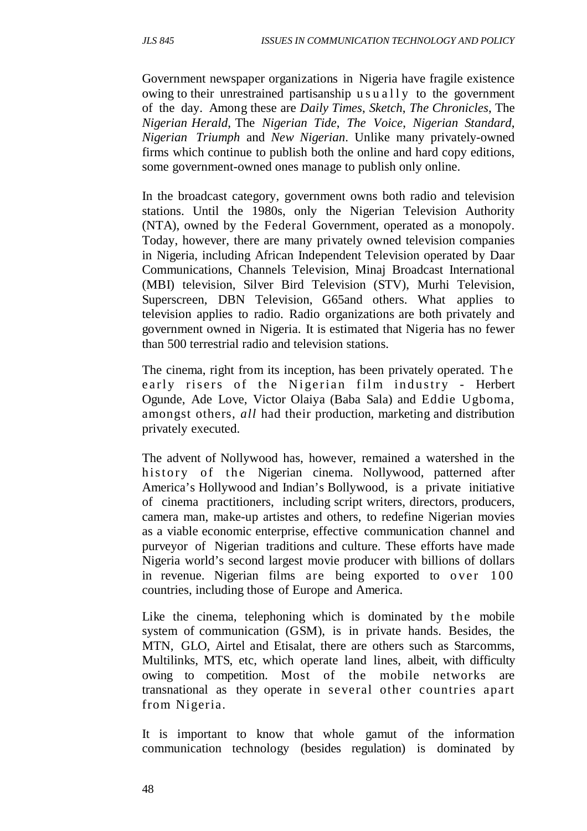Government newspaper organizations in Nigeria have fragile existence owing to their unrestrained partisanship  $u \cdot s \cdot u$  ally to the government of the day. Among these are *Daily Times*, *Sketch*, *The Chronicles*, The *Nigerian Herald*, The *Nigerian Tide*, *The Voice*, *Nigerian Standard*, *Nigerian Triumph* and *New Nigerian*. Unlike many privately-owned firms which continue to publish both the online and hard copy editions, some government-owned ones manage to publish only online.

In the broadcast category, government owns both radio and television stations. Until the 1980s, only the Nigerian Television Authority (NTA), owned by the Federal Government, operated as a monopoly. Today, however, there are many privately owned television companies in Nigeria, including African Independent Television operated by Daar Communications, Channels Television, Minaj Broadcast International (MBI) television, Silver Bird Television (STV), Murhi Television, Superscreen, DBN Television, G65and others. What applies to television applies to radio. Radio organizations are both privately and government owned in Nigeria. It is estimated that Nigeria has no fewer than 500 terrestrial radio and television stations.

The cinema, right from its inception, has been privately operated. The early risers of the Nigerian film industry - Herbert Ogunde, Ade Love, Victor Olaiya (Baba Sala) and Eddie Ugboma, amongst others, *all* had their production, marketing and distribution privately executed.

The advent of Nollywood has, however, remained a watershed in the history of the Nigerian cinema. Nollywood, patterned after America's Hollywood and Indian's Bollywood, is a private initiative of cinema practitioners, including script writers, directors, producers, camera man, make-up artistes and others, to redefine Nigerian movies as a viable economic enterprise, effective communication channel and purveyor of Nigerian traditions and culture. These efforts have made Nigeria world's second largest movie producer with billions of dollars in revenue. Nigerian films are being exported to over 100 countries, including those of Europe and America.

Like the cinema, telephoning which is dominated by the mobile system of communication (GSM), is in private hands. Besides, the MTN, GLO, Airtel and Etisalat, there are others such as Starcomms, Multilinks, MTS, etc, which operate land lines, albeit, with difficulty owing to competition. Most of the mobile networks are transnational as they operate in several other countries apart from Nigeria.

It is important to know that whole gamut of the information communication technology (besides regulation) is dominated by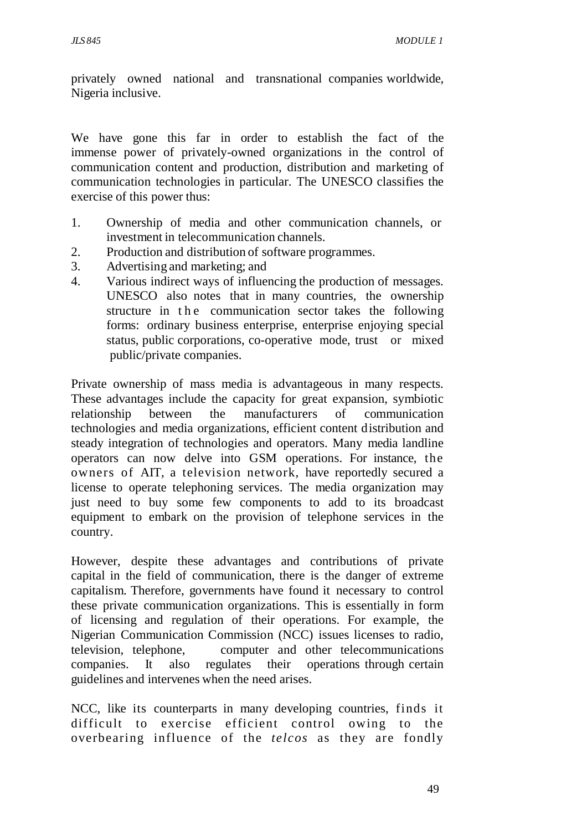privately owned national and transnational companies worldwide, Nigeria inclusive.

We have gone this far in order to establish the fact of the immense power of privately-owned organizations in the control of communication content and production, distribution and marketing of communication technologies in particular. The UNESCO classifies the exercise of this power thus:

- 1. Ownership of media and other communication channels, or investment in telecommunication channels.
- 2. Production and distribution of software programmes.
- 3. Advertising and marketing; and
- 4. Various indirect ways of influencing the production of messages. UNESCO also notes that in many countries, the ownership structure in the communication sector takes the following forms: ordinary business enterprise, enterprise enjoying special status, public corporations, co-operative mode, trust or mixed public/private companies.

Private ownership of mass media is advantageous in many respects. These advantages include the capacity for great expansion, symbiotic relationship between the manufacturers of communication technologies and media organizations, efficient content distribution and steady integration of technologies and operators. Many media landline operators can now delve into GSM operations. For instance, the owners of AIT, a television network, have reportedly secured a license to operate telephoning services. The media organization may just need to buy some few components to add to its broadcast equipment to embark on the provision of telephone services in the country.

However, despite these advantages and contributions of private capital in the field of communication, there is the danger of extreme capitalism. Therefore, governments have found it necessary to control these private communication organizations. This is essentially in form of licensing and regulation of their operations. For example, the Nigerian Communication Commission (NCC) issues licenses to radio, television, telephone, computer and other telecommunications companies. It also regulates their operations through certain guidelines and intervenes when the need arises.

NCC, like its counterparts in many developing countries, finds it difficult to exercise efficient control owing to the overbearing influence of the *telcos* as they are fondly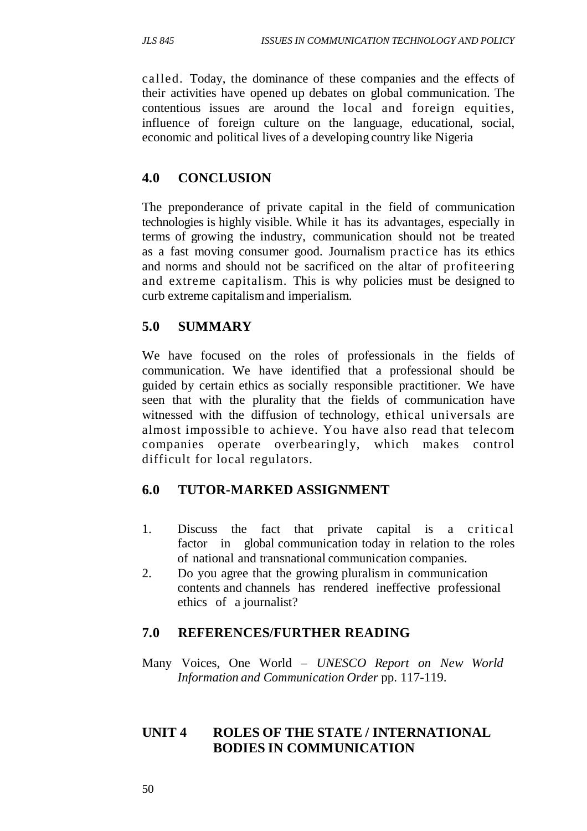called. Today, the dominance of these companies and the effects of their activities have opened up debates on global communication. The contentious issues are around the local and foreign equities, influence of foreign culture on the language, educational, social, economic and political lives of a developing country like Nigeria

# **4.0 CONCLUSION**

The preponderance of private capital in the field of communication technologies is highly visible. While it has its advantages, especially in terms of growing the industry, communication should not be treated as a fast moving consumer good. Journalism practice has its ethics and norms and should not be sacrificed on the altar of profiteering and extreme capitalism. This is why policies must be designed to curb extreme capitalism and imperialism.

# **5.0 SUMMARY**

We have focused on the roles of professionals in the fields of communication. We have identified that a professional should be guided by certain ethics as socially responsible practitioner. We have seen that with the plurality that the fields of communication have witnessed with the diffusion of technology, ethical universals are almost impossible to achieve. You have also read that telecom companies operate overbearingly, which makes control difficult for local regulators.

# **6.0 TUTOR-MARKED ASSIGNMENT**

- 1. Discuss the fact that private capital is a critical factor in global communication today in relation to the roles of national and transnational communication companies.
- 2. Do you agree that the growing pluralism in communication contents and channels has rendered ineffective professional ethics of a journalist?

# **7.0 REFERENCES/FURTHER READING**

Many Voices, One World – *UNESCO Report on New World Information and Communication Order* pp. 117-119.

### **UNIT 4 ROLES OF THE STATE / INTERNATIONAL BODIES IN COMMUNICATION**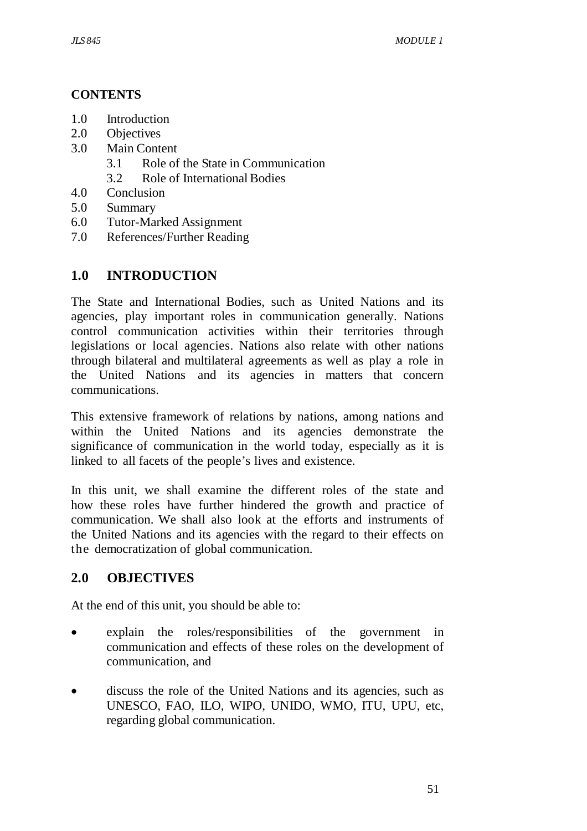#### **CONTENTS**

- 1.0 Introduction
- 2.0 Objectives
- 3.0 Main Content
	- 3.1 Role of the State in Communication
	- 3.2 Role of International Bodies
- 4.0 Conclusion
- 5.0 Summary
- 6.0 Tutor-Marked Assignment
- 7.0 References/Further Reading

### **1.0 INTRODUCTION**

The State and International Bodies, such as United Nations and its agencies, play important roles in communication generally. Nations control communication activities within their territories through legislations or local agencies. Nations also relate with other nations through bilateral and multilateral agreements as well as play a role in the United Nations and its agencies in matters that concern communications.

This extensive framework of relations by nations, among nations and within the United Nations and its agencies demonstrate the significance of communication in the world today, especially as it is linked to all facets of the people's lives and existence.

In this unit, we shall examine the different roles of the state and how these roles have further hindered the growth and practice of communication. We shall also look at the efforts and instruments of the United Nations and its agencies with the regard to their effects on the democratization of global communication.

# **2.0 OBJECTIVES**

At the end of this unit, you should be able to:

- explain the roles/responsibilities of the government in communication and effects of these roles on the development of communication, and
- discuss the role of the United Nations and its agencies, such as UNESCO, FAO, ILO, WIPO, UNIDO, WMO, ITU, UPU, etc, regarding global communication.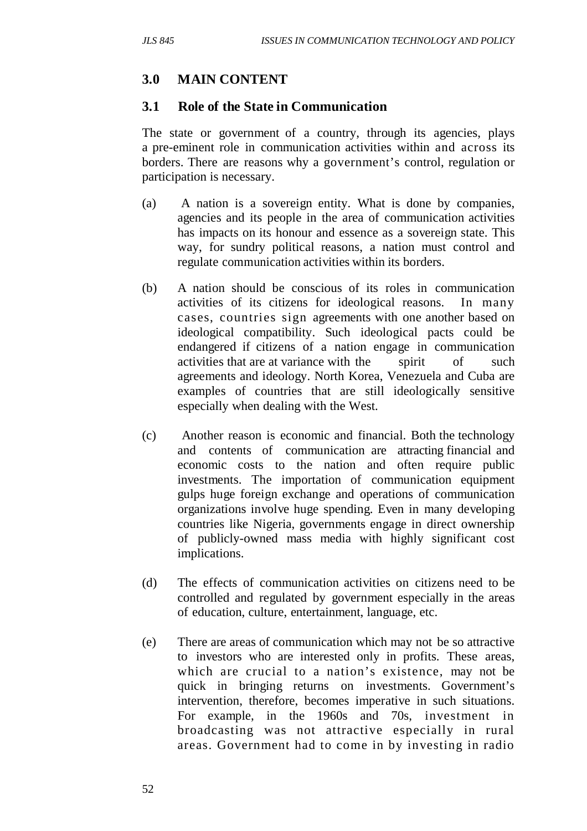# **3.0 MAIN CONTENT**

#### **3.1 Role of the State in Communication**

The state or government of a country, through its agencies, plays a pre-eminent role in communication activities within and across its borders. There are reasons why a government's control, regulation or participation is necessary.

- (a) A nation is a sovereign entity. What is done by companies, agencies and its people in the area of communication activities has impacts on its honour and essence as a sovereign state. This way, for sundry political reasons, a nation must control and regulate communication activities within its borders.
- (b) A nation should be conscious of its roles in communication activities of its citizens for ideological reasons. In many cases, countries sign agreements with one another based on ideological compatibility. Such ideological pacts could be endangered if citizens of a nation engage in communication activities that are at variance with the spirit of such agreements and ideology. North Korea, Venezuela and Cuba are examples of countries that are still ideologically sensitive especially when dealing with the West.
- (c) Another reason is economic and financial. Both the technology and contents of communication are attracting financial and economic costs to the nation and often require public investments. The importation of communication equipment gulps huge foreign exchange and operations of communication organizations involve huge spending. Even in many developing countries like Nigeria, governments engage in direct ownership of publicly-owned mass media with highly significant cost implications.
- (d) The effects of communication activities on citizens need to be controlled and regulated by government especially in the areas of education, culture, entertainment, language, etc.
- (e) There are areas of communication which may not be so attractive to investors who are interested only in profits. These areas, which are crucial to a nation's existence, may not be quick in bringing returns on investments. Government's intervention, therefore, becomes imperative in such situations. For example, in the 1960s and 70s, investment in broadcasting was not attractive especially in rural areas. Government had to come in by investing in radio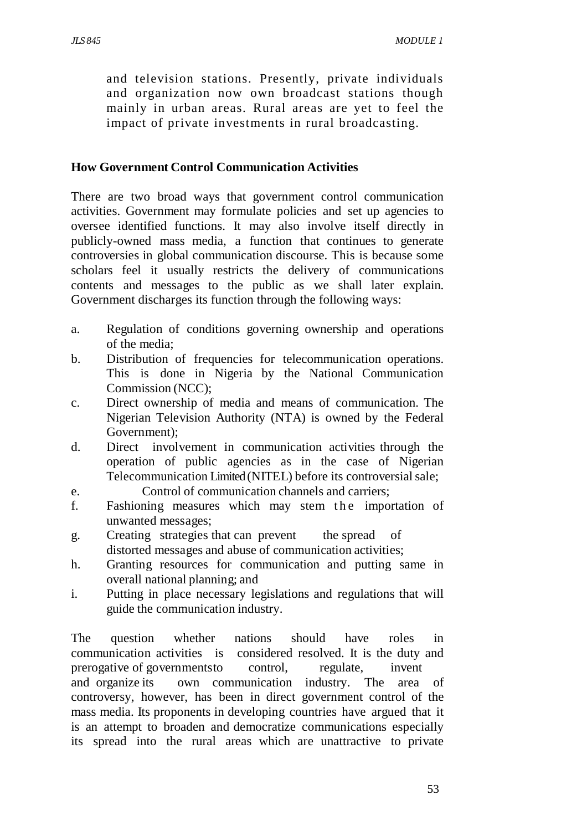and television stations. Presently, private individuals and organization now own broadcast stations though mainly in urban areas. Rural areas are yet to feel the impact of private investments in rural broadcasting.

#### **How Government Control Communication Activities**

There are two broad ways that government control communication activities. Government may formulate policies and set up agencies to oversee identified functions. It may also involve itself directly in publicly-owned mass media, a function that continues to generate controversies in global communication discourse. This is because some scholars feel it usually restricts the delivery of communications contents and messages to the public as we shall later explain. Government discharges its function through the following ways:

- a. Regulation of conditions governing ownership and operations of the media;
- b. Distribution of frequencies for telecommunication operations. This is done in Nigeria by the National Communication Commission (NCC);
- c. Direct ownership of media and means of communication. The Nigerian Television Authority (NTA) is owned by the Federal Government);
- d. Direct involvement in communication activities through the operation of public agencies as in the case of Nigerian Telecommunication Limited (NITEL) before its controversial sale;
- e. Control of communication channels and carriers;
- f. Fashioning measures which may stem the importation of unwanted messages;
- g. Creating strategies that can prevent the spread of distorted messages and abuse of communication activities;
- h. Granting resources for communication and putting same in overall national planning; and
- i. Putting in place necessary legislations and regulations that will guide the communication industry.

The question whether nations should have roles in communication activities is considered resolved. It is the duty and prerogative of governments to control, regulate, invent and organize its own communication industry. The area of controversy, however, has been in direct government control of the mass media. Its proponents in developing countries have argued that it is an attempt to broaden and democratize communications especially its spread into the rural areas which are unattractive to private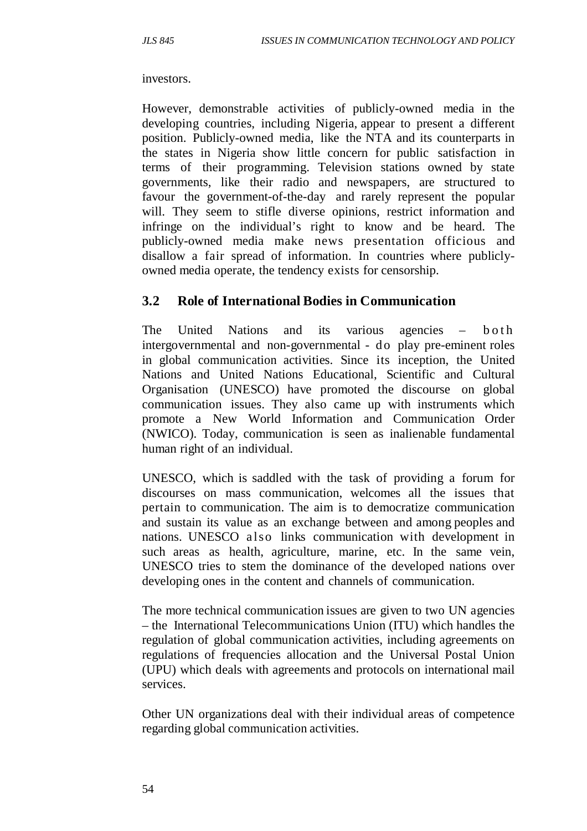#### investors.

However, demonstrable activities of publicly-owned media in the developing countries, including Nigeria, appear to present a different position. Publicly-owned media, like the NTA and its counterparts in the states in Nigeria show little concern for public satisfaction in terms of their programming. Television stations owned by state governments, like their radio and newspapers, are structured to favour the government-of-the-day and rarely represent the popular will. They seem to stifle diverse opinions, restrict information and infringe on the individual's right to know and be heard. The publicly-owned media make news presentation officious and disallow a fair spread of information. In countries where publiclyowned media operate, the tendency exists for censorship.

#### **3.2 Role of International Bodies in Communication**

The United Nations and its various agencies  $-$  b o th intergovernmental and non-governmental - do play pre-eminent roles in global communication activities. Since its inception, the United Nations and United Nations Educational, Scientific and Cultural Organisation (UNESCO) have promoted the discourse on global communication issues. They also came up with instruments which promote a New World Information and Communication Order (NWICO). Today, communication is seen as inalienable fundamental human right of an individual.

UNESCO, which is saddled with the task of providing a forum for discourses on mass communication, welcomes all the issues that pertain to communication. The aim is to democratize communication and sustain its value as an exchange between and among peoples and nations. UNESCO also links communication with development in such areas as health, agriculture, marine, etc. In the same vein, UNESCO tries to stem the dominance of the developed nations over developing ones in the content and channels of communication.

The more technical communication issues are given to two UN agencies – the International Telecommunications Union (ITU) which handles the regulation of global communication activities, including agreements on regulations of frequencies allocation and the Universal Postal Union (UPU) which deals with agreements and protocols on international mail services.

Other UN organizations deal with their individual areas of competence regarding global communication activities.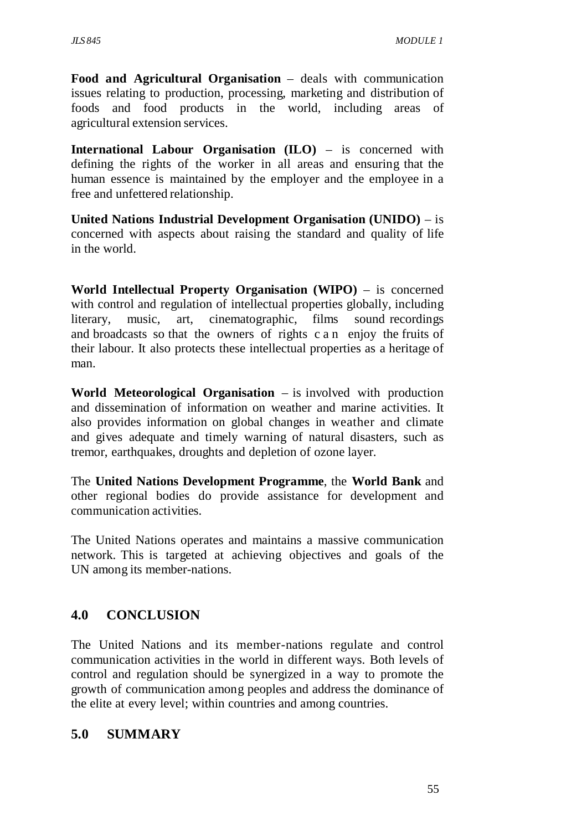**Food and Agricultural Organisation** – deals with communication issues relating to production, processing, marketing and distribution of foods and food products in the world, including areas of agricultural extension services.

**International Labour Organisation (ILO)** – is concerned with defining the rights of the worker in all areas and ensuring that the human essence is maintained by the employer and the employee in a free and unfettered relationship.

**United Nations Industrial Development Organisation (UNIDO)** – is concerned with aspects about raising the standard and quality of life in the world.

**World Intellectual Property Organisation (WIPO)** – is concerned with control and regulation of intellectual properties globally, including literary, music, art, cinematographic, films sound recordings and broadcasts so that the owners of rights c a n enjoy the fruits of their labour. It also protects these intellectual properties as a heritage of man.

**World Meteorological Organisation** – is involved with production and dissemination of information on weather and marine activities. It also provides information on global changes in weather and climate and gives adequate and timely warning of natural disasters, such as tremor, earthquakes, droughts and depletion of ozone layer.

The **United Nations Development Programme**, the **World Bank** and other regional bodies do provide assistance for development and communication activities.

The United Nations operates and maintains a massive communication network. This is targeted at achieving objectives and goals of the UN among its member-nations.

# **4.0 CONCLUSION**

The United Nations and its member-nations regulate and control communication activities in the world in different ways. Both levels of control and regulation should be synergized in a way to promote the growth of communication among peoples and address the dominance of the elite at every level; within countries and among countries.

### **5.0 SUMMARY**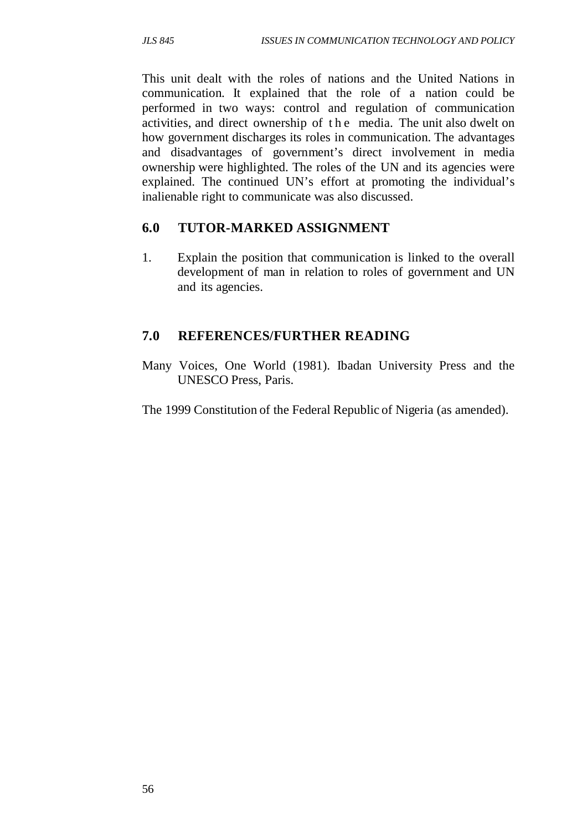This unit dealt with the roles of nations and the United Nations in communication. It explained that the role of a nation could be performed in two ways: control and regulation of communication activities, and direct ownership of the media. The unit also dwelt on how government discharges its roles in communication. The advantages and disadvantages of government's direct involvement in media ownership were highlighted. The roles of the UN and its agencies were explained. The continued UN's effort at promoting the individual's inalienable right to communicate was also discussed.

### **6.0 TUTOR-MARKED ASSIGNMENT**

1. Explain the position that communication is linked to the overall development of man in relation to roles of government and UN and its agencies.

# **7.0 REFERENCES/FURTHER READING**

- Many Voices, One World (1981). Ibadan University Press and the UNESCO Press, Paris.
- The 1999 Constitution of the Federal Republic of Nigeria (as amended).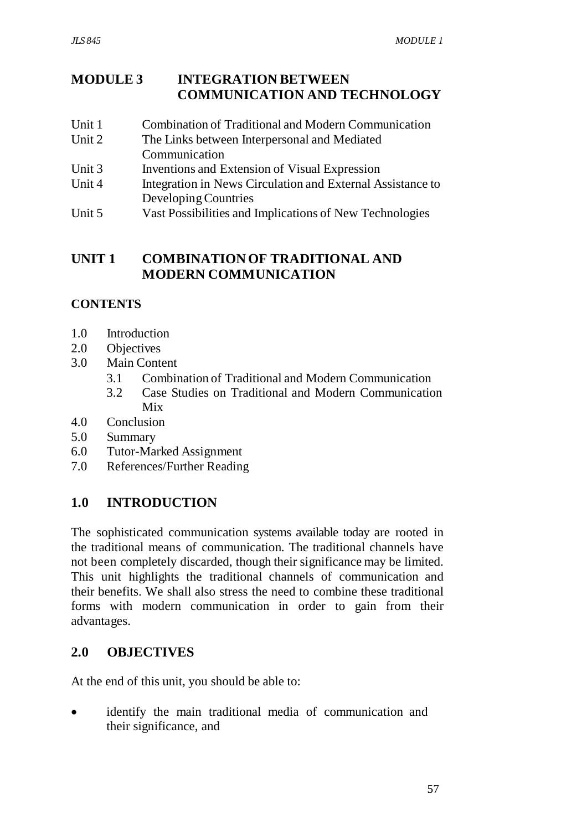### **MODULE 3 INTEGRATION BETWEEN COMMUNICATION AND TECHNOLOGY**

- Unit 1 Combination of Traditional and Modern Communication
- Unit 2 The Links between Interpersonal and Mediated Communication
- Unit 3 Inventions and Extension of Visual Expression
- Unit 4 Integration in News Circulation and External Assistance to Developing Countries
- Unit 5 Vast Possibilities and Implications of New Technologies

# **UNIT 1 COMBINATION OF TRADITIONAL AND MODERN COMMUNICATION**

### **CONTENTS**

- 1.0 Introduction
- 2.0 Objectives
- 3.0 Main Content
	- 3.1 Combination of Traditional and Modern Communication
	- 3.2 Case Studies on Traditional and Modern Communication Mix
- 4.0 Conclusion
- 5.0 Summary
- 6.0 Tutor-Marked Assignment
- 7.0 References/Further Reading

# **1.0 INTRODUCTION**

The sophisticated communication systems available today are rooted in the traditional means of communication. The traditional channels have not been completely discarded, though their significance may be limited. This unit highlights the traditional channels of communication and their benefits. We shall also stress the need to combine these traditional forms with modern communication in order to gain from their advantages.

### **2.0 OBJECTIVES**

At the end of this unit, you should be able to:

• identify the main traditional media of communication and their significance, and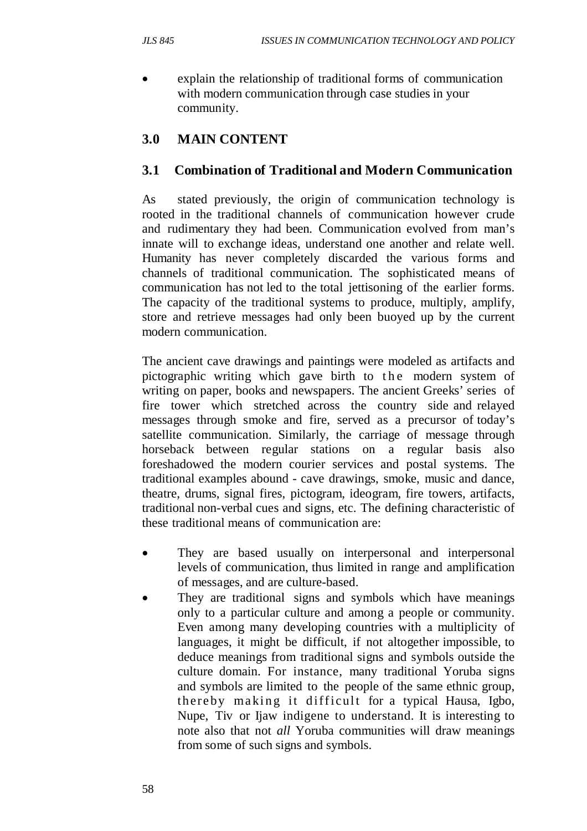explain the relationship of traditional forms of communication with modern communication through case studies in your community.

# **3.0 MAIN CONTENT**

### **3.1 Combination of Traditional and Modern Communication**

As stated previously, the origin of communication technology is rooted in the traditional channels of communication however crude and rudimentary they had been. Communication evolved from man's innate will to exchange ideas, understand one another and relate well. Humanity has never completely discarded the various forms and channels of traditional communication. The sophisticated means of communication has not led to the total jettisoning of the earlier forms. The capacity of the traditional systems to produce, multiply, amplify, store and retrieve messages had only been buoyed up by the current modern communication.

The ancient cave drawings and paintings were modeled as artifacts and pictographic writing which gave birth to the modern system of writing on paper, books and newspapers. The ancient Greeks' series of fire tower which stretched across the country side and relayed messages through smoke and fire, served as a precursor of today's satellite communication. Similarly, the carriage of message through horseback between regular stations on a regular basis also foreshadowed the modern courier services and postal systems. The traditional examples abound - cave drawings, smoke, music and dance, theatre, drums, signal fires, pictogram, ideogram, fire towers, artifacts, traditional non-verbal cues and signs, etc. The defining characteristic of these traditional means of communication are:

- They are based usually on interpersonal and interpersonal levels of communication, thus limited in range and amplification of messages, and are culture-based.
- They are traditional signs and symbols which have meanings only to a particular culture and among a people or community. Even among many developing countries with a multiplicity of languages, it might be difficult, if not altogether impossible, to deduce meanings from traditional signs and symbols outside the culture domain. For instance, many traditional Yoruba signs and symbols are limited to the people of the same ethnic group, thereby making it difficult for a typical Hausa, Igbo, Nupe, Tiv or Ijaw indigene to understand. It is interesting to note also that not *all* Yoruba communities will draw meanings from some of such signs and symbols.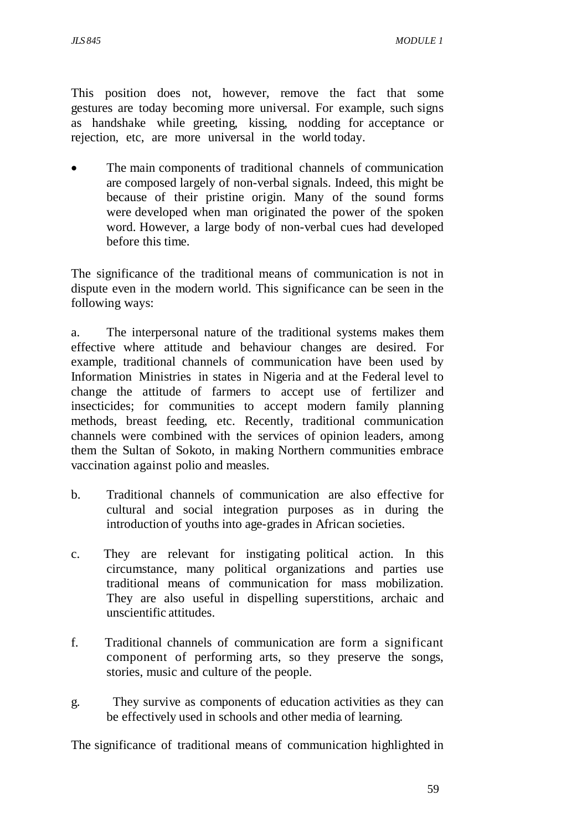This position does not, however, remove the fact that some gestures are today becoming more universal. For example, such signs as handshake while greeting, kissing, nodding for acceptance or rejection, etc, are more universal in the world today.

The main components of traditional channels of communication are composed largely of non-verbal signals. Indeed, this might be because of their pristine origin. Many of the sound forms were developed when man originated the power of the spoken word. However, a large body of non-verbal cues had developed before this time.

The significance of the traditional means of communication is not in dispute even in the modern world. This significance can be seen in the following ways:

a. The interpersonal nature of the traditional systems makes them effective where attitude and behaviour changes are desired. For example, traditional channels of communication have been used by Information Ministries in states in Nigeria and at the Federal level to change the attitude of farmers to accept use of fertilizer and insecticides; for communities to accept modern family planning methods, breast feeding, etc. Recently, traditional communication channels were combined with the services of opinion leaders, among them the Sultan of Sokoto, in making Northern communities embrace vaccination against polio and measles.

- b. Traditional channels of communication are also effective for cultural and social integration purposes as in during the introduction of youths into age-grades in African societies.
- c. They are relevant for instigating political action. In this circumstance, many political organizations and parties use traditional means of communication for mass mobilization. They are also useful in dispelling superstitions, archaic and unscientific attitudes.
- f. Traditional channels of communication are form a significant component of performing arts, so they preserve the songs, stories, music and culture of the people.
- g. They survive as components of education activities as they can be effectively used in schools and other media of learning.

The significance of traditional means of communication highlighted in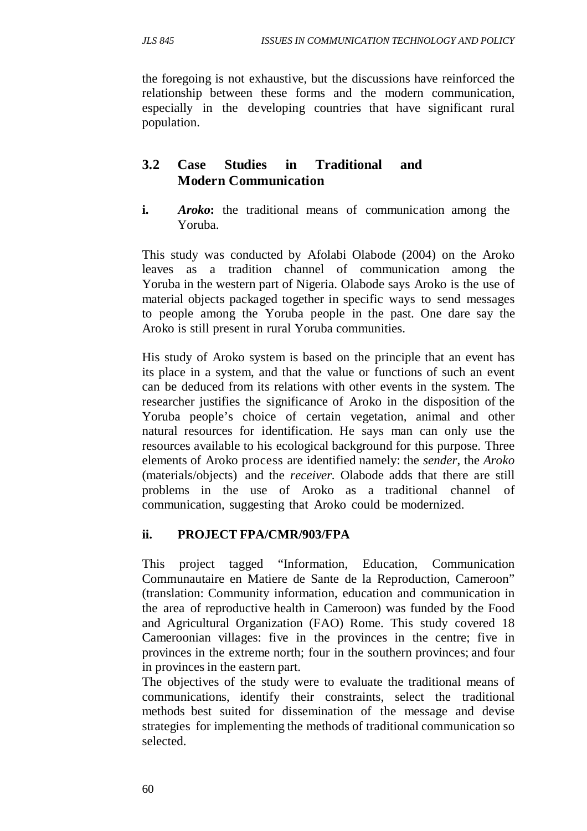the foregoing is not exhaustive, but the discussions have reinforced the relationship between these forms and the modern communication, especially in the developing countries that have significant rural population.

# **3.2 Case Studies in Traditional and Modern Communication**

**i.** *Aroko*: the traditional means of communication among the Yoruba.

This study was conducted by Afolabi Olabode (2004) on the Aroko leaves as a tradition channel of communication among the Yoruba in the western part of Nigeria. Olabode says Aroko is the use of material objects packaged together in specific ways to send messages to people among the Yoruba people in the past. One dare say the Aroko is still present in rural Yoruba communities.

His study of Aroko system is based on the principle that an event has its place in a system, and that the value or functions of such an event can be deduced from its relations with other events in the system. The researcher justifies the significance of Aroko in the disposition of the Yoruba people's choice of certain vegetation, animal and other natural resources for identification. He says man can only use the resources available to his ecological background for this purpose. Three elements of Aroko process are identified namely: the *sender*, the *Aroko* (materials/objects) and the *receiver.* Olabode adds that there are still problems in the use of Aroko as a traditional channel of communication, suggesting that Aroko could be modernized.

# **ii. PROJECT FPA/CMR/903/FPA**

This project tagged "Information, Education, Communication Communautaire en Matiere de Sante de la Reproduction, Cameroon" (translation: Community information, education and communication in the area of reproductive health in Cameroon) was funded by the Food and Agricultural Organization (FAO) Rome. This study covered 18 Cameroonian villages: five in the provinces in the centre; five in provinces in the extreme north; four in the southern provinces; and four in provinces in the eastern part.

The objectives of the study were to evaluate the traditional means of communications, identify their constraints, select the traditional methods best suited for dissemination of the message and devise strategies for implementing the methods of traditional communication so selected.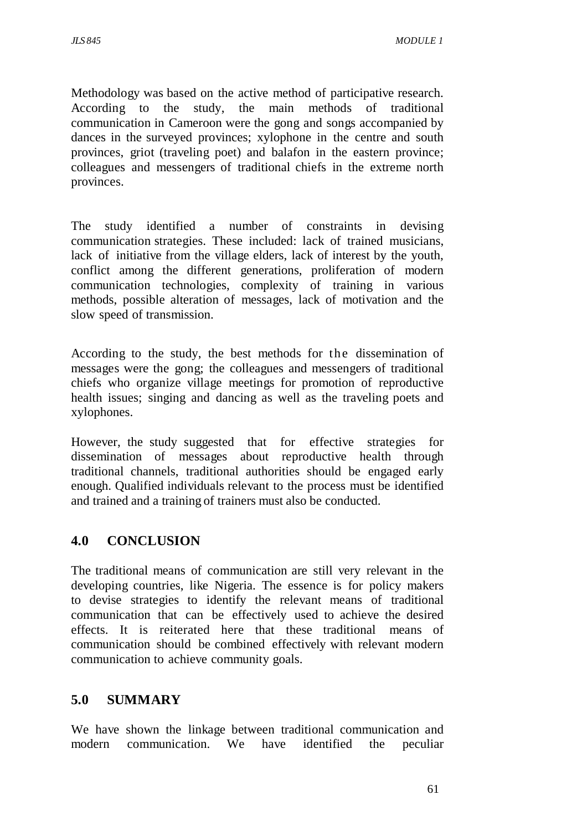Methodology was based on the active method of participative research. According to the study, the main methods of traditional communication in Cameroon were the gong and songs accompanied by dances in the surveyed provinces; xylophone in the centre and south provinces, griot (traveling poet) and balafon in the eastern province; colleagues and messengers of traditional chiefs in the extreme north provinces.

The study identified a number of constraints in devising communication strategies. These included: lack of trained musicians, lack of initiative from the village elders, lack of interest by the youth, conflict among the different generations, proliferation of modern communication technologies, complexity of training in various methods, possible alteration of messages, lack of motivation and the slow speed of transmission.

According to the study, the best methods for the dissemination of messages were the gong; the colleagues and messengers of traditional chiefs who organize village meetings for promotion of reproductive health issues; singing and dancing as well as the traveling poets and xylophones.

However, the study suggested that for effective strategies for dissemination of messages about reproductive health through traditional channels, traditional authorities should be engaged early enough. Qualified individuals relevant to the process must be identified and trained and a training of trainers must also be conducted.

# **4.0 CONCLUSION**

The traditional means of communication are still very relevant in the developing countries, like Nigeria. The essence is for policy makers to devise strategies to identify the relevant means of traditional communication that can be effectively used to achieve the desired effects. It is reiterated here that these traditional means of communication should be combined effectively with relevant modern communication to achieve community goals.

# **5.0 SUMMARY**

We have shown the linkage between traditional communication and modern communication. We have identified the peculiar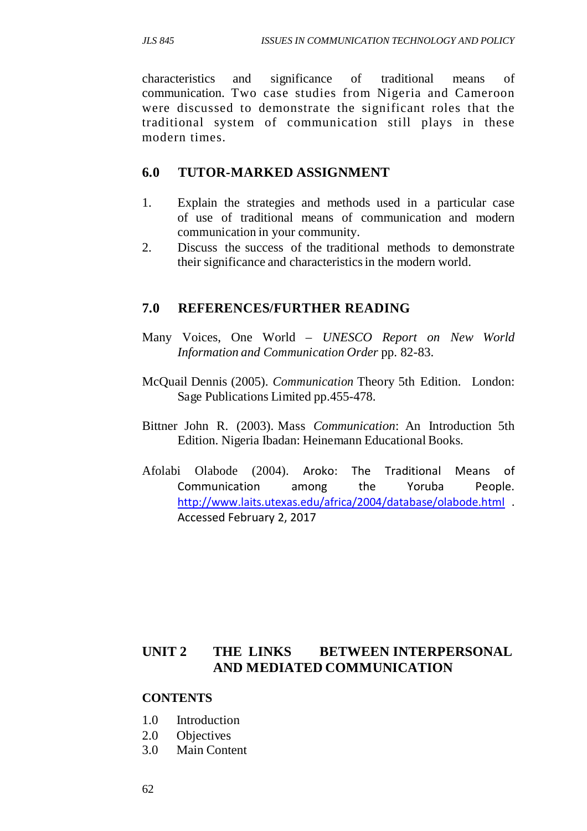characteristics and significance of traditional means of communication. Two case studies from Nigeria and Cameroon were discussed to demonstrate the significant roles that the traditional system of communication still plays in these modern times.

### **6.0 TUTOR-MARKED ASSIGNMENT**

- 1. Explain the strategies and methods used in a particular case of use of traditional means of communication and modern communication in your community.
- 2. Discuss the success of the traditional methods to demonstrate their significance and characteristics in the modern world.

#### **7.0 REFERENCES/FURTHER READING**

- Many Voices, One World *UNESCO Report on New World Information and Communication Order* pp. 82-83.
- McQuail Dennis (2005). *Communication* Theory 5th Edition. London: Sage Publications Limited pp.455-478.
- Bittner John R. (2003). Mass *Communication*: An Introduction 5th Edition. Nigeria Ibadan: Heinemann Educational Books.
- Afolabi Olabode (2004). Aroko: The Traditional Means of Communication among the Yoruba People. http://www.laits.utexas.edu/africa/2004/database/olabode.html . Accessed February 2, 2017

### **UNIT 2 THE LINKS BETWEEN INTERPERSONAL AND MEDIATED COMMUNICATION**

#### **CONTENTS**

- 1.0 Introduction
- 2.0 Objectives
- 3.0 Main Content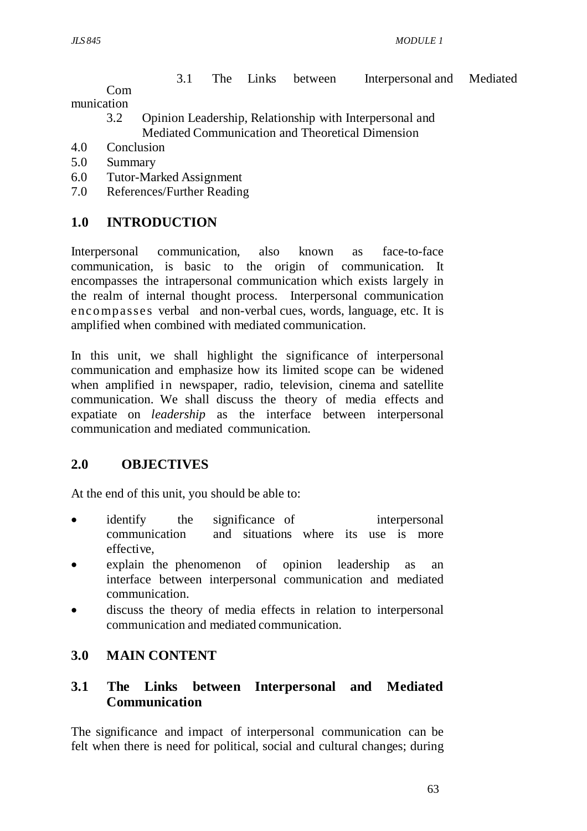3.1 The Links between Interpersonal and Mediated

 Com munication

- 3.2 Opinion Leadership, Relationship with Interpersonal and Mediated Communication and Theoretical Dimension
- 4.0 Conclusion
- 5.0 Summary
- 6.0 Tutor-Marked Assignment
- 7.0 References/Further Reading

### **1.0 INTRODUCTION**

Interpersonal communication, also known as face-to-face communication, is basic to the origin of communication. It encompasses the intrapersonal communication which exists largely in the realm of internal thought process. Interpersonal communication enco mpasses verbal and non-verbal cues, words, language, etc. It is amplified when combined with mediated communication.

In this unit, we shall highlight the significance of interpersonal communication and emphasize how its limited scope can be widened when amplified in newspaper, radio, television, cinema and satellite communication. We shall discuss the theory of media effects and expatiate on *leadership* as the interface between interpersonal communication and mediated communication.

### **2.0 OBJECTIVES**

At the end of this unit, you should be able to:

- identify the significance of interpersonal communication and situations where its use is more effective,
- explain the phenomenon of opinion leadership as an interface between interpersonal communication and mediated communication.
- discuss the theory of media effects in relation to interpersonal communication and mediated communication.

### **3.0 MAIN CONTENT**

### **3.1 The Links between Interpersonal and Mediated Communication**

The significance and impact of interpersonal communication can be felt when there is need for political, social and cultural changes; during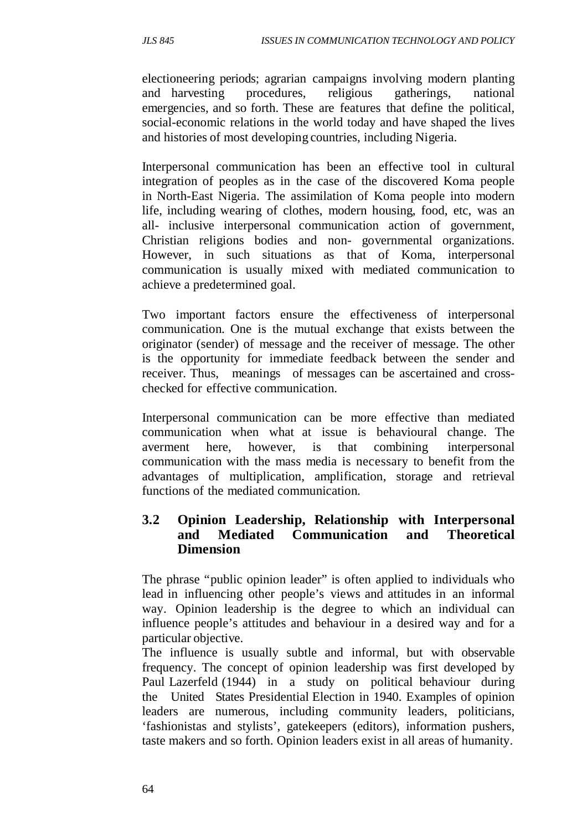electioneering periods; agrarian campaigns involving modern planting and harvesting procedures, religious gatherings, national emergencies, and so forth. These are features that define the political, social-economic relations in the world today and have shaped the lives and histories of most developing countries, including Nigeria.

Interpersonal communication has been an effective tool in cultural integration of peoples as in the case of the discovered Koma people in North-East Nigeria. The assimilation of Koma people into modern life, including wearing of clothes, modern housing, food, etc, was an all- inclusive interpersonal communication action of government, Christian religions bodies and non- governmental organizations. However, in such situations as that of Koma, interpersonal communication is usually mixed with mediated communication to achieve a predetermined goal.

Two important factors ensure the effectiveness of interpersonal communication. One is the mutual exchange that exists between the originator (sender) of message and the receiver of message. The other is the opportunity for immediate feedback between the sender and receiver. Thus, meanings of messages can be ascertained and crosschecked for effective communication.

Interpersonal communication can be more effective than mediated communication when what at issue is behavioural change. The averment here, however, is that combining interpersonal communication with the mass media is necessary to benefit from the advantages of multiplication, amplification, storage and retrieval functions of the mediated communication.

#### **3.2 Opinion Leadership, Relationship with Interpersonal and Mediated Communication and Theoretical Dimension**

The phrase "public opinion leader" is often applied to individuals who lead in influencing other people's views and attitudes in an informal way. Opinion leadership is the degree to which an individual can influence people's attitudes and behaviour in a desired way and for a particular objective.

The influence is usually subtle and informal, but with observable frequency. The concept of opinion leadership was first developed by Paul Lazerfeld (1944) in a study on political behaviour during the United States Presidential Election in 1940. Examples of opinion leaders are numerous, including community leaders, politicians, 'fashionistas and stylists', gatekeepers (editors), information pushers, taste makers and so forth. Opinion leaders exist in all areas of humanity.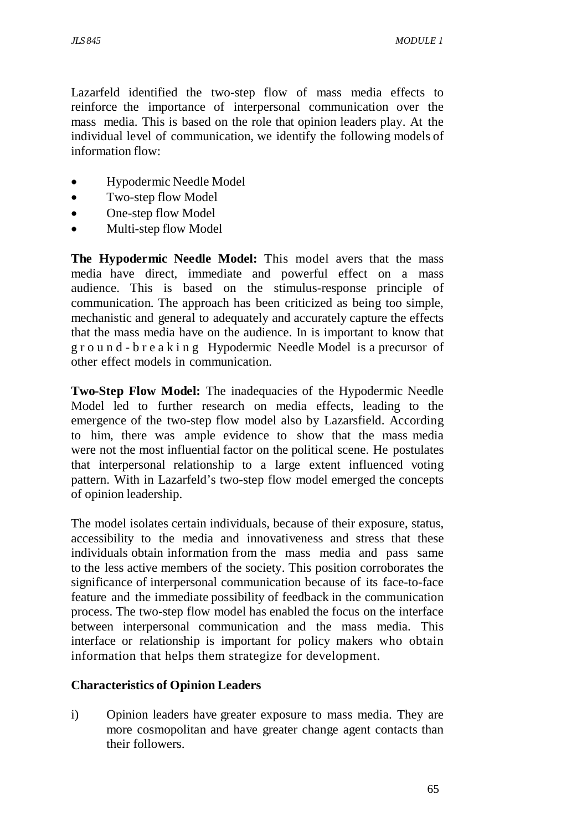Lazarfeld identified the two-step flow of mass media effects to reinforce the importance of interpersonal communication over the mass media. This is based on the role that opinion leaders play. At the individual level of communication, we identify the following models of information flow:

- Hypodermic Needle Model
- Two-step flow Model
- One-step flow Model
- Multi-step flow Model

**The Hypodermic Needle Model:** This model avers that the mass media have direct, immediate and powerful effect on a mass audience. This is based on the stimulus-response principle of communication. The approach has been criticized as being too simple, mechanistic and general to adequately and accurately capture the effects that the mass media have on the audience. In is important to know that g r o u n d - b r e a k i n g Hypodermic Needle Model is a precursor of other effect models in communication.

**Two-Step Flow Model:** The inadequacies of the Hypodermic Needle Model led to further research on media effects, leading to the emergence of the two-step flow model also by Lazarsfield. According to him, there was ample evidence to show that the mass media were not the most influential factor on the political scene. He postulates that interpersonal relationship to a large extent influenced voting pattern. With in Lazarfeld's two-step flow model emerged the concepts of opinion leadership.

The model isolates certain individuals, because of their exposure, status, accessibility to the media and innovativeness and stress that these individuals obtain information from the mass media and pass same to the less active members of the society. This position corroborates the significance of interpersonal communication because of its face-to-face feature and the immediate possibility of feedback in the communication process. The two-step flow model has enabled the focus on the interface between interpersonal communication and the mass media. This interface or relationship is important for policy makers who obtain information that helps them strategize for development.

#### **Characteristics of Opinion Leaders**

i) Opinion leaders have greater exposure to mass media. They are more cosmopolitan and have greater change agent contacts than their followers.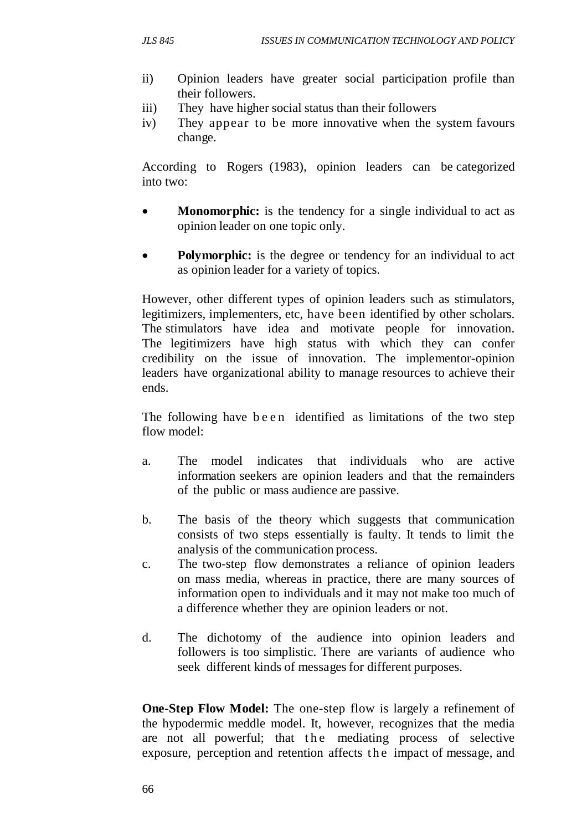- ii) Opinion leaders have greater social participation profile than their followers.
- iii) They have higher social status than their followers
- iv) They appear to be more innovative when the system favours change.

According to Rogers (1983), opinion leaders can be categorized into two:

- **Monomorphic:** is the tendency for a single individual to act as opinion leader on one topic only.
- **Polymorphic:** is the degree or tendency for an individual to act as opinion leader for a variety of topics.

However, other different types of opinion leaders such as stimulators, legitimizers, implementers, etc, have been identified by other scholars. The stimulators have idea and motivate people for innovation. The legitimizers have high status with which they can confer credibility on the issue of innovation. The implementor-opinion leaders have organizational ability to manage resources to achieve their ends.

The following have been identified as limitations of the two step flow model:

- a. The model indicates that individuals who are active information seekers are opinion leaders and that the remainders of the public or mass audience are passive.
- b. The basis of the theory which suggests that communication consists of two steps essentially is faulty. It tends to limit the analysis of the communication process.
- c. The two-step flow demonstrates a reliance of opinion leaders on mass media, whereas in practice, there are many sources of information open to individuals and it may not make too much of a difference whether they are opinion leaders or not.
- d. The dichotomy of the audience into opinion leaders and followers is too simplistic. There are variants of audience who seek different kinds of messages for different purposes.

**One-Step Flow Model:** The one-step flow is largely a refinement of the hypodermic meddle model. It, however, recognizes that the media are not all powerful; that the mediating process of selective exposure, perception and retention affects the impact of message, and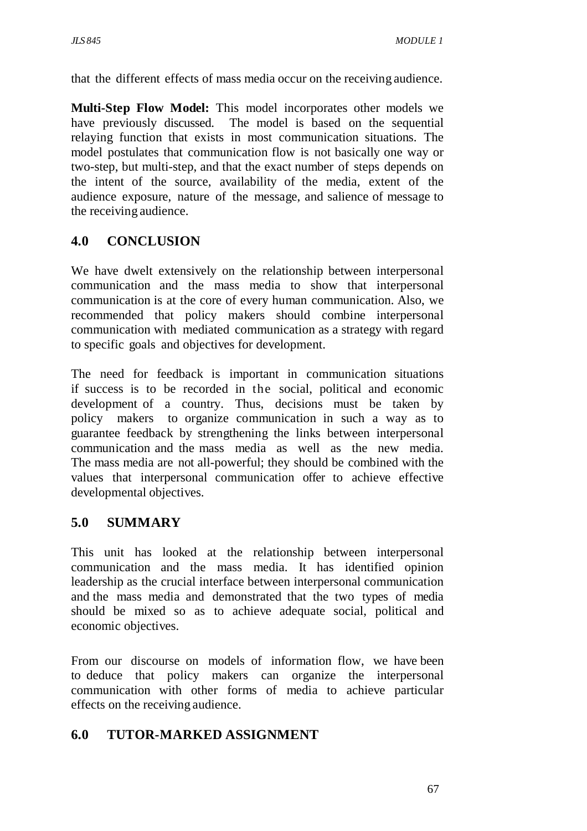that the different effects of mass media occur on the receiving audience.

**Multi-Step Flow Model:** This model incorporates other models we have previously discussed. The model is based on the sequential relaying function that exists in most communication situations. The model postulates that communication flow is not basically one way or two-step, but multi-step, and that the exact number of steps depends on the intent of the source, availability of the media, extent of the audience exposure, nature of the message, and salience of message to the receiving audience.

### **4.0 CONCLUSION**

We have dwelt extensively on the relationship between interpersonal communication and the mass media to show that interpersonal communication is at the core of every human communication. Also, we recommended that policy makers should combine interpersonal communication with mediated communication as a strategy with regard to specific goals and objectives for development.

The need for feedback is important in communication situations if success is to be recorded in the social, political and economic development of a country. Thus, decisions must be taken by policy makers to organize communication in such a way as to guarantee feedback by strengthening the links between interpersonal communication and the mass media as well as the new media. The mass media are not all-powerful; they should be combined with the values that interpersonal communication offer to achieve effective developmental objectives.

### **5.0 SUMMARY**

This unit has looked at the relationship between interpersonal communication and the mass media. It has identified opinion leadership as the crucial interface between interpersonal communication and the mass media and demonstrated that the two types of media should be mixed so as to achieve adequate social, political and economic objectives.

From our discourse on models of information flow, we have been to deduce that policy makers can organize the interpersonal communication with other forms of media to achieve particular effects on the receiving audience.

### **6.0 TUTOR-MARKED ASSIGNMENT**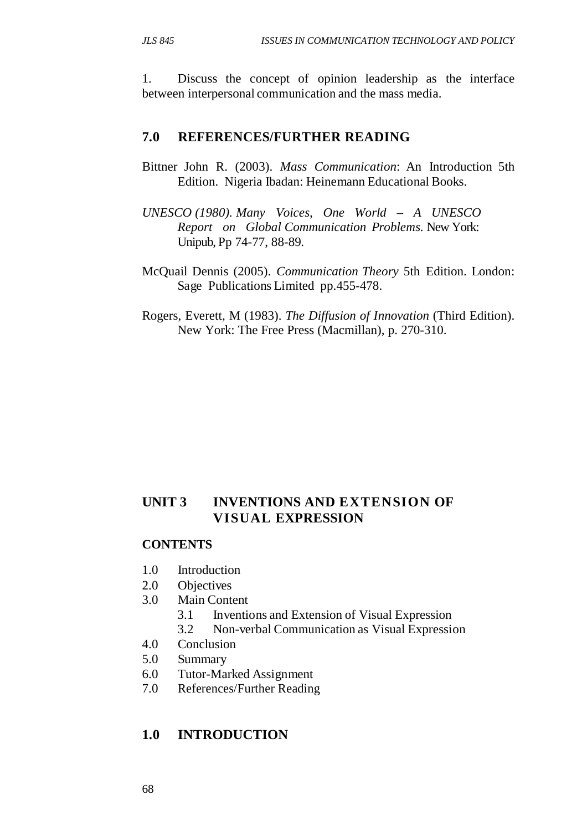1. Discuss the concept of opinion leadership as the interface between interpersonal communication and the mass media.

#### **7.0 REFERENCES/FURTHER READING**

- Bittner John R. (2003). *Mass Communication*: An Introduction 5th Edition. Nigeria Ibadan: Heinemann Educational Books.
- *UNESCO (1980). Many Voices, One World A UNESCO Report on Global Communication Problems.* New York: Unipub, Pp 74-77, 88-89.
- McQuail Dennis (2005). *Communication Theory* 5th Edition. London: Sage Publications Limited pp.455-478.
- Rogers, Everett, M (1983). *The Diffusion of Innovation* (Third Edition). New York: The Free Press (Macmillan), p. 270-310.

### **UNIT 3 INVENTIONS AND EXTENSION OF VISUAL EXPRESSION**

#### **CONTENTS**

- 1.0 Introduction
- 2.0 Objectives
- 3.0 Main Content
	- 3.1 Inventions and Extension of Visual Expression
	- 3.2 Non-verbal Communication as Visual Expression
- 4.0 Conclusion
- 5.0 Summary
- 6.0 Tutor-Marked Assignment
- 7.0 References/Further Reading

#### **1.0 INTRODUCTION**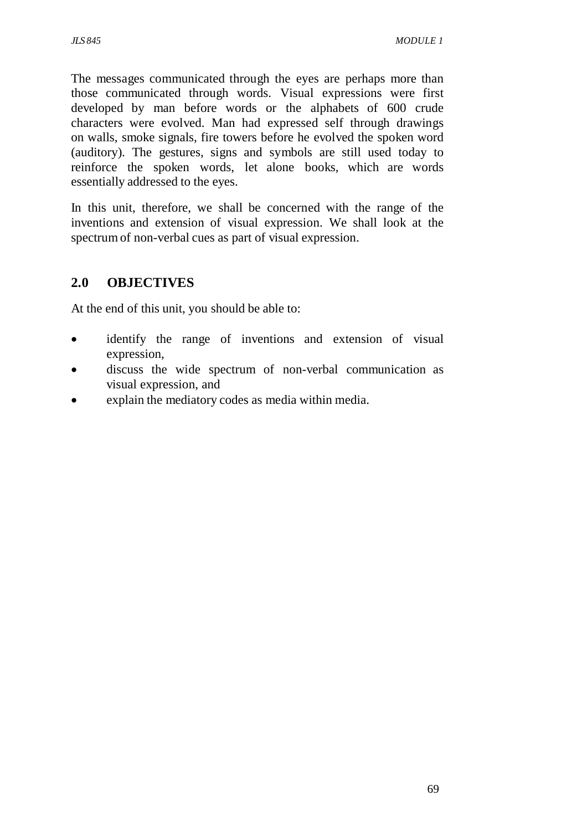The messages communicated through the eyes are perhaps more than those communicated through words. Visual expressions were first developed by man before words or the alphabets of 600 crude characters were evolved. Man had expressed self through drawings on walls, smoke signals, fire towers before he evolved the spoken word (auditory). The gestures, signs and symbols are still used today to reinforce the spoken words, let alone books, which are words essentially addressed to the eyes.

In this unit, therefore, we shall be concerned with the range of the inventions and extension of visual expression. We shall look at the spectrum of non-verbal cues as part of visual expression.

# **2.0 OBJECTIVES**

At the end of this unit, you should be able to:

- identify the range of inventions and extension of visual expression,
- discuss the wide spectrum of non-verbal communication as visual expression, and
- explain the mediatory codes as media within media.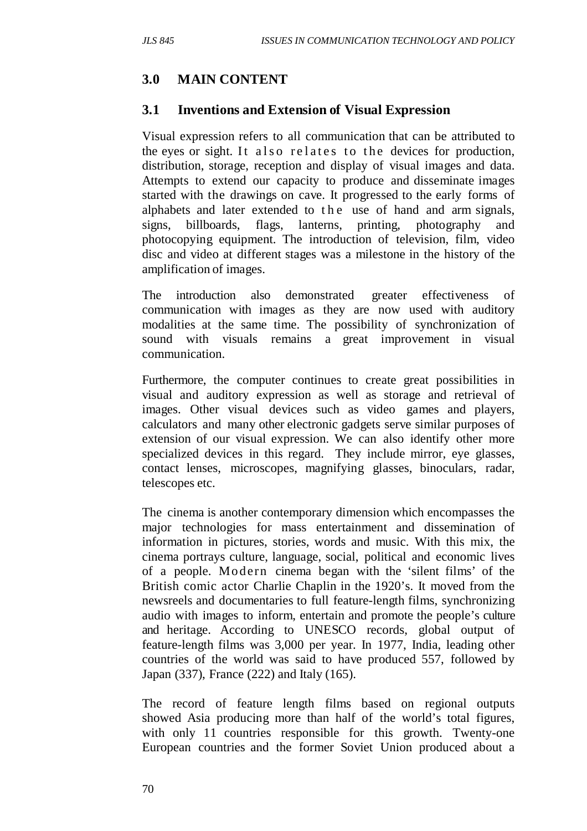### **3.0 MAIN CONTENT**

#### **3.1 Inventions and Extension of Visual Expression**

Visual expression refers to all communication that can be attributed to the eyes or sight. It also relates to the devices for production, distribution, storage, reception and display of visual images and data. Attempts to extend our capacity to produce and disseminate images started with the drawings on cave. It progressed to the early forms of alphabets and later extended to the use of hand and arm signals, signs, billboards, flags, lanterns, printing, photography and photocopying equipment. The introduction of television, film, video disc and video at different stages was a milestone in the history of the amplification of images.

The introduction also demonstrated greater effectiveness of communication with images as they are now used with auditory modalities at the same time. The possibility of synchronization of sound with visuals remains a great improvement in visual communication.

Furthermore, the computer continues to create great possibilities in visual and auditory expression as well as storage and retrieval of images. Other visual devices such as video games and players, calculators and many other electronic gadgets serve similar purposes of extension of our visual expression. We can also identify other more specialized devices in this regard. They include mirror, eye glasses, contact lenses, microscopes, magnifying glasses, binoculars, radar, telescopes etc.

The cinema is another contemporary dimension which encompasses the major technologies for mass entertainment and dissemination of information in pictures, stories, words and music. With this mix, the cinema portrays culture, language, social, political and economic lives of a people. Mo dern cinema began with the 'silent films' of the British comic actor Charlie Chaplin in the 1920's. It moved from the newsreels and documentaries to full feature-length films, synchronizing audio with images to inform, entertain and promote the people's culture and heritage. According to UNESCO records, global output of feature-length films was 3,000 per year. In 1977, India, leading other countries of the world was said to have produced 557, followed by Japan (337), France (222) and Italy (165).

The record of feature length films based on regional outputs showed Asia producing more than half of the world's total figures, with only 11 countries responsible for this growth. Twenty-one European countries and the former Soviet Union produced about a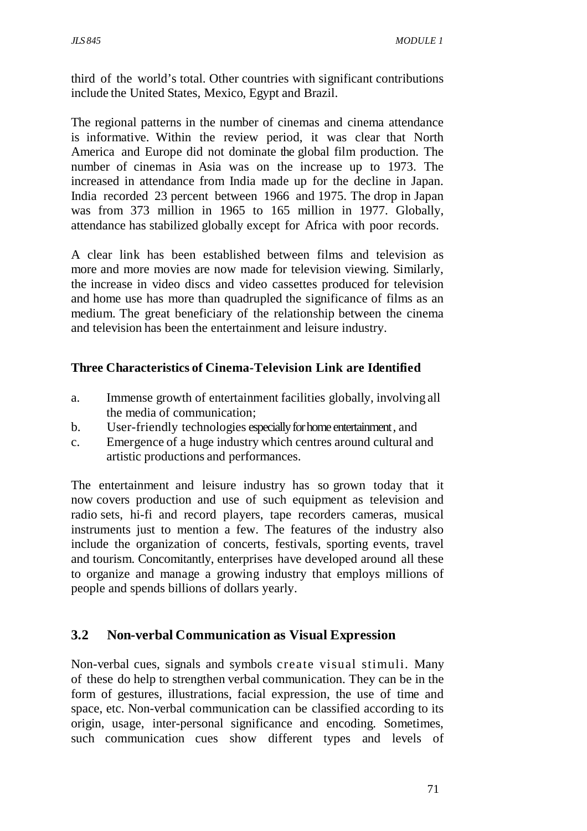third of the world's total. Other countries with significant contributions include the United States, Mexico, Egypt and Brazil.

The regional patterns in the number of cinemas and cinema attendance is informative. Within the review period, it was clear that North America and Europe did not dominate the global film production. The number of cinemas in Asia was on the increase up to 1973. The increased in attendance from India made up for the decline in Japan. India recorded 23 percent between 1966 and 1975. The drop in Japan was from 373 million in 1965 to 165 million in 1977. Globally, attendance has stabilized globally except for Africa with poor records.

A clear link has been established between films and television as more and more movies are now made for television viewing. Similarly, the increase in video discs and video cassettes produced for television and home use has more than quadrupled the significance of films as an medium. The great beneficiary of the relationship between the cinema and television has been the entertainment and leisure industry.

#### **Three Characteristics of Cinema-Television Link are Identified**

- a. Immense growth of entertainment facilities globally, involving all the media of communication;
- b. User-friendly technologies especially for home entertainment , and
- c. Emergence of a huge industry which centres around cultural and artistic productions and performances.

The entertainment and leisure industry has so grown today that it now covers production and use of such equipment as television and radio sets, hi-fi and record players, tape recorders cameras, musical instruments just to mention a few. The features of the industry also include the organization of concerts, festivals, sporting events, travel and tourism. Concomitantly, enterprises have developed around all these to organize and manage a growing industry that employs millions of people and spends billions of dollars yearly.

### **3.2 Non-verbal Communication as Visual Expression**

Non-verbal cues, signals and symbols create visual stimuli. Many of these do help to strengthen verbal communication. They can be in the form of gestures, illustrations, facial expression, the use of time and space, etc. Non-verbal communication can be classified according to its origin, usage, inter-personal significance and encoding. Sometimes, such communication cues show different types and levels of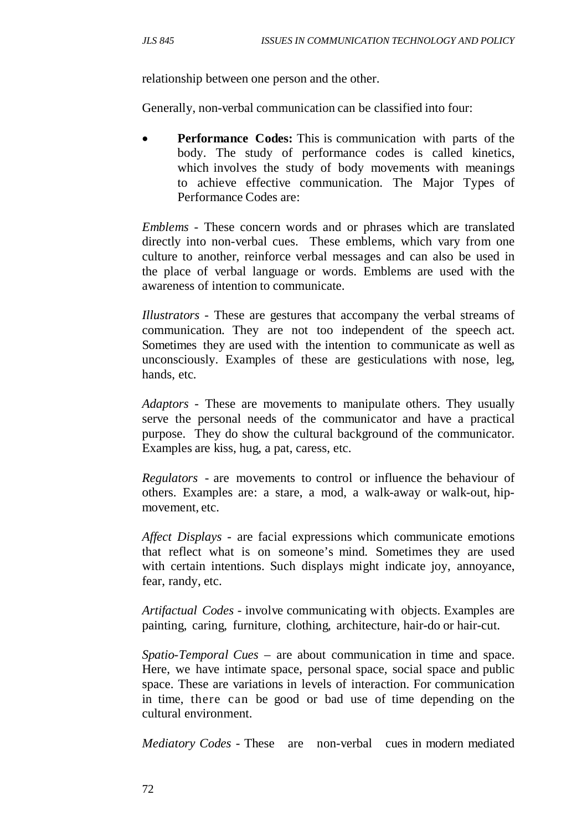relationship between one person and the other.

Generally, non-verbal communication can be classified into four:

• **Performance Codes:** This is communication with parts of the body. The study of performance codes is called kinetics, which involves the study of body movements with meanings to achieve effective communication. The Major Types of Performance Codes are:

*Emblems* - These concern words and or phrases which are translated directly into non-verbal cues. These emblems, which vary from one culture to another, reinforce verbal messages and can also be used in the place of verbal language or words. Emblems are used with the awareness of intention to communicate.

*Illustrators* - These are gestures that accompany the verbal streams of communication. They are not too independent of the speech act. Sometimes they are used with the intention to communicate as well as unconsciously. Examples of these are gesticulations with nose, leg, hands, etc.

*Adaptors* - These are movements to manipulate others. They usually serve the personal needs of the communicator and have a practical purpose. They do show the cultural background of the communicator. Examples are kiss, hug, a pat, caress, etc.

*Regulators* - are movements to control or influence the behaviour of others. Examples are: a stare, a mod, a walk-away or walk-out, hipmovement, etc.

*Affect Displays* - are facial expressions which communicate emotions that reflect what is on someone's mind. Sometimes they are used with certain intentions. Such displays might indicate joy, annoyance, fear, randy, etc.

*Artifactual Codes* - involve communicating with objects. Examples are painting, caring, furniture, clothing, architecture, hair-do or hair-cut.

*Spatio-Temporal Cues* – are about communication in time and space. Here, we have intimate space, personal space, social space and public space. These are variations in levels of interaction. For communication in time, there can be good or bad use of time depending on the cultural environment.

*Mediatory Codes* - These are non-verbal cues in modern mediated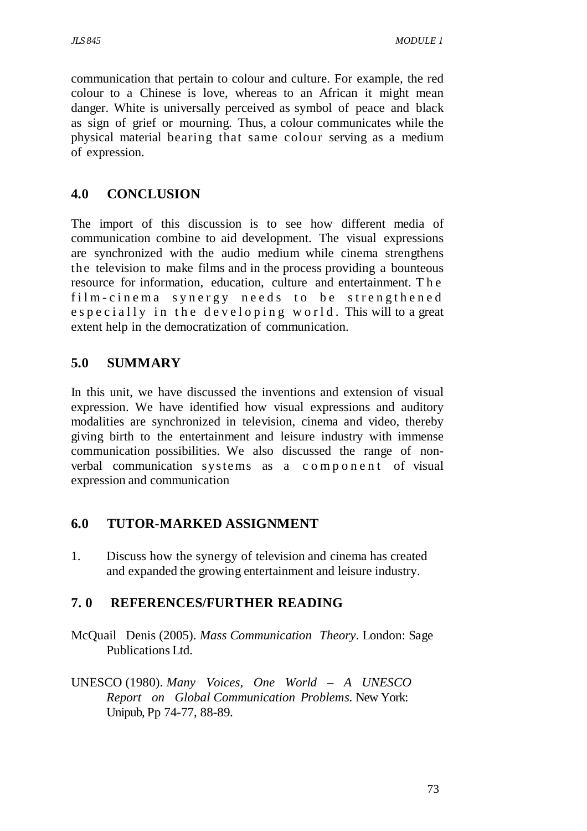communication that pertain to colour and culture. For example, the red colour to a Chinese is love, whereas to an African it might mean danger. White is universally perceived as symbol of peace and black as sign of grief or mourning. Thus, a colour communicates while the physical material bearing that same colour serving as a medium of expression.

## **4.0 CONCLUSION**

The import of this discussion is to see how different media of communication combine to aid development. The visual expressions are synchronized with the audio medium while cinema strengthens the television to make films and in the process providing a bounteous resource for information, education, culture and entertainment. T h e film-cinema synergy needs to be strengthened e specially in the developing world. This will to a great extent help in the democratization of communication.

# **5.0 SUMMARY**

In this unit, we have discussed the inventions and extension of visual expression. We have identified how visual expressions and auditory modalities are synchronized in television, cinema and video, thereby giving birth to the entertainment and leisure industry with immense communication possibilities. We also discussed the range of nonverbal communication systems as a component of visual expression and communication

## **6.0 TUTOR-MARKED ASSIGNMENT**

1. Discuss how the synergy of television and cinema has created and expanded the growing entertainment and leisure industry.

## **7. 0 REFERENCES/FURTHER READING**

- McQuail Denis (2005). *Mass Communication Theory*. London: Sage Publications Ltd.
- UNESCO (1980). *Many Voices, One World A UNESCO Report on Global Communication Problems.* New York: Unipub, Pp 74-77, 88-89.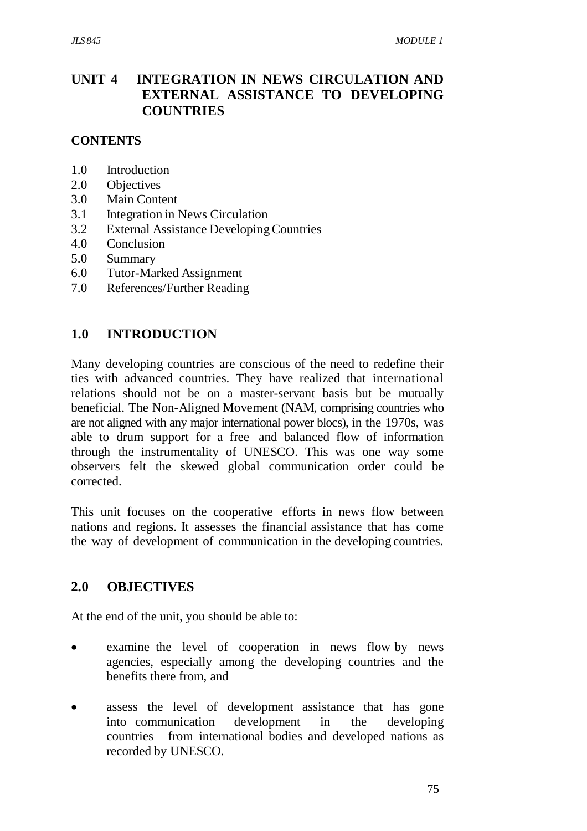## **UNIT 4 INTEGRATION IN NEWS CIRCULATION AND EXTERNAL ASSISTANCE TO DEVELOPING COUNTRIES**

### **CONTENTS**

- 1.0 Introduction
- 2.0 Objectives
- 3.0 Main Content
- 3.1 Integration in News Circulation
- 3.2 External Assistance Developing Countries
- 4.0 Conclusion
- 5.0 Summary
- 6.0 Tutor-Marked Assignment
- 7.0 References/Further Reading

### **1.0 INTRODUCTION**

Many developing countries are conscious of the need to redefine their ties with advanced countries. They have realized that international relations should not be on a master-servant basis but be mutually beneficial. The Non-Aligned Movement (NAM, comprising countries who are not aligned with any major international power blocs), in the 1970s, was able to drum support for a free and balanced flow of information through the instrumentality of UNESCO. This was one way some observers felt the skewed global communication order could be corrected.

This unit focuses on the cooperative efforts in news flow between nations and regions. It assesses the financial assistance that has come the way of development of communication in the developing countries.

#### **2.0 OBJECTIVES**

At the end of the unit, you should be able to:

- examine the level of cooperation in news flow by news agencies, especially among the developing countries and the benefits there from, and
- assess the level of development assistance that has gone into communication development in the developing countries from international bodies and developed nations as recorded by UNESCO.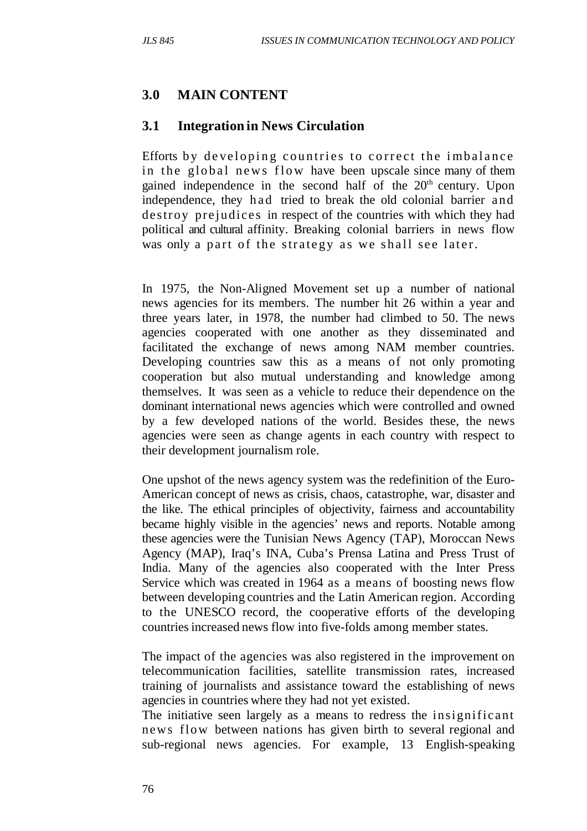## **3.0 MAIN CONTENT**

### **3.1 Integration in News Circulation**

Efforts by developing countries to correct the imbalance in the global news flow have been upscale since many of them gained independence in the second half of the 20<sup>th</sup> century. Upon independence, they h ad tried to break the old colonial barrier and destroy prejudices in respect of the countries with which they had political and cultural affinity. Breaking colonial barriers in news flow was only a part of the strategy as we shall see later.

In 1975, the Non-Aligned Movement set up a number of national news agencies for its members. The number hit 26 within a year and three years later, in 1978, the number had climbed to 50. The news agencies cooperated with one another as they disseminated and facilitated the exchange of news among NAM member countries. Developing countries saw this as a means of not only promoting cooperation but also mutual understanding and knowledge among themselves. It was seen as a vehicle to reduce their dependence on the dominant international news agencies which were controlled and owned by a few developed nations of the world. Besides these, the news agencies were seen as change agents in each country with respect to their development journalism role.

One upshot of the news agency system was the redefinition of the Euro-American concept of news as crisis, chaos, catastrophe, war, disaster and the like. The ethical principles of objectivity, fairness and accountability became highly visible in the agencies' news and reports. Notable among these agencies were the Tunisian News Agency (TAP), Moroccan News Agency (MAP), Iraq's INA, Cuba's Prensa Latina and Press Trust of India. Many of the agencies also cooperated with the Inter Press Service which was created in 1964 as a means of boosting news flow between developing countries and the Latin American region. According to the UNESCO record, the cooperative efforts of the developing countries increased news flow into five-folds among member states.

The impact of the agencies was also registered in the improvement on telecommunication facilities, satellite transmission rates, increased training of journalists and assistance toward the establishing of news agencies in countries where they had not yet existed.

The initiative seen largely as a means to redress the insignificant news flow between nations has given birth to several regional and sub-regional news agencies. For example, 13 English-speaking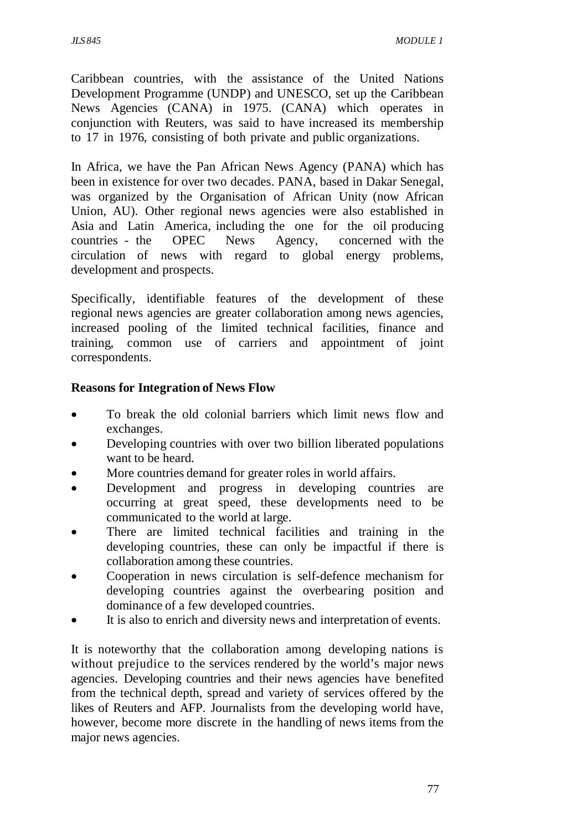Caribbean countries, with the assistance of the United Nations Development Programme (UNDP) and UNESCO, set up the Caribbean News Agencies (CANA) in 1975. (CANA) which operates in conjunction with Reuters, was said to have increased its membership to 17 in 1976, consisting of both private and public organizations.

In Africa, we have the Pan African News Agency (PANA) which has been in existence for over two decades. PANA, based in Dakar Senegal, was organized by the Organisation of African Unity (now African Union, AU). Other regional news agencies were also established in Asia and Latin America, including the one for the oil producing countries - the OPEC News Agency, concerned with the circulation of news with regard to global energy problems, development and prospects.

Specifically, identifiable features of the development of these regional news agencies are greater collaboration among news agencies, increased pooling of the limited technical facilities, finance and training, common use of carriers and appointment of joint correspondents.

#### **Reasons for Integration of News Flow**

- To break the old colonial barriers which limit news flow and exchanges.
- Developing countries with over two billion liberated populations want to be heard.
- More countries demand for greater roles in world affairs.
- Development and progress in developing countries are occurring at great speed, these developments need to be communicated to the world at large.
- There are limited technical facilities and training in the developing countries, these can only be impactful if there is collaboration among these countries.
- Cooperation in news circulation is self-defence mechanism for developing countries against the overbearing position and dominance of a few developed countries.
- It is also to enrich and diversity news and interpretation of events.

It is noteworthy that the collaboration among developing nations is without prejudice to the services rendered by the world's major news agencies. Developing countries and their news agencies have benefited from the technical depth, spread and variety of services offered by the likes of Reuters and AFP. Journalists from the developing world have, however, become more discrete in the handling of news items from the major news agencies.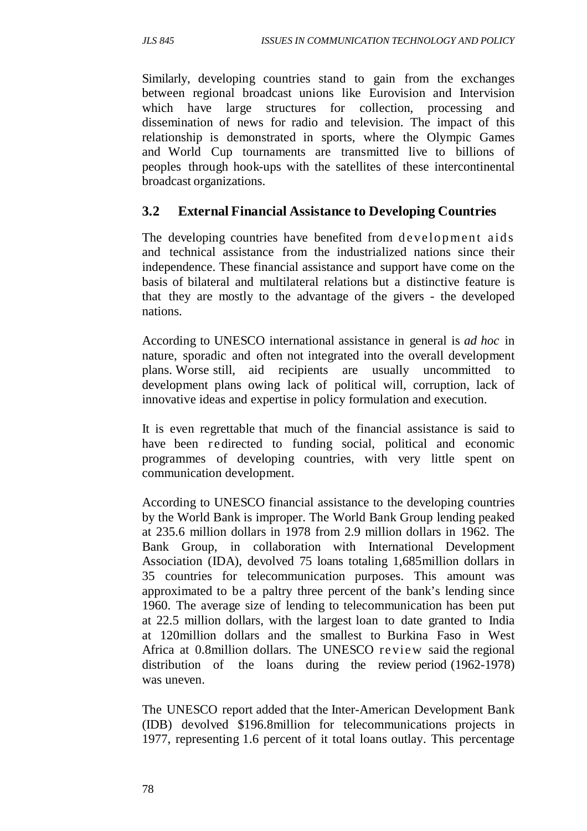Similarly, developing countries stand to gain from the exchanges between regional broadcast unions like Eurovision and Intervision which have large structures for collection, processing and dissemination of news for radio and television. The impact of this relationship is demonstrated in sports, where the Olympic Games and World Cup tournaments are transmitted live to billions of peoples through hook-ups with the satellites of these intercontinental broadcast organizations.

## **3.2 External Financial Assistance to Developing Countries**

The developing countries have benefited from development aids and technical assistance from the industrialized nations since their independence. These financial assistance and support have come on the basis of bilateral and multilateral relations but a distinctive feature is that they are mostly to the advantage of the givers - the developed nations.

According to UNESCO international assistance in general is *ad hoc* in nature, sporadic and often not integrated into the overall development plans. Worse still, aid recipients are usually uncommitted to development plans owing lack of political will, corruption, lack of innovative ideas and expertise in policy formulation and execution.

It is even regrettable that much of the financial assistance is said to have been redirected to funding social, political and economic programmes of developing countries, with very little spent on communication development.

According to UNESCO financial assistance to the developing countries by the World Bank is improper. The World Bank Group lending peaked at 235.6 million dollars in 1978 from 2.9 million dollars in 1962. The Bank Group, in collaboration with International Development Association (IDA), devolved 75 loans totaling 1,685million dollars in 35 countries for telecommunication purposes. This amount was approximated to be a paltry three percent of the bank's lending since 1960. The average size of lending to telecommunication has been put at 22.5 million dollars, with the largest loan to date granted to India at 120million dollars and the smallest to Burkina Faso in West Africa at 0.8million dollars. The UNESCO re vie w said the regional distribution of the loans during the review period (1962-1978) was uneven.

The UNESCO report added that the Inter-American Development Bank (IDB) devolved \$196.8million for telecommunications projects in 1977, representing 1.6 percent of it total loans outlay. This percentage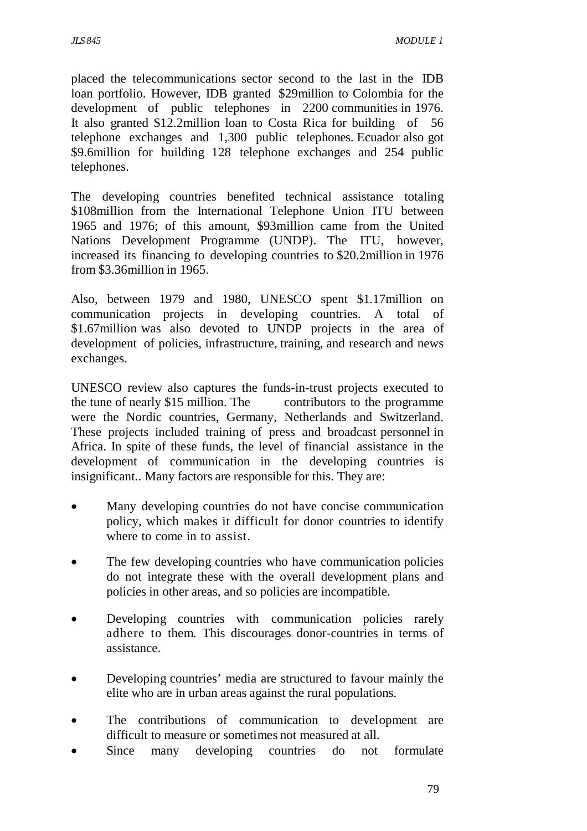placed the telecommunications sector second to the last in the IDB loan portfolio. However, IDB granted \$29million to Colombia for the development of public telephones in 2200 communities in 1976. It also granted \$12.2million loan to Costa Rica for building of 56 telephone exchanges and 1,300 public telephones. Ecuador also got \$9.6million for building 128 telephone exchanges and 254 public telephones.

The developing countries benefited technical assistance totaling \$108 million from the International Telephone Union ITU between 1965 and 1976; of this amount, \$93million came from the United Nations Development Programme (UNDP). The ITU, however, increased its financing to developing countries to \$20.2million in 1976 from \$3.36million in 1965.

Also, between 1979 and 1980, UNESCO spent \$1.17million on communication projects in developing countries. A total of \$1.67million was also devoted to UNDP projects in the area of development of policies, infrastructure, training, and research and news exchanges.

UNESCO review also captures the funds-in-trust projects executed to the tune of nearly \$15 million. The contributors to the programme were the Nordic countries, Germany, Netherlands and Switzerland. These projects included training of press and broadcast personnel in Africa. In spite of these funds, the level of financial assistance in the development of communication in the developing countries is insignificant.. Many factors are responsible for this. They are:

- Many developing countries do not have concise communication policy, which makes it difficult for donor countries to identify where to come in to assist.
- The few developing countries who have communication policies do not integrate these with the overall development plans and policies in other areas, and so policies are incompatible.
- Developing countries with communication policies rarely adhere to them. This discourages donor-countries in terms of assistance.
- Developing countries' media are structured to favour mainly the elite who are in urban areas against the rural populations.
- The contributions of communication to development are difficult to measure or sometimes not measured at all.
- Since many developing countries do not formulate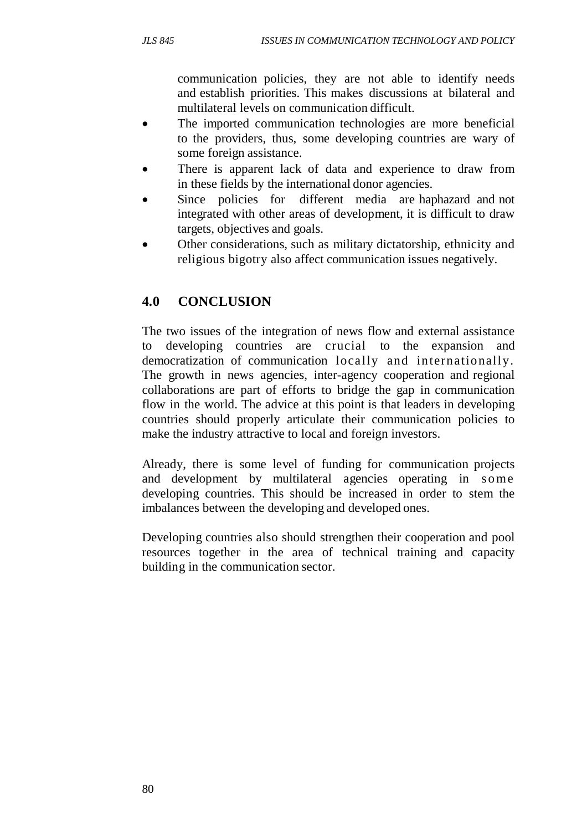communication policies, they are not able to identify needs and establish priorities. This makes discussions at bilateral and multilateral levels on communication difficult.

- The imported communication technologies are more beneficial to the providers, thus, some developing countries are wary of some foreign assistance.
- There is apparent lack of data and experience to draw from in these fields by the international donor agencies.
- Since policies for different media are haphazard and not integrated with other areas of development, it is difficult to draw targets, objectives and goals.
- Other considerations, such as military dictatorship, ethnicity and religious bigotry also affect communication issues negatively.

# **4.0 CONCLUSION**

The two issues of the integration of news flow and external assistance developing countries are crucial to the expansion and democratization of communication locally and internationally. The growth in news agencies, inter-agency cooperation and regional collaborations are part of efforts to bridge the gap in communication flow in the world. The advice at this point is that leaders in developing countries should properly articulate their communication policies to make the industry attractive to local and foreign investors.

Already, there is some level of funding for communication projects and development by multilateral agencies operating in some developing countries. This should be increased in order to stem the imbalances between the developing and developed ones.

Developing countries also should strengthen their cooperation and pool resources together in the area of technical training and capacity building in the communication sector.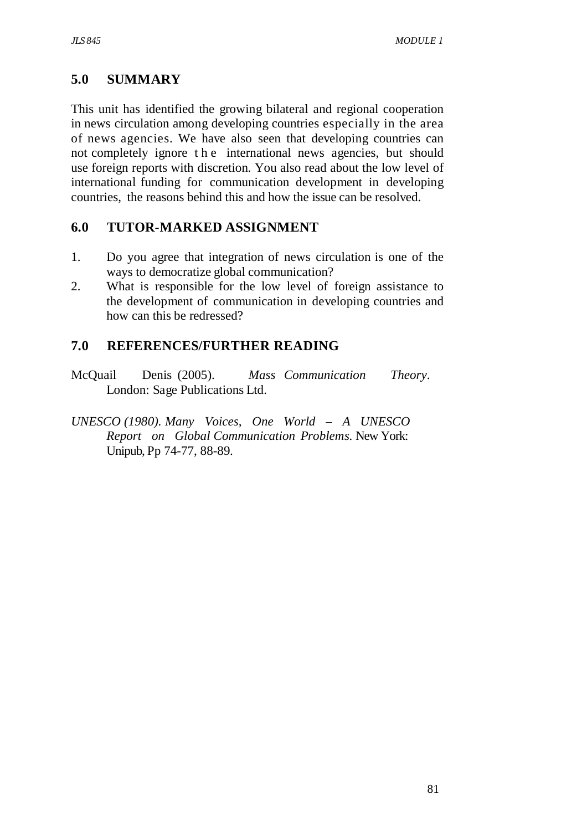## **5.0 SUMMARY**

This unit has identified the growing bilateral and regional cooperation in news circulation among developing countries especially in the area of news agencies. We have also seen that developing countries can not completely ignore t h e international news agencies, but should use foreign reports with discretion. You also read about the low level of international funding for communication development in developing countries, the reasons behind this and how the issue can be resolved.

## **6.0 TUTOR-MARKED ASSIGNMENT**

- 1. Do you agree that integration of news circulation is one of the ways to democratize global communication?
- 2. What is responsible for the low level of foreign assistance to the development of communication in developing countries and how can this be redressed?

# **7.0 REFERENCES/FURTHER READING**

- McQuail Denis (2005). *Mass Communication Theory*. London: Sage Publications Ltd.
- *UNESCO (1980). Many Voices, One World A UNESCO Report on Global Communication Problems.* New York: Unipub, Pp 74-77, 88-89.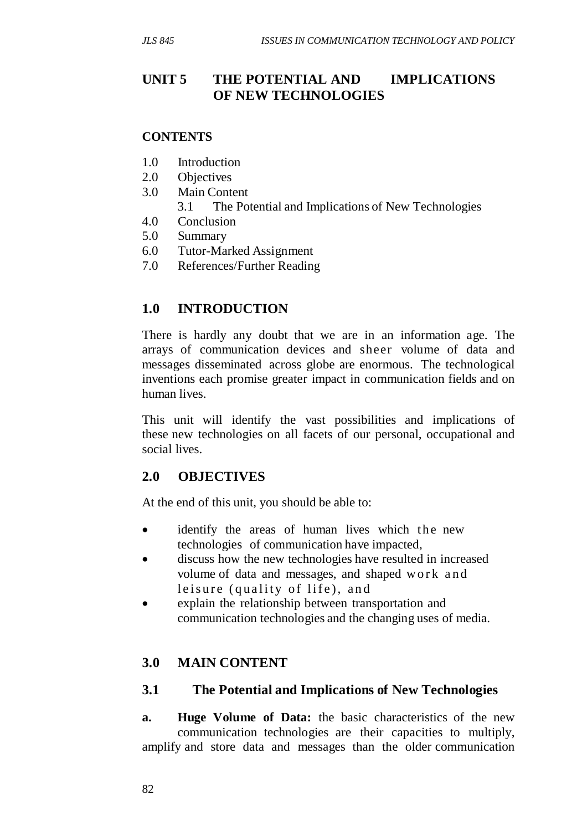## **UNIT 5 THE POTENTIAL AND IMPLICATIONS OF NEW TECHNOLOGIES**

#### **CONTENTS**

- 1.0 Introduction
- 2.0 Objectives
- 3.0 Main Content
	- 3.1 The Potential and Implications of New Technologies
- 4.0 Conclusion
- 5.0 Summary
- 6.0 Tutor-Marked Assignment
- 7.0 References/Further Reading

## **1.0 INTRODUCTION**

There is hardly any doubt that we are in an information age. The arrays of communication devices and sheer volume of data and messages disseminated across globe are enormous. The technological inventions each promise greater impact in communication fields and on human lives.

This unit will identify the vast possibilities and implications of these new technologies on all facets of our personal, occupational and social lives.

## **2.0 OBJECTIVES**

At the end of this unit, you should be able to:

- identify the areas of human lives which the new technologies of communication have impacted,
- discuss how the new technologies have resulted in increased volume of data and messages, and shaped work and leisure (quality of life), and
- explain the relationship between transportation and communication technologies and the changing uses of media.

## **3.0 MAIN CONTENT**

#### **3.1 The Potential and Implications of New Technologies**

**a. Huge Volume of Data:** the basic characteristics of the new communication technologies are their capacities to multiply, amplify and store data and messages than the older communication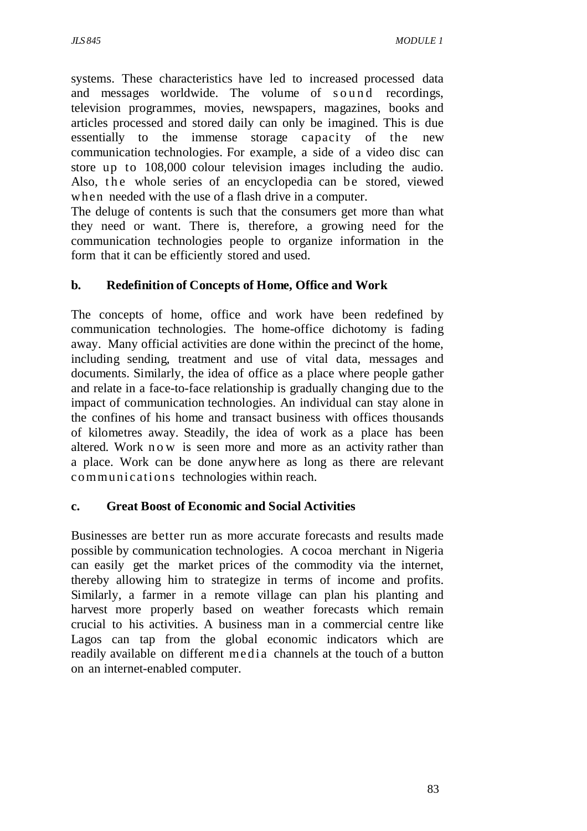systems. These characteristics have led to increased processed data and messages worldwide. The volume of sound recordings, television programmes, movies, newspapers, magazines, books and articles processed and stored daily can only be imagined. This is due essentially to the immense storage capacity of the new communication technologies. For example, a side of a video disc can store up to 108,000 colour television images including the audio. Also, the whole series of an encyclopedia can be stored, viewed when needed with the use of a flash drive in a computer.

The deluge of contents is such that the consumers get more than what they need or want. There is, therefore, a growing need for the communication technologies people to organize information in the form that it can be efficiently stored and used.

### **b. Redefinition of Concepts of Home, Office and Work**

The concepts of home, office and work have been redefined by communication technologies. The home-office dichotomy is fading away. Many official activities are done within the precinct of the home, including sending, treatment and use of vital data, messages and documents. Similarly, the idea of office as a place where people gather and relate in a face-to-face relationship is gradually changing due to the impact of communication technologies. An individual can stay alone in the confines of his home and transact business with offices thousands of kilometres away. Steadily, the idea of work as a place has been altered. Work n o w is seen more and more as an activity rather than a place. Work can be done anywhere as long as there are relevant communications technologies within reach.

#### **c. Great Boost of Economic and Social Activities**

Businesses are better run as more accurate forecasts and results made possible by communication technologies. A cocoa merchant in Nigeria can easily get the market prices of the commodity via the internet, thereby allowing him to strategize in terms of income and profits. Similarly, a farmer in a remote village can plan his planting and harvest more properly based on weather forecasts which remain crucial to his activities. A business man in a commercial centre like Lagos can tap from the global economic indicators which are readily available on different me d i a channels at the touch of a button on an internet-enabled computer.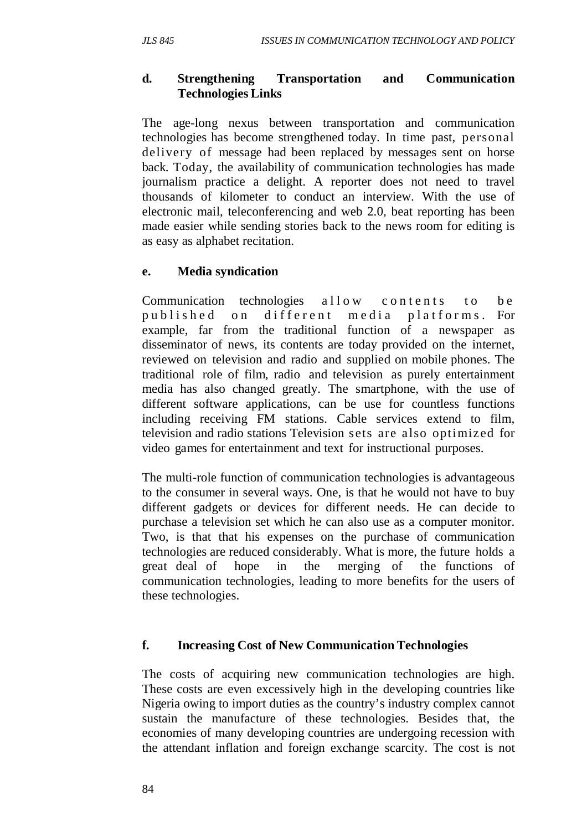### **d. Strengthening Transportation and Communication Technologies Links**

The age-long nexus between transportation and communication technologies has become strengthened today. In time past, personal delivery of message had been replaced by messages sent on horse back. Today, the availability of communication technologies has made journalism practice a delight. A reporter does not need to travel thousands of kilometer to conduct an interview. With the use of electronic mail, teleconferencing and web 2.0, beat reporting has been made easier while sending stories back to the news room for editing is as easy as alphabet recitation.

### **e. Media syndication**

Communication technologies allow contents to be published on different media platforms. For example, far from the traditional function of a newspaper as disseminator of news, its contents are today provided on the internet, reviewed on television and radio and supplied on mobile phones. The traditional role of film, radio and television as purely entertainment media has also changed greatly. The smartphone, with the use of different software applications, can be use for countless functions including receiving FM stations. Cable services extend to film, television and radio stations Television sets are also optimized for video games for entertainment and text for instructional purposes.

The multi-role function of communication technologies is advantageous to the consumer in several ways. One, is that he would not have to buy different gadgets or devices for different needs. He can decide to purchase a television set which he can also use as a computer monitor. Two, is that that his expenses on the purchase of communication technologies are reduced considerably. What is more, the future holds a great deal of hope in the merging of the functions of communication technologies, leading to more benefits for the users of these technologies.

#### **f. Increasing Cost of New Communication Technologies**

The costs of acquiring new communication technologies are high. These costs are even excessively high in the developing countries like Nigeria owing to import duties as the country's industry complex cannot sustain the manufacture of these technologies. Besides that, the economies of many developing countries are undergoing recession with the attendant inflation and foreign exchange scarcity. The cost is not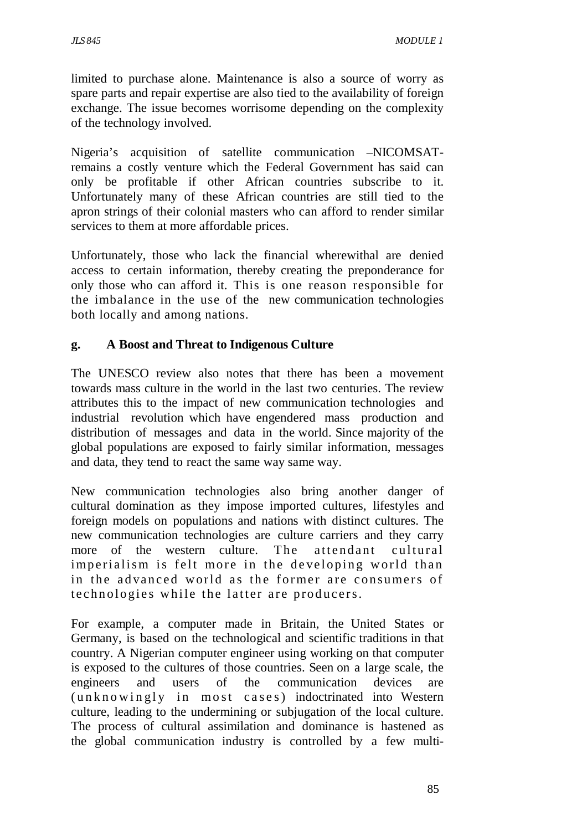limited to purchase alone. Maintenance is also a source of worry as spare parts and repair expertise are also tied to the availability of foreign exchange. The issue becomes worrisome depending on the complexity of the technology involved.

Nigeria's acquisition of satellite communication –NICOMSATremains a costly venture which the Federal Government has said can only be profitable if other African countries subscribe to it. Unfortunately many of these African countries are still tied to the apron strings of their colonial masters who can afford to render similar services to them at more affordable prices.

Unfortunately, those who lack the financial wherewithal are denied access to certain information, thereby creating the preponderance for only those who can afford it. This is one reason responsible for the imbalance in the use of the new communication technologies both locally and among nations.

#### **g. A Boost and Threat to Indigenous Culture**

The UNESCO review also notes that there has been a movement towards mass culture in the world in the last two centuries. The review attributes this to the impact of new communication technologies and industrial revolution which have engendered mass production and distribution of messages and data in the world. Since majority of the global populations are exposed to fairly similar information, messages and data, they tend to react the same way same way.

New communication technologies also bring another danger of cultural domination as they impose imported cultures, lifestyles and foreign models on populations and nations with distinct cultures. The new communication technologies are culture carriers and they carry more of the western culture. The attendant cultural imperialism is felt more in the developing world than in the advanced world as the former are consumers of te chnologies while the latter are producers.

For example, a computer made in Britain, the United States or Germany, is based on the technological and scientific traditions in that country. A Nigerian computer engineer using working on that computer is exposed to the cultures of those countries. Seen on a large scale, the engineers and users of the communication devices are  $(unknowingly in most cases) indoctrinated into Western$ culture, leading to the undermining or subjugation of the local culture. The process of cultural assimilation and dominance is hastened as the global communication industry is controlled by a few multi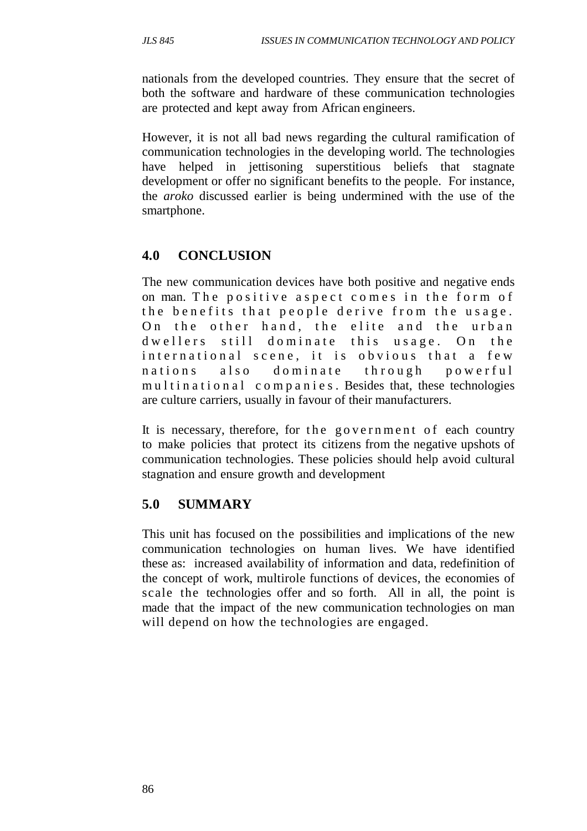nationals from the developed countries. They ensure that the secret of both the software and hardware of these communication technologies are protected and kept away from African engineers.

However, it is not all bad news regarding the cultural ramification of communication technologies in the developing world. The technologies have helped in jettisoning superstitious beliefs that stagnate development or offer no significant benefits to the people. For instance, the *aroko* discussed earlier is being undermined with the use of the smartphone.

## **4.0 CONCLUSION**

The new communication devices have both positive and negative ends on man. The positive aspect comes in the form of the benefits that people derive from the usage. On the other hand, the elite and the urban dwellers still dominate this usage. On the international scene, it is obvious that a few nations also dominate through powerful multinational companies. Besides that, these technologies are culture carriers, usually in favour of their manufacturers.

It is necessary, therefore, for the government of each country to make policies that protect its citizens from the negative upshots of communication technologies. These policies should help avoid cultural stagnation and ensure growth and development

## **5.0 SUMMARY**

This unit has focused on the possibilities and implications of the new communication technologies on human lives. We have identified these as: increased availability of information and data, redefinition of the concept of work, multirole functions of devices, the economies of scale the technologies offer and so forth. All in all, the point is made that the impact of the new communication technologies on man will depend on how the technologies are engaged.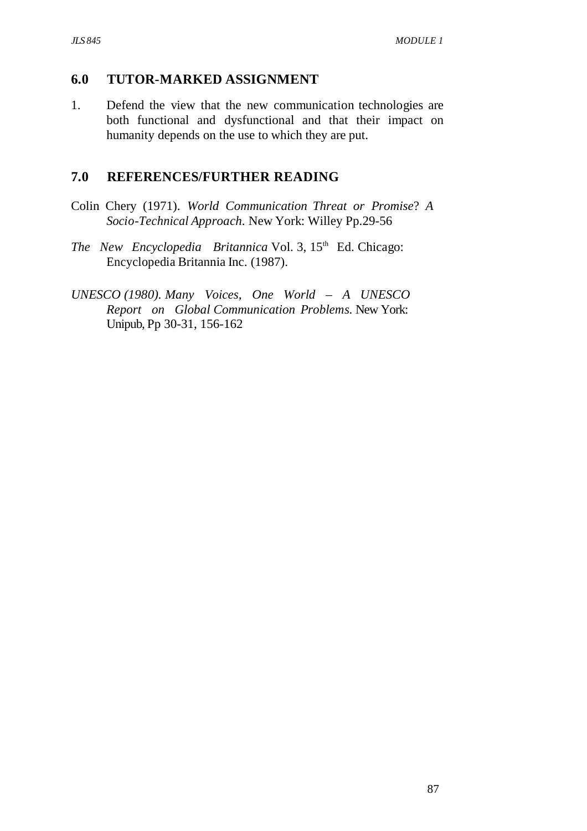### **6.0 TUTOR-MARKED ASSIGNMENT**

1. Defend the view that the new communication technologies are both functional and dysfunctional and that their impact on humanity depends on the use to which they are put.

### **7.0 REFERENCES/FURTHER READING**

- Colin Chery (1971). *World Communication Threat or Promise*? *A Socio-Technical Approach*. New York: Willey Pp.29-56
- *The New Encyclopedia Britannica* Vol. 3, 15<sup>th</sup> Ed. Chicago: Encyclopedia Britannia Inc. (1987).
- *UNESCO (1980). Many Voices, One World A UNESCO Report on Global Communication Problems.* New York: Unipub, Pp 30-31, 156-162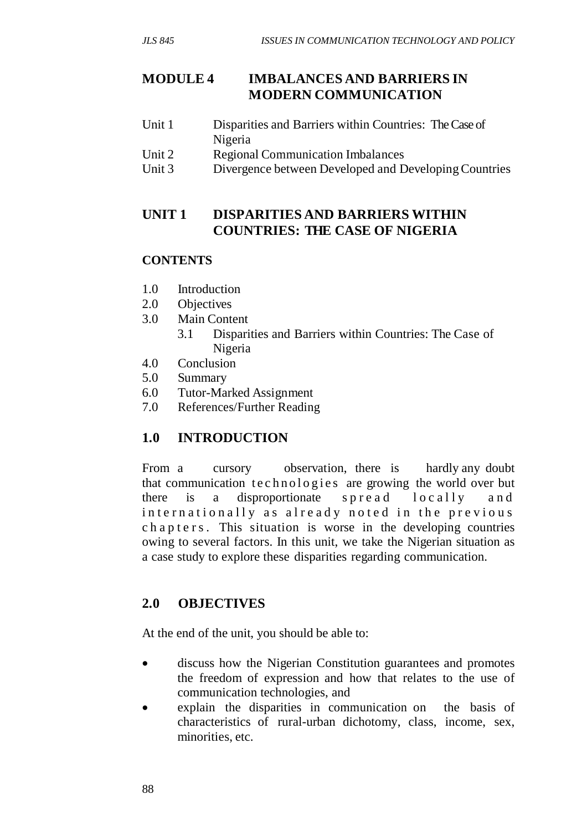## **MODULE 4 IMBALANCES AND BARRIERS IN MODERN COMMUNICATION**

- Unit 1 Disparities and Barriers within Countries: The Case of Nigeria
- Unit 2 Regional Communication Imbalances
- Unit 3 Divergence between Developed and Developing Countries

## **UNIT 1 DISPARITIES AND BARRIERS WITHIN COUNTRIES: THE CASE OF NIGERIA**

### **CONTENTS**

- 1.0 Introduction
- 2.0 Objectives
- 3.0 Main Content
	- 3.1 Disparities and Barriers within Countries: The Case of Nigeria
- 4.0 Conclusion
- 5.0 Summary
- 6.0 Tutor-Marked Assignment
- 7.0 References/Further Reading

# **1.0 INTRODUCTION**

From a cursory observation, there is hardly any doubt that communication technologies are growing the world over but there is a disproportionate spread  $locally$  and internationally as already noted in the previous chapters. This situation is worse in the developing countries owing to several factors. In this unit, we take the Nigerian situation as a case study to explore these disparities regarding communication.

## **2.0 OBJECTIVES**

At the end of the unit, you should be able to:

- discuss how the Nigerian Constitution guarantees and promotes the freedom of expression and how that relates to the use of communication technologies, and
- explain the disparities in communication on the basis of characteristics of rural-urban dichotomy, class, income, sex, minorities, etc.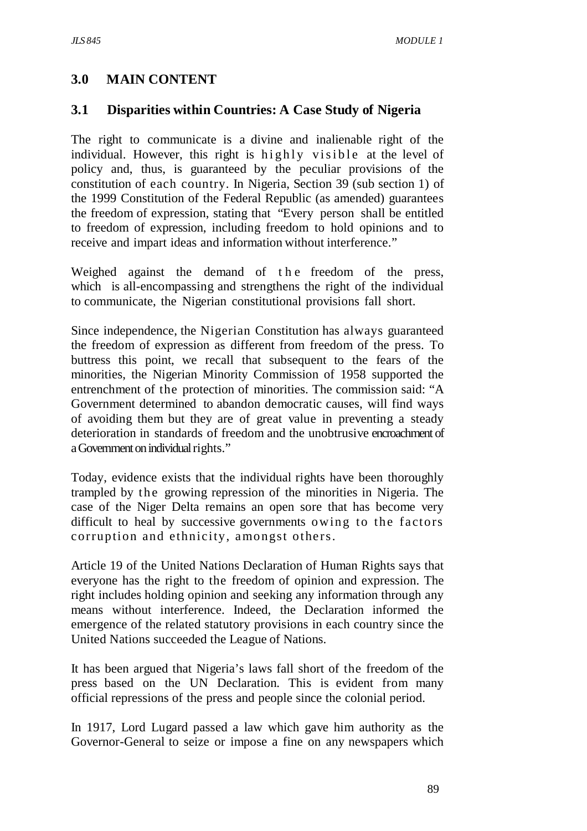# **3.0 MAIN CONTENT**

## **3.1 Disparities within Countries: A Case Study of Nigeria**

The right to communicate is a divine and inalienable right of the individual. However, this right is highly visible at the level of policy and, thus, is guaranteed by the peculiar provisions of the constitution of each country. In Nigeria, Section 39 (sub section 1) of the 1999 Constitution of the Federal Republic (as amended) guarantees the freedom of expression, stating that "Every person shall be entitled to freedom of expression, including freedom to hold opinions and to receive and impart ideas and information without interference."

Weighed against the demand of the freedom of the press, which is all-encompassing and strengthens the right of the individual to communicate, the Nigerian constitutional provisions fall short.

Since independence, the Nigerian Constitution has always guaranteed the freedom of expression as different from freedom of the press. To buttress this point, we recall that subsequent to the fears of the minorities, the Nigerian Minority Commission of 1958 supported the entrenchment of the protection of minorities. The commission said: "A Government determined to abandon democratic causes, will find ways of avoiding them but they are of great value in preventing a steady deterioration in standards of freedom and the unobtrusive encroachment of a Government on individual rights."

Today, evidence exists that the individual rights have been thoroughly trampled by the growing repression of the minorities in Nigeria. The case of the Niger Delta remains an open sore that has become very difficult to heal by successive governments owing to the factors corruption and ethnicity, amongst others.

Article 19 of the United Nations Declaration of Human Rights says that everyone has the right to the freedom of opinion and expression. The right includes holding opinion and seeking any information through any means without interference. Indeed, the Declaration informed the emergence of the related statutory provisions in each country since the United Nations succeeded the League of Nations.

It has been argued that Nigeria's laws fall short of the freedom of the press based on the UN Declaration. This is evident from many official repressions of the press and people since the colonial period.

In 1917, Lord Lugard passed a law which gave him authority as the Governor-General to seize or impose a fine on any newspapers which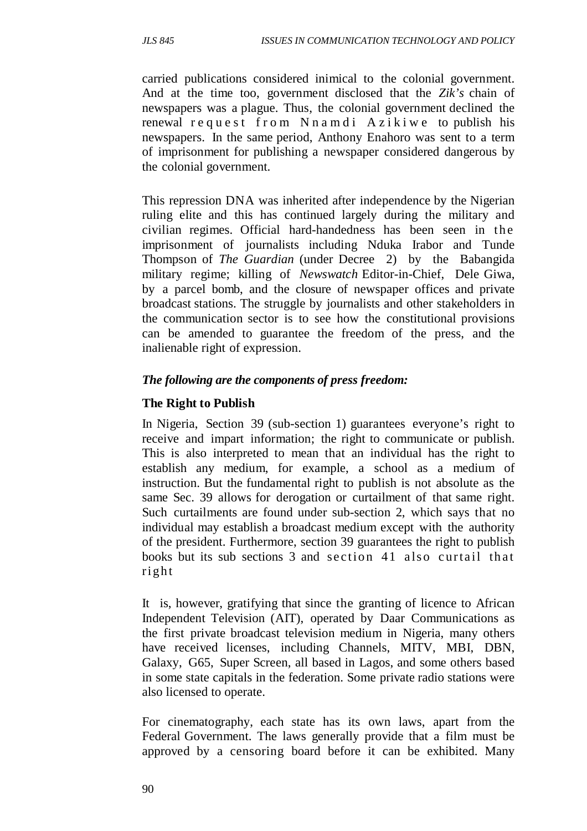carried publications considered inimical to the colonial government. And at the time too, government disclosed that the *Zik's* chain of newspapers was a plague. Thus, the colonial government declined the renewal request from Nnamdi Azikiwe to publish his newspapers. In the same period, Anthony Enahoro was sent to a term of imprisonment for publishing a newspaper considered dangerous by the colonial government.

This repression DNA was inherited after independence by the Nigerian ruling elite and this has continued largely during the military and civilian regimes. Official hard-handedness has been seen in the imprisonment of journalists including Nduka Irabor and Tunde Thompson of *The Guardian* (under Decree 2) by the Babangida military regime; killing of *Newswatch* Editor-in-Chief, Dele Giwa, by a parcel bomb, and the closure of newspaper offices and private broadcast stations. The struggle by journalists and other stakeholders in the communication sector is to see how the constitutional provisions can be amended to guarantee the freedom of the press, and the inalienable right of expression.

#### *The following are the components of press freedom:*

### **The Right to Publish**

In Nigeria, Section 39 (sub-section 1) guarantees everyone's right to receive and impart information; the right to communicate or publish. This is also interpreted to mean that an individual has the right to establish any medium, for example, a school as a medium of instruction. But the fundamental right to publish is not absolute as the same Sec. 39 allows for derogation or curtailment of that same right. Such curtailments are found under sub-section 2, which says that no individual may establish a broadcast medium except with the authority of the president. Furthermore, section 39 guarantees the right to publish books but its sub sections 3 and section 41 also curtail that right

It is, however, gratifying that since the granting of licence to African Independent Television (AIT), operated by Daar Communications as the first private broadcast television medium in Nigeria, many others have received licenses, including Channels, MITV, MBI, DBN, Galaxy, G65, Super Screen, all based in Lagos, and some others based in some state capitals in the federation. Some private radio stations were also licensed to operate.

For cinematography, each state has its own laws, apart from the Federal Government. The laws generally provide that a film must be approved by a censoring board before it can be exhibited. Many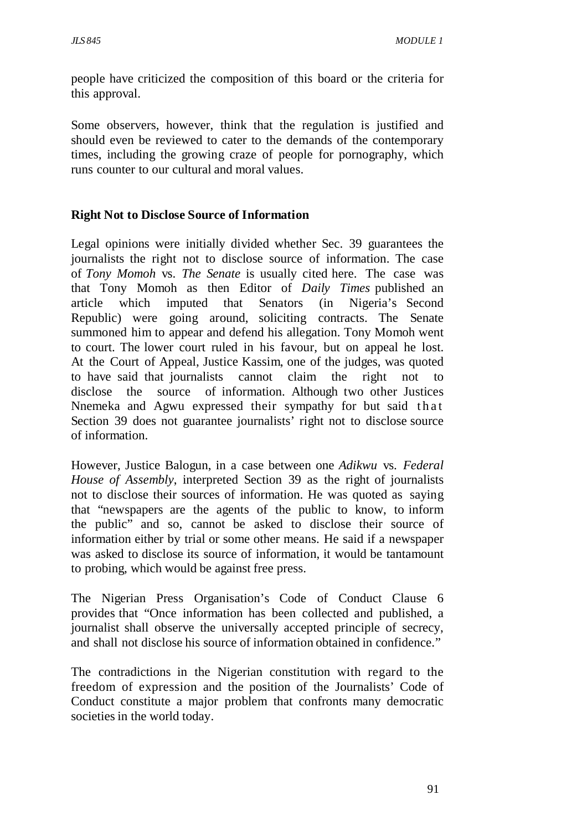people have criticized the composition of this board or the criteria for this approval.

Some observers, however, think that the regulation is justified and should even be reviewed to cater to the demands of the contemporary times, including the growing craze of people for pornography, which runs counter to our cultural and moral values.

### **Right Not to Disclose Source of Information**

Legal opinions were initially divided whether Sec. 39 guarantees the journalists the right not to disclose source of information. The case of *Tony Momoh* vs. *The Senate* is usually cited here. The case was that Tony Momoh as then Editor of *Daily Times* published an article which imputed that Senators (in Nigeria's Second Republic) were going around, soliciting contracts. The Senate summoned him to appear and defend his allegation. Tony Momoh went to court. The lower court ruled in his favour, but on appeal he lost. At the Court of Appeal, Justice Kassim, one of the judges, was quoted to have said that journalists cannot claim the right not to disclose the source of information. Although two other Justices Nnemeka and Agwu expressed their sympathy for but said that Section 39 does not guarantee journalists' right not to disclose source of information.

However, Justice Balogun, in a case between one *Adikwu* vs. *Federal House of Assembly*, interpreted Section 39 as the right of journalists not to disclose their sources of information. He was quoted as saying that "newspapers are the agents of the public to know, to inform the public" and so, cannot be asked to disclose their source of information either by trial or some other means. He said if a newspaper was asked to disclose its source of information, it would be tantamount to probing, which would be against free press.

The Nigerian Press Organisation's Code of Conduct Clause 6 provides that "Once information has been collected and published, a journalist shall observe the universally accepted principle of secrecy, and shall not disclose his source of information obtained in confidence."

The contradictions in the Nigerian constitution with regard to the freedom of expression and the position of the Journalists' Code of Conduct constitute a major problem that confronts many democratic societies in the world today.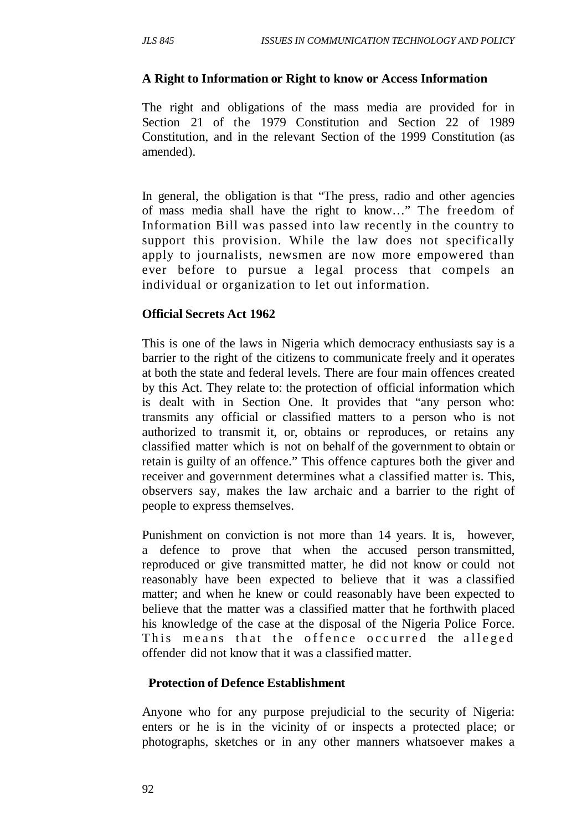#### **A Right to Information or Right to know or Access Information**

The right and obligations of the mass media are provided for in Section 21 of the 1979 Constitution and Section 22 of 1989 Constitution, and in the relevant Section of the 1999 Constitution (as amended).

In general, the obligation is that "The press, radio and other agencies of mass media shall have the right to know…" The freedom of Information Bill was passed into law recently in the country to support this provision. While the law does not specifically apply to journalists, newsmen are now more empowered than ever before to pursue a legal process that compels an individual or organization to let out information.

#### **Official Secrets Act 1962**

This is one of the laws in Nigeria which democracy enthusiasts say is a barrier to the right of the citizens to communicate freely and it operates at both the state and federal levels. There are four main offences created by this Act. They relate to: the protection of official information which is dealt with in Section One. It provides that "any person who: transmits any official or classified matters to a person who is not authorized to transmit it, or, obtains or reproduces, or retains any classified matter which is not on behalf of the government to obtain or retain is guilty of an offence." This offence captures both the giver and receiver and government determines what a classified matter is. This, observers say, makes the law archaic and a barrier to the right of people to express themselves.

Punishment on conviction is not more than 14 years. It is, however, a defence to prove that when the accused person transmitted, reproduced or give transmitted matter, he did not know or could not reasonably have been expected to believe that it was a classified matter; and when he knew or could reasonably have been expected to believe that the matter was a classified matter that he forthwith placed his knowledge of the case at the disposal of the Nigeria Police Force. This means that the offence occurred the alleged offender did not know that it was a classified matter.

#### **Protection of Defence Establishment**

Anyone who for any purpose prejudicial to the security of Nigeria: enters or he is in the vicinity of or inspects a protected place; or photographs, sketches or in any other manners whatsoever makes a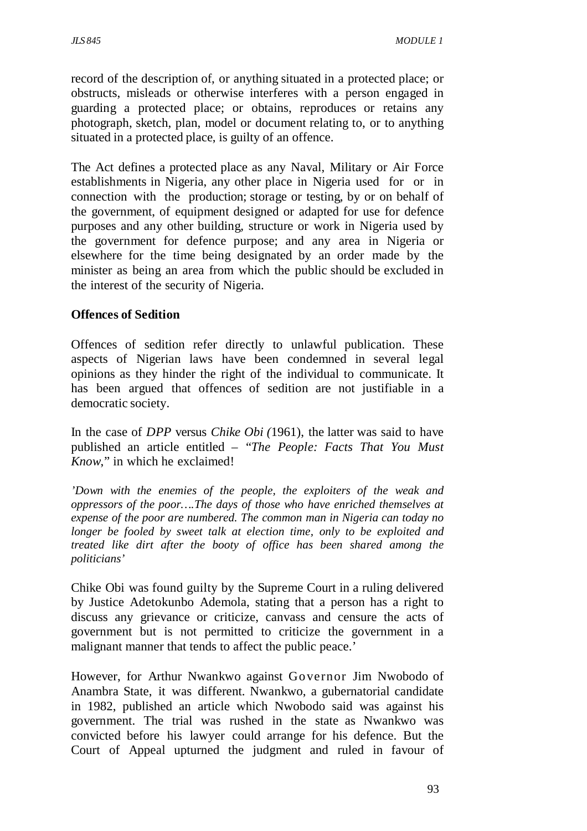record of the description of, or anything situated in a protected place; or obstructs, misleads or otherwise interferes with a person engaged in guarding a protected place; or obtains, reproduces or retains any photograph, sketch, plan, model or document relating to, or to anything situated in a protected place, is guilty of an offence.

The Act defines a protected place as any Naval, Military or Air Force establishments in Nigeria, any other place in Nigeria used for or in connection with the production; storage or testing, by or on behalf of the government, of equipment designed or adapted for use for defence purposes and any other building, structure or work in Nigeria used by the government for defence purpose; and any area in Nigeria or elsewhere for the time being designated by an order made by the minister as being an area from which the public should be excluded in the interest of the security of Nigeria.

#### **Offences of Sedition**

Offences of sedition refer directly to unlawful publication. These aspects of Nigerian laws have been condemned in several legal opinions as they hinder the right of the individual to communicate. It has been argued that offences of sedition are not justifiable in a democratic society.

In the case of *DPP* versus *Chike Obi (*1961), the latter was said to have published an article entitled – "*The People: Facts That You Must Know*," in which he exclaimed!

*'Down with the enemies of the people, the exploiters of the weak and oppressors of the poor….The days of those who have enriched themselves at expense of the poor are numbered. The common man in Nigeria can today no longer be fooled by sweet talk at election time, only to be exploited and treated like dirt after the booty of office has been shared among the politicians'* 

Chike Obi was found guilty by the Supreme Court in a ruling delivered by Justice Adetokunbo Ademola, stating that a person has a right to discuss any grievance or criticize, canvass and censure the acts of government but is not permitted to criticize the government in a malignant manner that tends to affect the public peace.'

However, for Arthur Nwankwo against Governor Jim Nwobodo of Anambra State, it was different. Nwankwo, a gubernatorial candidate in 1982, published an article which Nwobodo said was against his government. The trial was rushed in the state as Nwankwo was convicted before his lawyer could arrange for his defence. But the Court of Appeal upturned the judgment and ruled in favour of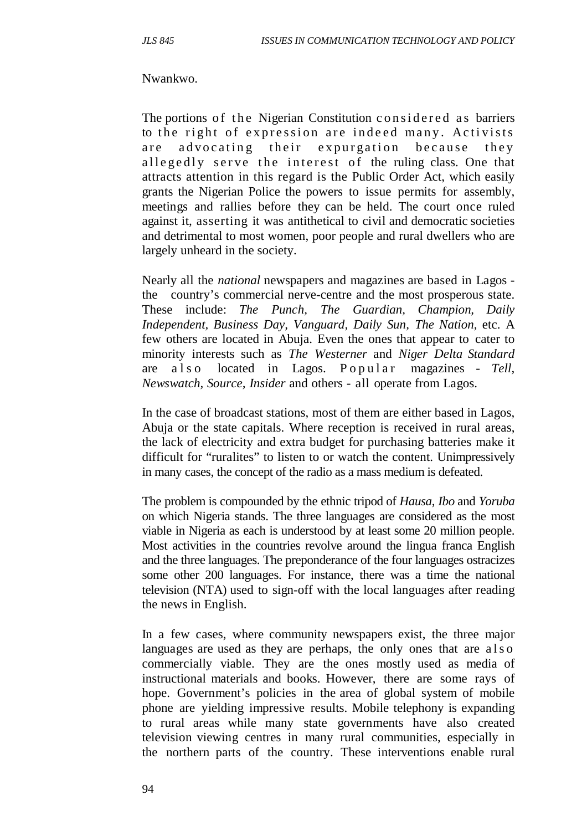#### Nwankwo.

The portions of the Nigerian Constitution considered as barriers to the right of expression are indeed many. Activists are advocating their expurgation because they all egedly serve the interest of the ruling class. One that attracts attention in this regard is the Public Order Act, which easily grants the Nigerian Police the powers to issue permits for assembly, meetings and rallies before they can be held. The court once ruled against it, asserting it was antithetical to civil and democratic societies and detrimental to most women, poor people and rural dwellers who are largely unheard in the society.

Nearly all the *national* newspapers and magazines are based in Lagos the country's commercial nerve-centre and the most prosperous state. These include: *The Punch, The Guardian, Champion, Daily Independent, Business Day, Vanguard, Daily Sun, The Nation*, etc. A few others are located in Abuja. Even the ones that appear to cater to minority interests such as *The Westerner* and *Niger Delta Standard* are a l s o located in Lagos. P o p u l a r magazines - Tell, *Newswatch, Source, Insider* and others - all operate from Lagos.

In the case of broadcast stations, most of them are either based in Lagos, Abuja or the state capitals. Where reception is received in rural areas, the lack of electricity and extra budget for purchasing batteries make it difficult for "ruralites" to listen to or watch the content. Unimpressively in many cases, the concept of the radio as a mass medium is defeated.

The problem is compounded by the ethnic tripod of *Hausa*, *Ibo* and *Yoruba* on which Nigeria stands. The three languages are considered as the most viable in Nigeria as each is understood by at least some 20 million people. Most activities in the countries revolve around the lingua franca English and the three languages. The preponderance of the four languages ostracizes some other 200 languages. For instance, there was a time the national television (NTA) used to sign-off with the local languages after reading the news in English.

In a few cases, where community newspapers exist, the three major languages are used as they are perhaps, the only ones that are a lso commercially viable. They are the ones mostly used as media of instructional materials and books. However, there are some rays of hope. Government's policies in the area of global system of mobile phone are yielding impressive results. Mobile telephony is expanding to rural areas while many state governments have also created television viewing centres in many rural communities, especially in the northern parts of the country. These interventions enable rural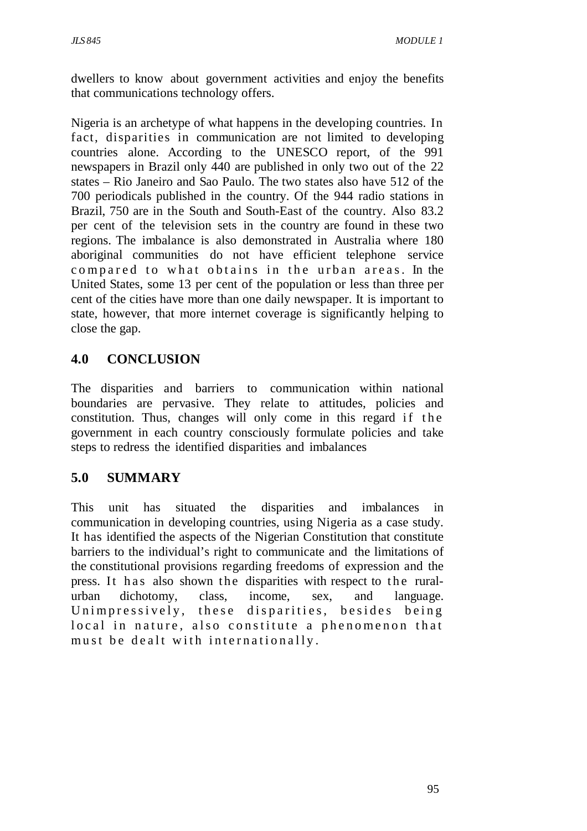dwellers to know about government activities and enjoy the benefits that communications technology offers.

Nigeria is an archetype of what happens in the developing countries. In fact, disparities in communication are not limited to developing countries alone. According to the UNESCO report, of the 991 newspapers in Brazil only 440 are published in only two out of the 22 states – Rio Janeiro and Sao Paulo. The two states also have 512 of the 700 periodicals published in the country. Of the 944 radio stations in Brazil, 750 are in the South and South-East of the country. Also 83.2 per cent of the television sets in the country are found in these two regions. The imbalance is also demonstrated in Australia where 180 aboriginal communities do not have efficient telephone service compared to what obtains in the urban areas. In the United States, some 13 per cent of the population or less than three per cent of the cities have more than one daily newspaper. It is important to state, however, that more internet coverage is significantly helping to close the gap.

# **4.0 CONCLUSION**

The disparities and barriers to communication within national boundaries are pervasive. They relate to attitudes, policies and constitution. Thus, changes will only come in this regard if the government in each country consciously formulate policies and take steps to redress the identified disparities and imbalances

# **5.0 SUMMARY**

This unit has situated the disparities and imbalances in communication in developing countries, using Nigeria as a case study. It has identified the aspects of the Nigerian Constitution that constitute barriers to the individual's right to communicate and the limitations of the constitutional provisions regarding freedoms of expression and the press. It has also shown the disparities with respect to the ruralurban dichotomy, class, income, sex, and language. Unimpressively, these disparities, besides being local in nature, also constitute a phenomenon that must be dealt with internationally.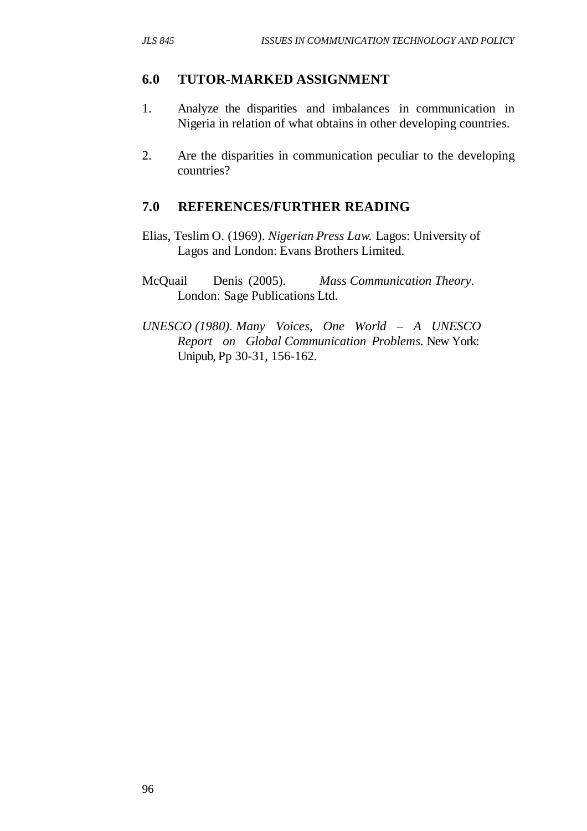#### **6.0 TUTOR-MARKED ASSIGNMENT**

- 1. Analyze the disparities and imbalances in communication in Nigeria in relation of what obtains in other developing countries.
- 2. Are the disparities in communication peculiar to the developing countries?

## **7.0 REFERENCES/FURTHER READING**

- Elias, Teslim O. (1969). *Nigerian Press Law.* Lagos: University of Lagos and London: Evans Brothers Limited.
- McQuail Denis (2005). *Mass Communication Theory*. London: Sage Publications Ltd.
- *UNESCO (1980). Many Voices, One World A UNESCO Report on Global Communication Problems.* New York: Unipub, Pp 30-31, 156-162.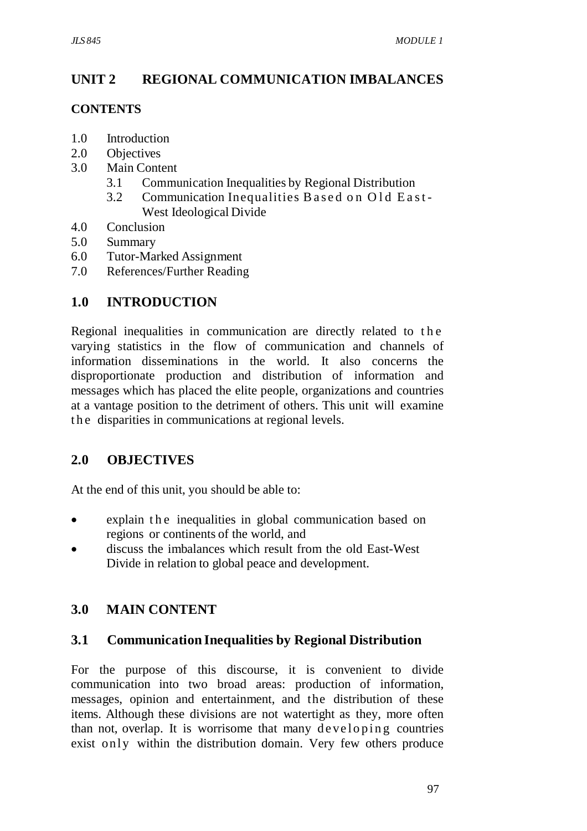# **UNIT 2 REGIONAL COMMUNICATION IMBALANCES**

## **CONTENTS**

- 1.0 Introduction
- 2.0 Objectives
- 3.0 Main Content
	- 3.1 Communication Inequalities by Regional Distribution
	- 3.2 Communication Inequalities Based on Old East-West Ideological Divide
- 4.0 Conclusion
- 5.0 Summary
- 6.0 Tutor-Marked Assignment
- 7.0 References/Further Reading

# **1.0 INTRODUCTION**

Regional inequalities in communication are directly related to the varying statistics in the flow of communication and channels of information disseminations in the world. It also concerns the disproportionate production and distribution of information and messages which has placed the elite people, organizations and countries at a vantage position to the detriment of others. This unit will examine the disparities in communications at regional levels.

# **2.0 OBJECTIVES**

At the end of this unit, you should be able to:

- explain the inequalities in global communication based on regions or continents of the world, and
- discuss the imbalances which result from the old East-West Divide in relation to global peace and development.

# **3.0 MAIN CONTENT**

# **3.1 Communication Inequalities by Regional Distribution**

For the purpose of this discourse, it is convenient to divide communication into two broad areas: production of information, messages, opinion and entertainment, and the distribution of these items. Although these divisions are not watertight as they, more often than not, overlap. It is worrisome that many developing countries exist only within the distribution domain. Very few others produce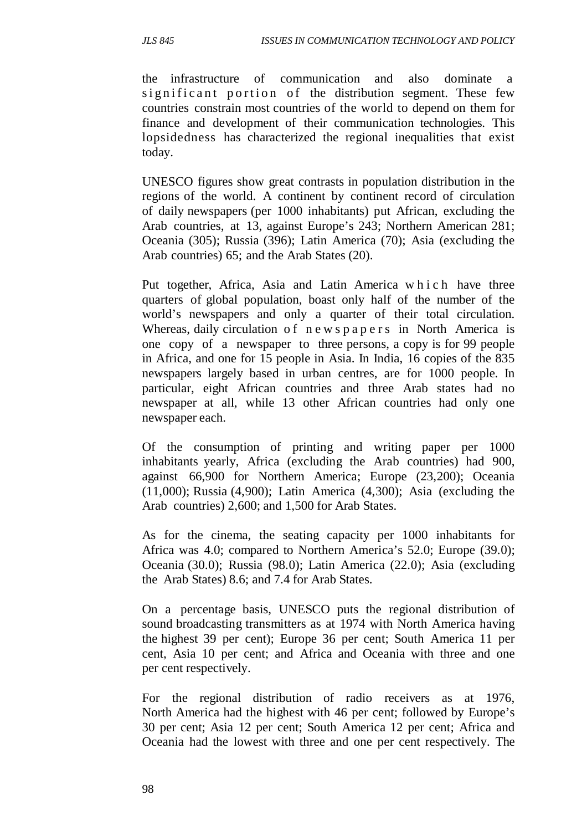the infrastructure of communication and also dominate a significant portion of the distribution segment. These few countries constrain most countries of the world to depend on them for finance and development of their communication technologies. This lopsidedness has characterized the regional inequalities that exist today.

UNESCO figures show great contrasts in population distribution in the regions of the world. A continent by continent record of circulation of daily newspapers (per 1000 inhabitants) put African, excluding the Arab countries, at 13, against Europe's 243; Northern American 281; Oceania (305); Russia (396); Latin America (70); Asia (excluding the Arab countries) 65; and the Arab States (20).

Put together, Africa, Asia and Latin America w h i c h have three quarters of global population, boast only half of the number of the world's newspapers and only a quarter of their total circulation. Whereas, daily circulation of new spapers in North America is one copy of a newspaper to three persons, a copy is for 99 people in Africa, and one for 15 people in Asia. In India, 16 copies of the 835 newspapers largely based in urban centres, are for 1000 people. In particular, eight African countries and three Arab states had no newspaper at all, while 13 other African countries had only one newspaper each.

Of the consumption of printing and writing paper per 1000 inhabitants yearly, Africa (excluding the Arab countries) had 900, against 66,900 for Northern America; Europe (23,200); Oceania (11,000); Russia (4,900); Latin America (4,300); Asia (excluding the Arab countries) 2,600; and 1,500 for Arab States.

As for the cinema, the seating capacity per 1000 inhabitants for Africa was 4.0; compared to Northern America's 52.0; Europe (39.0); Oceania (30.0); Russia (98.0); Latin America (22.0); Asia (excluding the Arab States) 8.6; and 7.4 for Arab States.

On a percentage basis, UNESCO puts the regional distribution of sound broadcasting transmitters as at 1974 with North America having the highest 39 per cent); Europe 36 per cent; South America 11 per cent, Asia 10 per cent; and Africa and Oceania with three and one per cent respectively.

For the regional distribution of radio receivers as at 1976, North America had the highest with 46 per cent; followed by Europe's 30 per cent; Asia 12 per cent; South America 12 per cent; Africa and Oceania had the lowest with three and one per cent respectively. The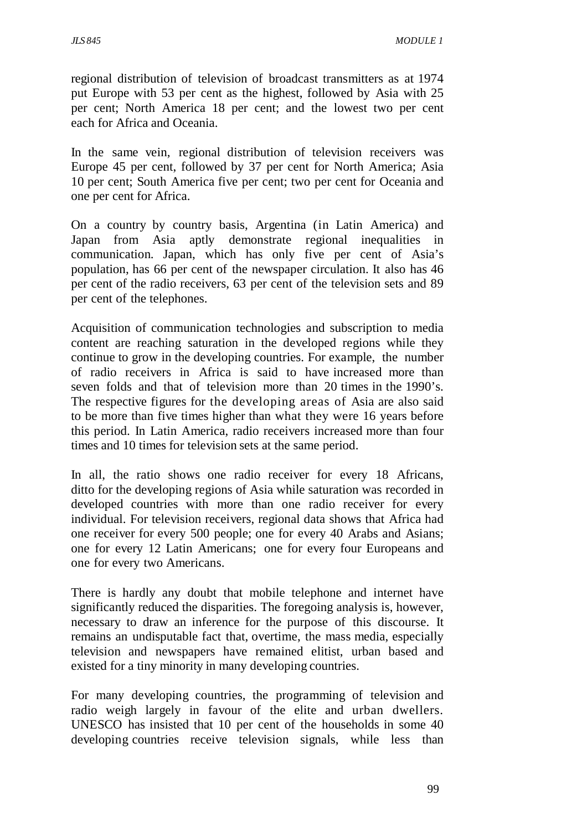regional distribution of television of broadcast transmitters as at 1974 put Europe with 53 per cent as the highest, followed by Asia with 25 per cent; North America 18 per cent; and the lowest two per cent each for Africa and Oceania.

In the same vein, regional distribution of television receivers was Europe 45 per cent, followed by 37 per cent for North America; Asia 10 per cent; South America five per cent; two per cent for Oceania and one per cent for Africa.

On a country by country basis, Argentina (in Latin America) and Japan from Asia aptly demonstrate regional inequalities in communication. Japan, which has only five per cent of Asia's population, has 66 per cent of the newspaper circulation. It also has 46 per cent of the radio receivers, 63 per cent of the television sets and 89 per cent of the telephones.

Acquisition of communication technologies and subscription to media content are reaching saturation in the developed regions while they continue to grow in the developing countries. For example, the number of radio receivers in Africa is said to have increased more than seven folds and that of television more than 20 times in the 1990's. The respective figures for the developing areas of Asia are also said to be more than five times higher than what they were 16 years before this period. In Latin America, radio receivers increased more than four times and 10 times for television sets at the same period.

In all, the ratio shows one radio receiver for every 18 Africans, ditto for the developing regions of Asia while saturation was recorded in developed countries with more than one radio receiver for every individual. For television receivers, regional data shows that Africa had one receiver for every 500 people; one for every 40 Arabs and Asians; one for every 12 Latin Americans; one for every four Europeans and one for every two Americans.

There is hardly any doubt that mobile telephone and internet have significantly reduced the disparities. The foregoing analysis is, however, necessary to draw an inference for the purpose of this discourse. It remains an undisputable fact that, overtime, the mass media, especially television and newspapers have remained elitist, urban based and existed for a tiny minority in many developing countries.

For many developing countries, the programming of television and radio weigh largely in favour of the elite and urban dwellers. UNESCO has insisted that 10 per cent of the households in some 40 developing countries receive television signals, while less than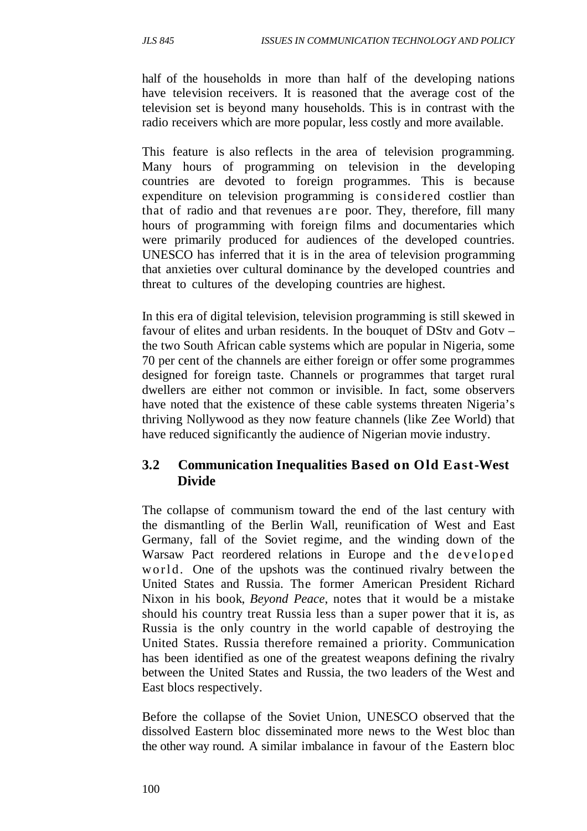half of the households in more than half of the developing nations have television receivers. It is reasoned that the average cost of the television set is beyond many households. This is in contrast with the radio receivers which are more popular, less costly and more available.

This feature is also reflects in the area of television programming. Many hours of programming on television in the developing countries are devoted to foreign programmes. This is because expenditure on television programming is considered costlier than that of radio and that revenues are poor. They, therefore, fill many hours of programming with foreign films and documentaries which were primarily produced for audiences of the developed countries. UNESCO has inferred that it is in the area of television programming that anxieties over cultural dominance by the developed countries and threat to cultures of the developing countries are highest.

In this era of digital television, television programming is still skewed in favour of elites and urban residents. In the bouquet of DStv and Gotv – the two South African cable systems which are popular in Nigeria, some 70 per cent of the channels are either foreign or offer some programmes designed for foreign taste. Channels or programmes that target rural dwellers are either not common or invisible. In fact, some observers have noted that the existence of these cable systems threaten Nigeria's thriving Nollywood as they now feature channels (like Zee World) that have reduced significantly the audience of Nigerian movie industry.

## **3.2 Communication Inequalities Based on Old East-West Divide**

The collapse of communism toward the end of the last century with the dismantling of the Berlin Wall, reunification of West and East Germany, fall of the Soviet regime, and the winding down of the Warsaw Pact reordered relations in Europe and the developed w o r l d. One of the upshots was the continued rivalry between the United States and Russia. The former American President Richard Nixon in his book, *Beyond Peace*, notes that it would be a mistake should his country treat Russia less than a super power that it is, as Russia is the only country in the world capable of destroying the United States. Russia therefore remained a priority. Communication has been identified as one of the greatest weapons defining the rivalry between the United States and Russia, the two leaders of the West and East blocs respectively.

Before the collapse of the Soviet Union, UNESCO observed that the dissolved Eastern bloc disseminated more news to the West bloc than the other way round. A similar imbalance in favour of the Eastern bloc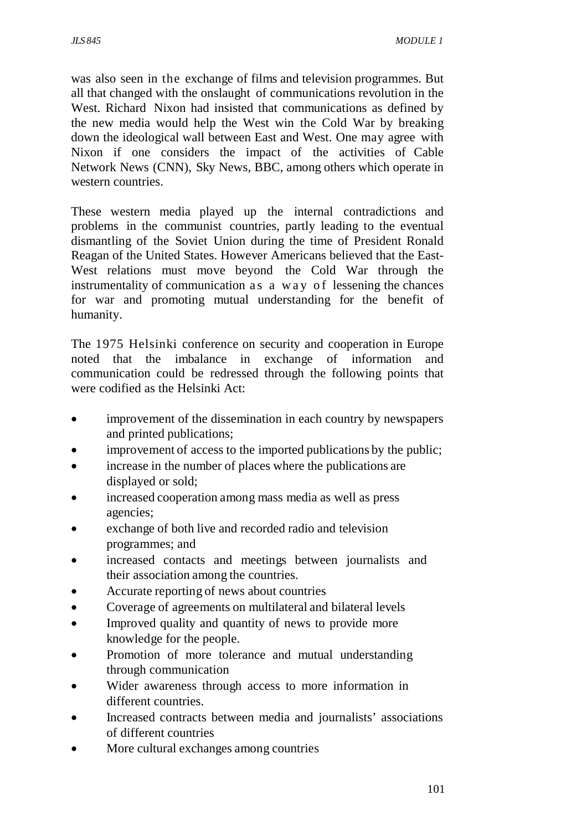was also seen in the exchange of films and television programmes. But all that changed with the onslaught of communications revolution in the West. Richard Nixon had insisted that communications as defined by the new media would help the West win the Cold War by breaking down the ideological wall between East and West. One may agree with Nixon if one considers the impact of the activities of Cable Network News (CNN), Sky News, BBC, among others which operate in western countries.

These western media played up the internal contradictions and problems in the communist countries, partly leading to the eventual dismantling of the Soviet Union during the time of President Ronald Reagan of the United States. However Americans believed that the East-West relations must move beyond the Cold War through the instrumentality of communication as a way of lessening the chances for war and promoting mutual understanding for the benefit of humanity.

The 1975 Helsinki conference on security and cooperation in Europe noted that the imbalance in exchange of information and communication could be redressed through the following points that were codified as the Helsinki Act:

- improvement of the dissemination in each country by newspapers and printed publications;
- improvement of access to the imported publications by the public;
- increase in the number of places where the publications are displayed or sold;
- increased cooperation among mass media as well as press agencies;
- exchange of both live and recorded radio and television programmes; and
- increased contacts and meetings between journalists and their association among the countries.
- Accurate reporting of news about countries
- Coverage of agreements on multilateral and bilateral levels
- Improved quality and quantity of news to provide more knowledge for the people.
- Promotion of more tolerance and mutual understanding through communication
- Wider awareness through access to more information in different countries.
- Increased contracts between media and journalists' associations of different countries
- More cultural exchanges among countries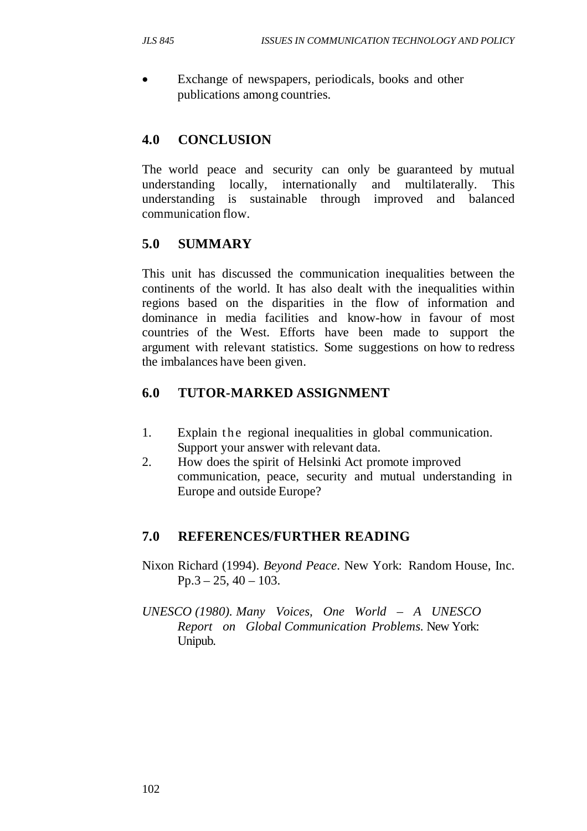Exchange of newspapers, periodicals, books and other publications among countries.

# **4.0 CONCLUSION**

The world peace and security can only be guaranteed by mutual understanding locally, internationally and multilaterally. This understanding is sustainable through improved and balanced communication flow.

# **5.0 SUMMARY**

This unit has discussed the communication inequalities between the continents of the world. It has also dealt with the inequalities within regions based on the disparities in the flow of information and dominance in media facilities and know-how in favour of most countries of the West. Efforts have been made to support the argument with relevant statistics. Some suggestions on how to redress the imbalances have been given.

# **6.0 TUTOR-MARKED ASSIGNMENT**

- 1. Explain the regional inequalities in global communication. Support your answer with relevant data.
- 2. How does the spirit of Helsinki Act promote improved communication, peace, security and mutual understanding in Europe and outside Europe?

# **7.0 REFERENCES/FURTHER READING**

- Nixon Richard (1994). *Beyond Peace*. New York: Random House, Inc.  $Pp.3 - 25$ , 40 – 103.
- *UNESCO (1980). Many Voices, One World A UNESCO Report on Global Communication Problems.* New York: Unipub.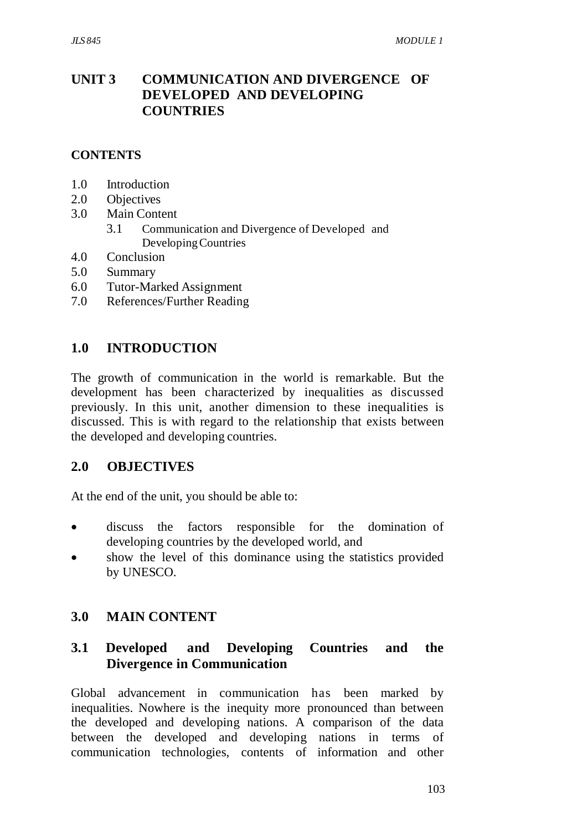# **UNIT 3 COMMUNICATION AND DIVERGENCE OF DEVELOPED AND DEVELOPING COUNTRIES**

### **CONTENTS**

- 1.0 Introduction
- 2.0 Objectives
- 3.0 Main Content
	- 3.1 Communication and Divergence of Developed and Developing Countries
- 4.0 Conclusion
- 5.0 Summary
- 6.0 Tutor-Marked Assignment
- 7.0 References/Further Reading

### **1.0 INTRODUCTION**

The growth of communication in the world is remarkable. But the development has been characterized by inequalities as discussed previously. In this unit, another dimension to these inequalities is discussed. This is with regard to the relationship that exists between the developed and developing countries.

#### **2.0 OBJECTIVES**

At the end of the unit, you should be able to:

- discuss the factors responsible for the domination of developing countries by the developed world, and
- show the level of this dominance using the statistics provided by UNESCO.

## **3.0 MAIN CONTENT**

## **3.1 Developed and Developing Countries and the Divergence in Communication**

Global advancement in communication has been marked by inequalities. Nowhere is the inequity more pronounced than between the developed and developing nations. A comparison of the data between the developed and developing nations in terms of communication technologies, contents of information and other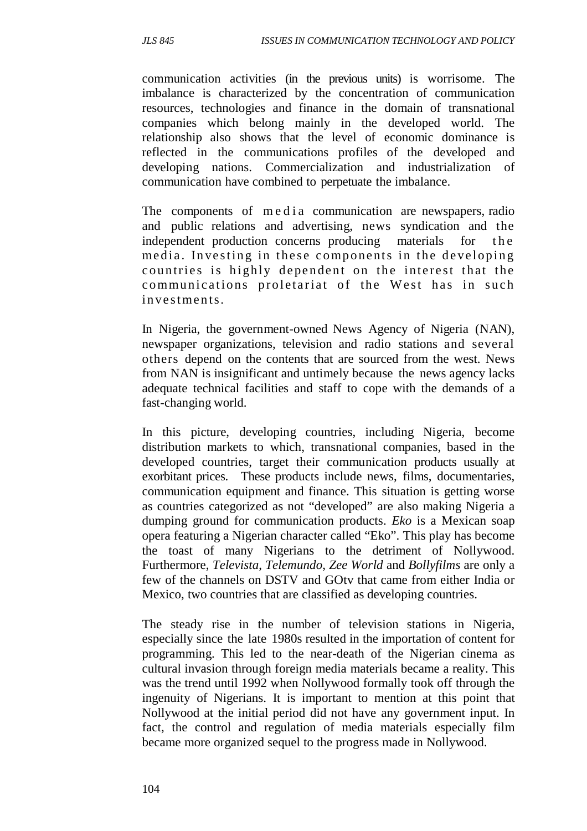communication activities (in the previous units) is worrisome. The imbalance is characterized by the concentration of communication resources, technologies and finance in the domain of transnational companies which belong mainly in the developed world. The relationship also shows that the level of economic dominance is reflected in the communications profiles of the developed and developing nations. Commercialization and industrialization of communication have combined to perpetuate the imbalance.

The components of m e d i a communication are newspapers, radio and public relations and advertising, news syndication and the independent production concerns producing materials for the media. Investing in these components in the developing countries is highly dependent on the interest that the communications proletariat of the West has in such investments.

In Nigeria, the government-owned News Agency of Nigeria (NAN), newspaper organizations, television and radio stations and several others depend on the contents that are sourced from the west. News from NAN is insignificant and untimely because the news agency lacks adequate technical facilities and staff to cope with the demands of a fast-changing world.

In this picture, developing countries, including Nigeria, become distribution markets to which, transnational companies, based in the developed countries, target their communication products usually at exorbitant prices. These products include news, films, documentaries, communication equipment and finance. This situation is getting worse as countries categorized as not "developed" are also making Nigeria a dumping ground for communication products. *Eko* is a Mexican soap opera featuring a Nigerian character called "Eko". This play has become the toast of many Nigerians to the detriment of Nollywood. Furthermore, *Televista*, *Telemundo*, *Zee World* and *Bollyfilms* are only a few of the channels on DSTV and GOtv that came from either India or Mexico, two countries that are classified as developing countries.

The steady rise in the number of television stations in Nigeria, especially since the late 1980s resulted in the importation of content for programming. This led to the near-death of the Nigerian cinema as cultural invasion through foreign media materials became a reality. This was the trend until 1992 when Nollywood formally took off through the ingenuity of Nigerians. It is important to mention at this point that Nollywood at the initial period did not have any government input. In fact, the control and regulation of media materials especially film became more organized sequel to the progress made in Nollywood.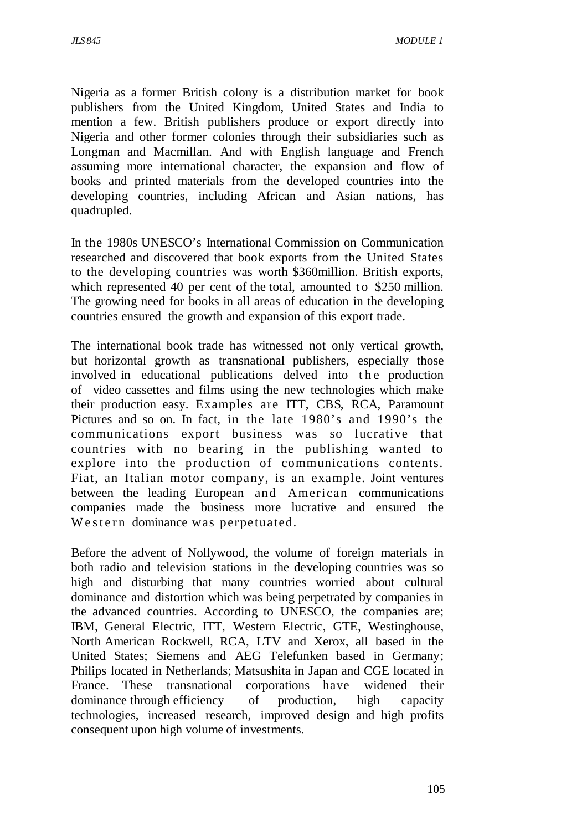Nigeria as a former British colony is a distribution market for book publishers from the United Kingdom, United States and India to mention a few. British publishers produce or export directly into Nigeria and other former colonies through their subsidiaries such as Longman and Macmillan. And with English language and French assuming more international character, the expansion and flow of books and printed materials from the developed countries into the developing countries, including African and Asian nations, has quadrupled.

In the 1980s UNESCO's International Commission on Communication researched and discovered that book exports from the United States to the developing countries was worth \$360million. British exports, which represented 40 per cent of the total, amounted to \$250 million. The growing need for books in all areas of education in the developing countries ensured the growth and expansion of this export trade.

The international book trade has witnessed not only vertical growth, but horizontal growth as transnational publishers, especially those involved in educational publications delved into the production of video cassettes and films using the new technologies which make their production easy. Examples are ITT, CBS, RCA, Paramount Pictures and so on. In fact, in the late 1980's and 1990's the communications export business was so lucrative that countries with no bearing in the publishing wanted to explore into the production of communications contents. Fiat, an Italian motor company, is an example. Joint ventures between the leading European and American communications companies made the business more lucrative and ensured the Western dominance was perpetuated.

Before the advent of Nollywood, the volume of foreign materials in both radio and television stations in the developing countries was so high and disturbing that many countries worried about cultural dominance and distortion which was being perpetrated by companies in the advanced countries. According to UNESCO, the companies are; IBM, General Electric, ITT, Western Electric, GTE, Westinghouse, North American Rockwell, RCA, LTV and Xerox, all based in the United States; Siemens and AEG Telefunken based in Germany; Philips located in Netherlands; Matsushita in Japan and CGE located in France. These transnational corporations have widened their dominance through efficiency of production, high capacity technologies, increased research, improved design and high profits consequent upon high volume of investments.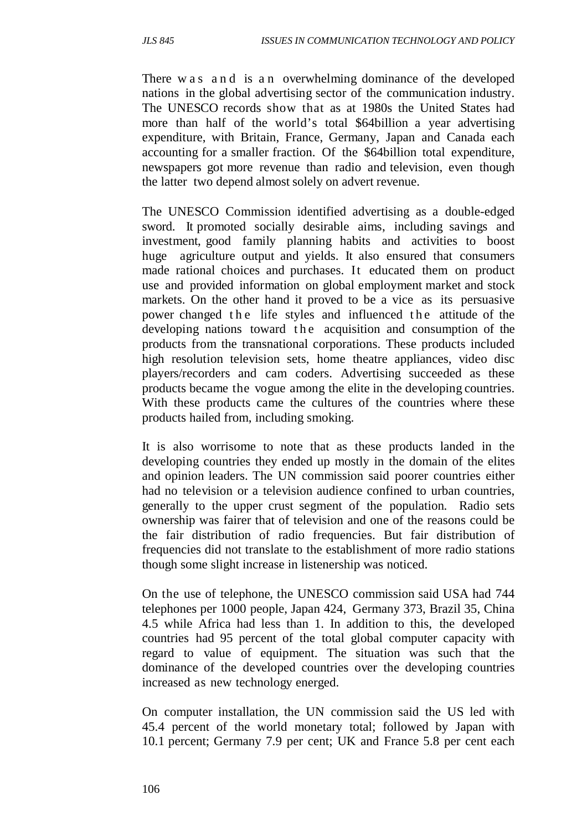There w a s a n d is a n overwhelming dominance of the developed nations in the global advertising sector of the communication industry. The UNESCO records show that as at 1980s the United States had more than half of the world's total \$64billion a year advertising expenditure, with Britain, France, Germany, Japan and Canada each accounting for a smaller fraction. Of the \$64billion total expenditure, newspapers got more revenue than radio and television, even though the latter two depend almost solely on advert revenue.

The UNESCO Commission identified advertising as a double-edged sword. It promoted socially desirable aims, including savings and investment, good family planning habits and activities to boost huge agriculture output and yields. It also ensured that consumers made rational choices and purchases. It educated them on product use and provided information on global employment market and stock markets. On the other hand it proved to be a vice as its persuasive power changed the life styles and influenced the attitude of the developing nations toward the acquisition and consumption of the products from the transnational corporations. These products included high resolution television sets, home theatre appliances, video disc players/recorders and cam coders. Advertising succeeded as these products became the vogue among the elite in the developing countries. With these products came the cultures of the countries where these products hailed from, including smoking.

It is also worrisome to note that as these products landed in the developing countries they ended up mostly in the domain of the elites and opinion leaders. The UN commission said poorer countries either had no television or a television audience confined to urban countries, generally to the upper crust segment of the population. Radio sets ownership was fairer that of television and one of the reasons could be the fair distribution of radio frequencies. But fair distribution of frequencies did not translate to the establishment of more radio stations though some slight increase in listenership was noticed.

On the use of telephone, the UNESCO commission said USA had 744 telephones per 1000 people, Japan 424, Germany 373, Brazil 35, China 4.5 while Africa had less than 1. In addition to this, the developed countries had 95 percent of the total global computer capacity with regard to value of equipment. The situation was such that the dominance of the developed countries over the developing countries increased as new technology energed.

On computer installation, the UN commission said the US led with 45.4 percent of the world monetary total; followed by Japan with 10.1 percent; Germany 7.9 per cent; UK and France 5.8 per cent each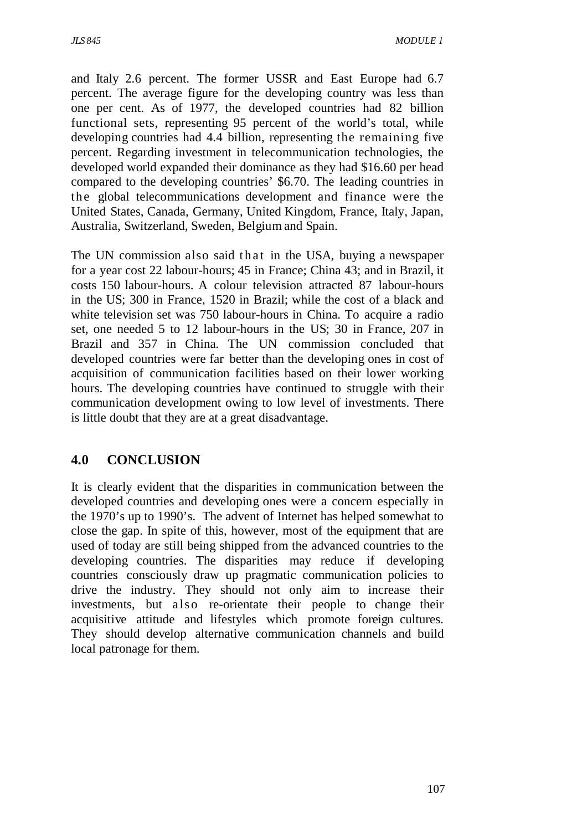and Italy 2.6 percent. The former USSR and East Europe had 6.7 percent. The average figure for the developing country was less than one per cent. As of 1977, the developed countries had 82 billion functional sets, representing 95 percent of the world's total, while developing countries had 4.4 billion, representing the remaining five percent. Regarding investment in telecommunication technologies, the developed world expanded their dominance as they had \$16.60 per head compared to the developing countries' \$6.70. The leading countries in the global telecommunications development and finance were the United States, Canada, Germany, United Kingdom, France, Italy, Japan, Australia, Switzerland, Sweden, Belgium and Spain.

The UN commission also said that in the USA, buying a newspaper for a year cost 22 labour-hours; 45 in France; China 43; and in Brazil, it costs 150 labour-hours. A colour television attracted 87 labour-hours in the US; 300 in France, 1520 in Brazil; while the cost of a black and white television set was 750 labour-hours in China. To acquire a radio set, one needed 5 to 12 labour-hours in the US; 30 in France, 207 in Brazil and 357 in China. The UN commission concluded that developed countries were far better than the developing ones in cost of acquisition of communication facilities based on their lower working hours. The developing countries have continued to struggle with their communication development owing to low level of investments. There is little doubt that they are at a great disadvantage.

## **4.0 CONCLUSION**

It is clearly evident that the disparities in communication between the developed countries and developing ones were a concern especially in the 1970's up to 1990's. The advent of Internet has helped somewhat to close the gap. In spite of this, however, most of the equipment that are used of today are still being shipped from the advanced countries to the developing countries. The disparities may reduce if developing countries consciously draw up pragmatic communication policies to drive the industry. They should not only aim to increase their investments, but also re-orientate their people to change their acquisitive attitude and lifestyles which promote foreign cultures. They should develop alternative communication channels and build local patronage for them.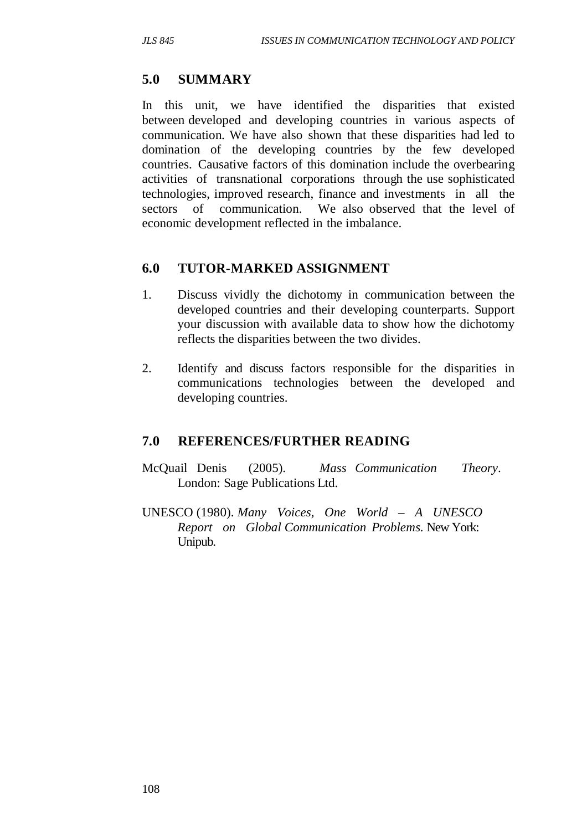## **5.0 SUMMARY**

In this unit, we have identified the disparities that existed between developed and developing countries in various aspects of communication. We have also shown that these disparities had led to domination of the developing countries by the few developed countries. Causative factors of this domination include the overbearing activities of transnational corporations through the use sophisticated technologies, improved research, finance and investments in all the sectors of communication. We also observed that the level of economic development reflected in the imbalance.

## **6.0 TUTOR-MARKED ASSIGNMENT**

- 1. Discuss vividly the dichotomy in communication between the developed countries and their developing counterparts. Support your discussion with available data to show how the dichotomy reflects the disparities between the two divides.
- 2. Identify and discuss factors responsible for the disparities in communications technologies between the developed and developing countries.

## **7.0 REFERENCES/FURTHER READING**

- McQuail Denis (2005). *Mass Communication Theory*. London: Sage Publications Ltd.
- UNESCO (1980). *Many Voices, One World A UNESCO Report on Global Communication Problems.* New York: Unipub.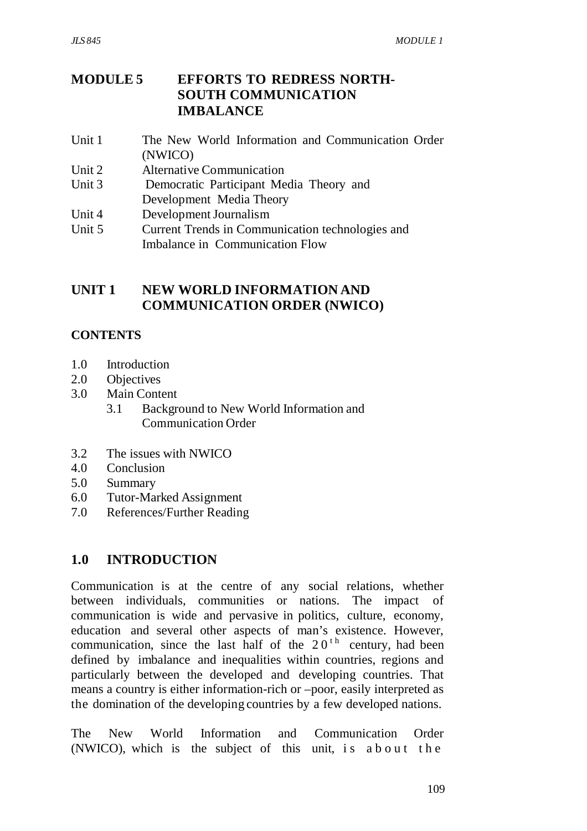# **MODULE 5 EFFORTS TO REDRESS NORTH- SOUTH COMMUNICATION IMBALANCE**

- Unit 1 The New World Information and Communication Order (NWICO)
- Unit 2 Alternative Communication
- Unit 3 Democratic Participant Media Theory and Development Media Theory
- Unit 4 Development Journalism
- Unit 5 Current Trends in Communication technologies and Imbalance in Communication Flow

# **UNIT 1 NEW WORLD INFORMATION AND COMMUNICATION ORDER (NWICO)**

# **CONTENTS**

- 1.0 Introduction
- 2.0 Objectives
- 3.0 Main Content
	- 3.1 Background to New World Information and Communication Order
- 3.2 The issues with NWICO
- 4.0 Conclusion
- 5.0 Summary
- 6.0 Tutor-Marked Assignment
- 7.0 References/Further Reading

# **1.0 INTRODUCTION**

Communication is at the centre of any social relations, whether between individuals, communities or nations. The impact of communication is wide and pervasive in politics, culture, economy, education and several other aspects of man's existence. However, communication, since the last half of the  $20<sup>th</sup>$  century, had been defined by imbalance and inequalities within countries, regions and particularly between the developed and developing countries. That means a country is either information-rich or –poor, easily interpreted as the domination of the developing countries by a few developed nations.

The New World Information and Communication Order  $(NWICO)$ , which is the subject of this unit, is about the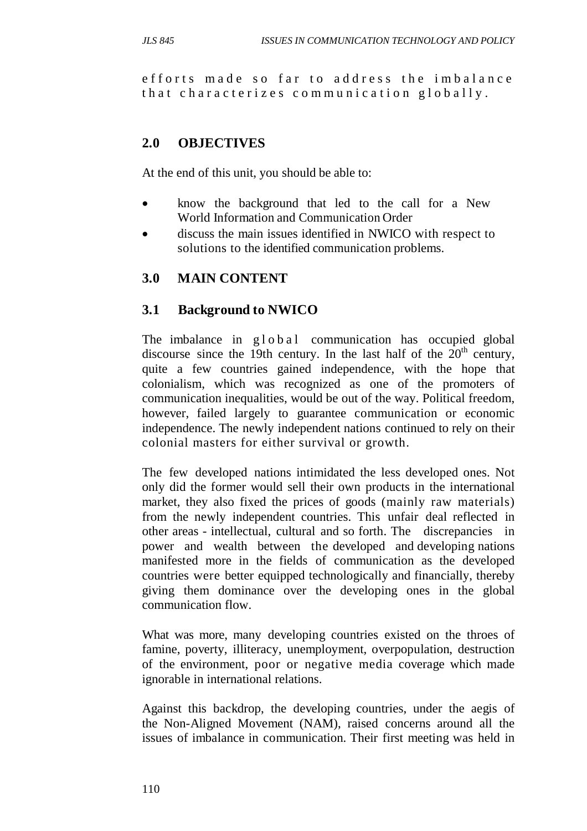efforts made so far to address the imbalance that characterizes communication globally.

# **2.0 OBJECTIVES**

At the end of this unit, you should be able to:

- know the background that led to the call for a New World Information and Communication Order
- discuss the main issues identified in NWICO with respect to solutions to the identified communication problems.

# **3.0 MAIN CONTENT**

### **3.1 Background to NWICO**

The imbalance in g l o b a l communication has occupied global discourse since the 19th century. In the last half of the  $20<sup>th</sup>$  century, quite a few countries gained independence, with the hope that colonialism, which was recognized as one of the promoters of communication inequalities, would be out of the way. Political freedom, however, failed largely to guarantee communication or economic independence. The newly independent nations continued to rely on their colonial masters for either survival or growth.

The few developed nations intimidated the less developed ones. Not only did the former would sell their own products in the international market, they also fixed the prices of goods (mainly raw materials) from the newly independent countries. This unfair deal reflected in other areas - intellectual, cultural and so forth. The discrepancies in power and wealth between the developed and developing nations manifested more in the fields of communication as the developed countries were better equipped technologically and financially, thereby giving them dominance over the developing ones in the global communication flow.

What was more, many developing countries existed on the throes of famine, poverty, illiteracy, unemployment, overpopulation, destruction of the environment, poor or negative media coverage which made ignorable in international relations.

Against this backdrop, the developing countries, under the aegis of the Non-Aligned Movement (NAM), raised concerns around all the issues of imbalance in communication. Their first meeting was held in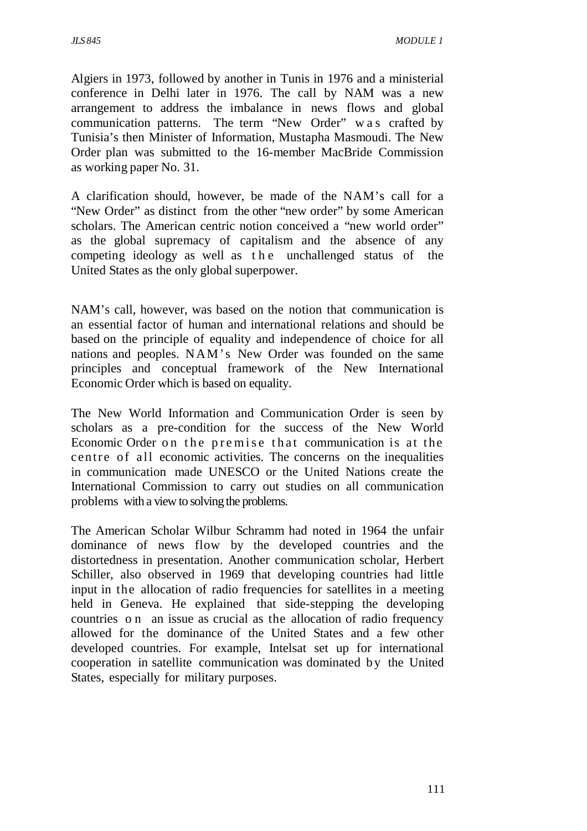Algiers in 1973, followed by another in Tunis in 1976 and a ministerial conference in Delhi later in 1976. The call by NAM was a new arrangement to address the imbalance in news flows and global communication patterns. The term "New Order" w a s crafted by Tunisia's then Minister of Information, Mustapha Masmoudi. The New Order plan was submitted to the 16-member MacBride Commission as working paper No. 31.

A clarification should, however, be made of the NAM's call for a "New Order" as distinct from the other "new order" by some American scholars. The American centric notion conceived a "new world order" as the global supremacy of capitalism and the absence of any competing ideology as well as the unchallenged status of the United States as the only global superpower.

NAM's call, however, was based on the notion that communication is an essential factor of human and international relations and should be based on the principle of equality and independence of choice for all nations and peoples. N AM's New Order was founded on the same principles and conceptual framework of the New International Economic Order which is based on equality.

The New World Information and Communication Order is seen by scholars as a pre-condition for the success of the New World Economic Order on the premise that communication is at the centre of all economic activities. The concerns on the inequalities in communication made UNESCO or the United Nations create the International Commission to carry out studies on all communication problems with a view to solving the problems.

The American Scholar Wilbur Schramm had noted in 1964 the unfair dominance of news flow by the developed countries and the distortedness in presentation. Another communication scholar, Herbert Schiller, also observed in 1969 that developing countries had little input in the allocation of radio frequencies for satellites in a meeting held in Geneva. He explained that side-stepping the developing countries o n an issue as crucial as the allocation of radio frequency allowed for the dominance of the United States and a few other developed countries. For example, Intelsat set up for international cooperation in satellite communication was dominated by the United States, especially for military purposes.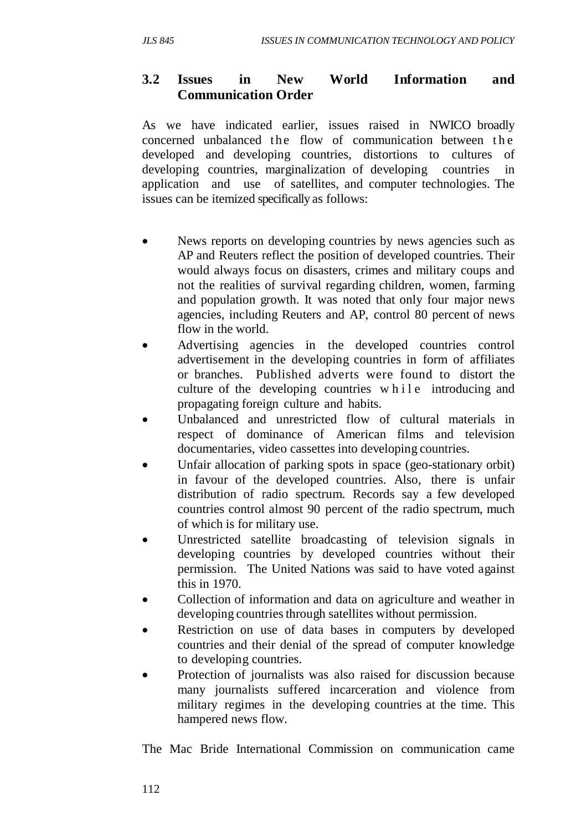# **3.2 Issues in New World Information and Communication Order**

As we have indicated earlier, issues raised in NWICO broadly concerned unbalanced the flow of communication between the developed and developing countries, distortions to cultures of developing countries, marginalization of developing countries in application and use of satellites, and computer technologies. The issues can be itemized specifically as follows:

- News reports on developing countries by news agencies such as AP and Reuters reflect the position of developed countries. Their would always focus on disasters, crimes and military coups and not the realities of survival regarding children, women, farming and population growth. It was noted that only four major news agencies, including Reuters and AP, control 80 percent of news flow in the world.
- Advertising agencies in the developed countries control advertisement in the developing countries in form of affiliates or branches. Published adverts were found to distort the culture of the developing countries while introducing and propagating foreign culture and habits.
- Unbalanced and unrestricted flow of cultural materials in respect of dominance of American films and television documentaries, video cassettes into developing countries.
- Unfair allocation of parking spots in space (geo-stationary orbit) in favour of the developed countries. Also, there is unfair distribution of radio spectrum. Records say a few developed countries control almost 90 percent of the radio spectrum, much of which is for military use.
- Unrestricted satellite broadcasting of television signals in developing countries by developed countries without their permission. The United Nations was said to have voted against this in 1970.
- Collection of information and data on agriculture and weather in developing countries through satellites without permission.
- Restriction on use of data bases in computers by developed countries and their denial of the spread of computer knowledge to developing countries.
- Protection of journalists was also raised for discussion because many journalists suffered incarceration and violence from military regimes in the developing countries at the time. This hampered news flow.

The Mac Bride International Commission on communication came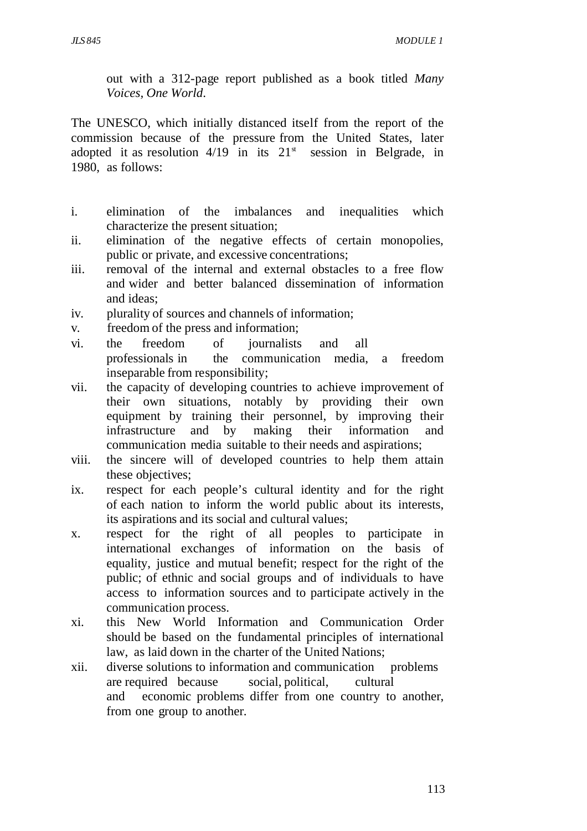out with a 312-page report published as a book titled *Many Voices, One World*.

The UNESCO, which initially distanced itself from the report of the commission because of the pressure from the United States, later adopted it as resolution  $4/19$  in its  $21<sup>st</sup>$  session in Belgrade, in 1980, as follows:

- i. elimination of the imbalances and inequalities which characterize the present situation;
- ii. elimination of the negative effects of certain monopolies, public or private, and excessive concentrations;
- iii. removal of the internal and external obstacles to a free flow and wider and better balanced dissemination of information and ideas;
- iv. plurality of sources and channels of information;
- v. freedom of the press and information;
- vi. the freedom of journalists and all professionals in the communication media, a freedom inseparable from responsibility;
- vii. the capacity of developing countries to achieve improvement of their own situations, notably by providing their own equipment by training their personnel, by improving their infrastructure and by making their information and communication media suitable to their needs and aspirations;
- viii. the sincere will of developed countries to help them attain these objectives;
- ix. respect for each people's cultural identity and for the right of each nation to inform the world public about its interests, its aspirations and its social and cultural values;
- x. respect for the right of all peoples to participate in international exchanges of information on the basis of equality, justice and mutual benefit; respect for the right of the public; of ethnic and social groups and of individuals to have access to information sources and to participate actively in the communication process.
- xi. this New World Information and Communication Order should be based on the fundamental principles of international law, as laid down in the charter of the United Nations;
- xii. diverse solutions to information and communication problems are required because social, political, cultural and economic problems differ from one country to another, from one group to another.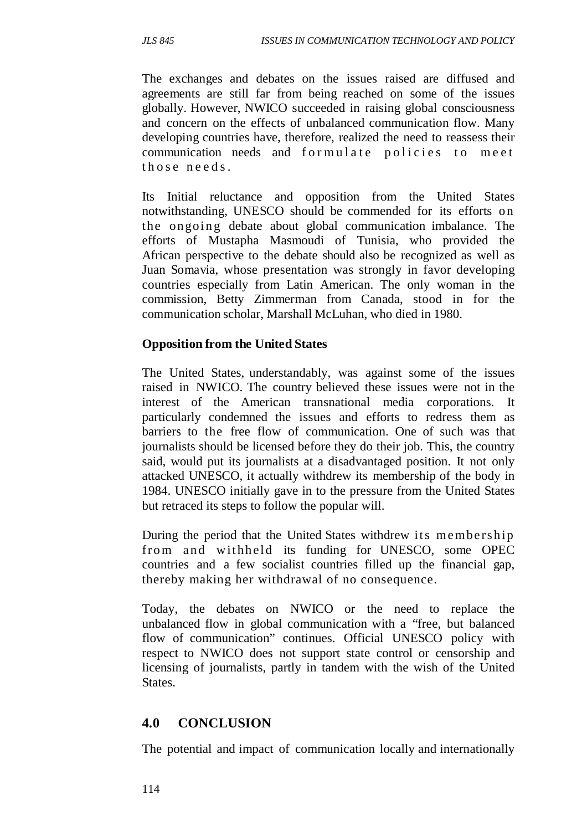The exchanges and debates on the issues raised are diffused and agreements are still far from being reached on some of the issues globally. However, NWICO succeeded in raising global consciousness and concern on the effects of unbalanced communication flow. Many developing countries have, therefore, realized the need to reassess their communication needs and formulate policies to meet those needs.

Its Initial reluctance and opposition from the United States notwithstanding, UNESCO should be commended for its efforts on the ongoing debate about global communication imbalance. The efforts of Mustapha Masmoudi of Tunisia, who provided the African perspective to the debate should also be recognized as well as Juan Somavia, whose presentation was strongly in favor developing countries especially from Latin American. The only woman in the commission, Betty Zimmerman from Canada, stood in for the communication scholar, Marshall McLuhan, who died in 1980.

### **Opposition from the United States**

The United States, understandably, was against some of the issues raised in NWICO. The country believed these issues were not in the interest of the American transnational media corporations. It particularly condemned the issues and efforts to redress them as barriers to the free flow of communication. One of such was that journalists should be licensed before they do their job. This, the country said, would put its journalists at a disadvantaged position. It not only attacked UNESCO, it actually withdrew its membership of the body in 1984. UNESCO initially gave in to the pressure from the United States but retraced its steps to follow the popular will.

During the period that the United States withdrew its membership from and withheld its funding for UNESCO, some OPEC countries and a few socialist countries filled up the financial gap, thereby making her withdrawal of no consequence.

Today, the debates on NWICO or the need to replace the unbalanced flow in global communication with a "free, but balanced flow of communication" continues. Official UNESCO policy with respect to NWICO does not support state control or censorship and licensing of journalists, partly in tandem with the wish of the United States.

### **4.0 CONCLUSION**

The potential and impact of communication locally and internationally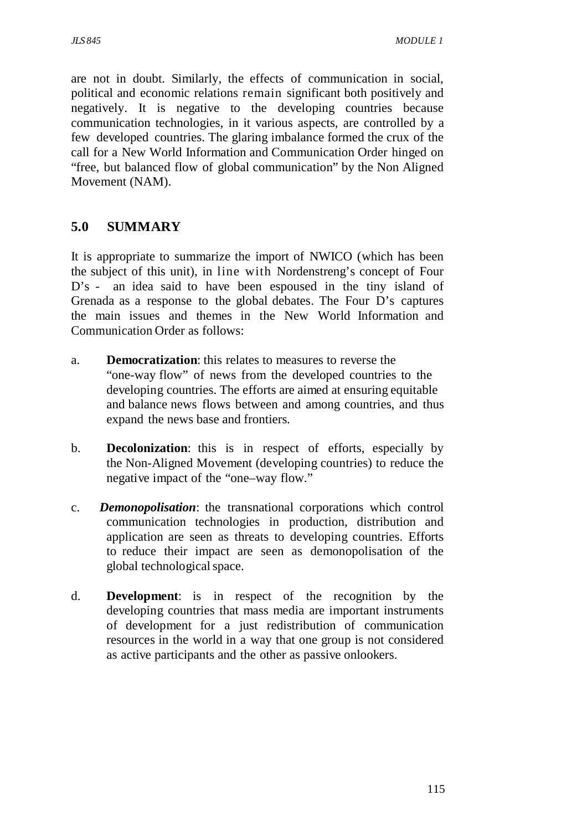are not in doubt. Similarly, the effects of communication in social, political and economic relations remain significant both positively and negatively. It is negative to the developing countries because communication technologies, in it various aspects, are controlled by a few developed countries. The glaring imbalance formed the crux of the call for a New World Information and Communication Order hinged on "free, but balanced flow of global communication" by the Non Aligned Movement (NAM).

# **5.0 SUMMARY**

It is appropriate to summarize the import of NWICO (which has been the subject of this unit), in line with Nordenstreng's concept of Four D's - an idea said to have been espoused in the tiny island of Grenada as a response to the global debates. The Four D's captures the main issues and themes in the New World Information and Communication Order as follows:

- a. **Democratization**: this relates to measures to reverse the "one-way flow" of news from the developed countries to the developing countries. The efforts are aimed at ensuring equitable and balance news flows between and among countries, and thus expand the news base and frontiers.
- b. **Decolonization**: this is in respect of efforts, especially by the Non-Aligned Movement (developing countries) to reduce the negative impact of the "one–way flow."
- c. *Demonopolisation*: the transnational corporations which control communication technologies in production, distribution and application are seen as threats to developing countries. Efforts to reduce their impact are seen as demonopolisation of the global technological space.
- d. **Development**: is in respect of the recognition by the developing countries that mass media are important instruments of development for a just redistribution of communication resources in the world in a way that one group is not considered as active participants and the other as passive onlookers.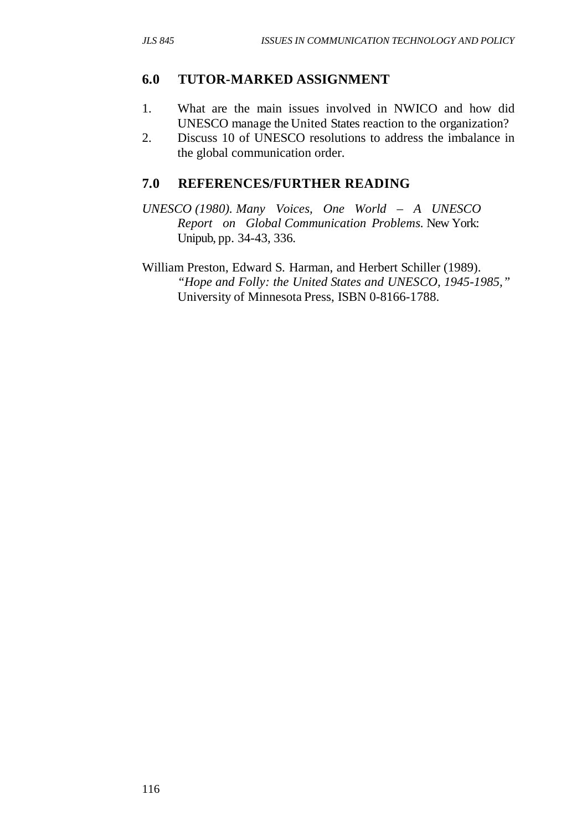### **6.0 TUTOR-MARKED ASSIGNMENT**

- 1. What are the main issues involved in NWICO and how did UNESCO manage the United States reaction to the organization?
- 2. Discuss 10 of UNESCO resolutions to address the imbalance in the global communication order.

### **7.0 REFERENCES/FURTHER READING**

- *UNESCO (1980). Many Voices, One World A UNESCO Report on Global Communication Problems.* New York: Unipub, pp. 34-43, 336.
- William Preston, Edward S. Harman, and Herbert Schiller (1989). *"Hope and Folly: the United States and UNESCO, 1945-1985,"* University of Minnesota Press, ISBN 0-8166-1788.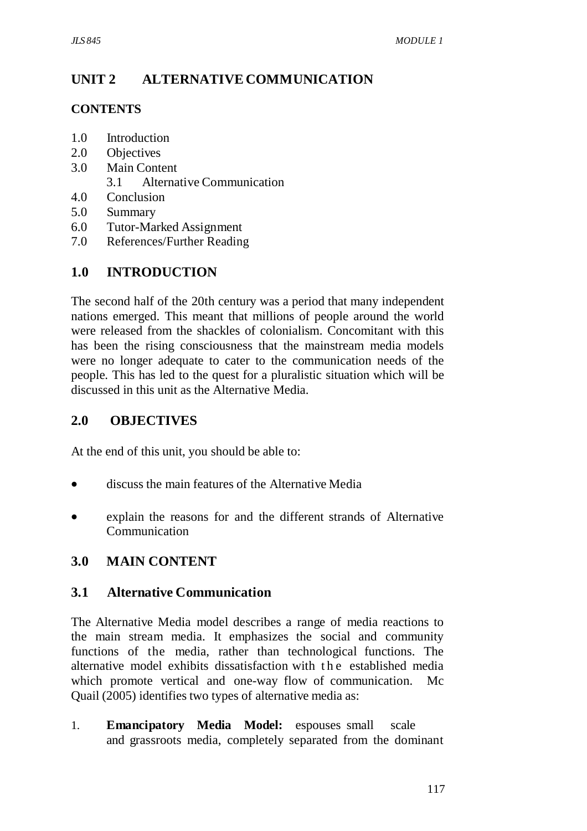# **UNIT 2 ALTERNATIVE COMMUNICATION**

### **CONTENTS**

- 1.0 Introduction
- 2.0 Objectives
- 3.0 Main Content
	- 3.1 Alternative Communication
- 4.0 Conclusion
- 5.0 Summary
- 6.0 Tutor-Marked Assignment
- 7.0 References/Further Reading

# **1.0 INTRODUCTION**

The second half of the 20th century was a period that many independent nations emerged. This meant that millions of people around the world were released from the shackles of colonialism. Concomitant with this has been the rising consciousness that the mainstream media models were no longer adequate to cater to the communication needs of the people. This has led to the quest for a pluralistic situation which will be discussed in this unit as the Alternative Media.

# **2.0 OBJECTIVES**

At the end of this unit, you should be able to:

- discuss the main features of the Alternative Media
- explain the reasons for and the different strands of Alternative **Communication**

# **3.0 MAIN CONTENT**

### **3.1 Alternative Communication**

The Alternative Media model describes a range of media reactions to the main stream media. It emphasizes the social and community functions of the media, rather than technological functions. The alternative model exhibits dissatisfaction with the established media which promote vertical and one-way flow of communication. Mc Quail (2005) identifies two types of alternative media as:

1. **Emancipatory Media Model:** espouses small scale and grassroots media, completely separated from the dominant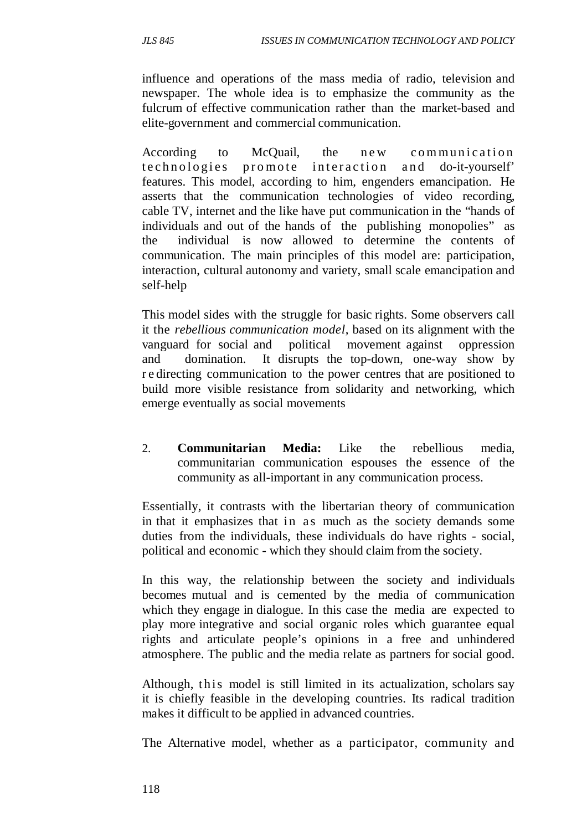influence and operations of the mass media of radio, television and newspaper. The whole idea is to emphasize the community as the fulcrum of effective communication rather than the market-based and elite-government and commercial communication.

According to McQuail, the new communication technologies promote interaction and do-it-yourself' features. This model, according to him, engenders emancipation. He asserts that the communication technologies of video recording, cable TV, internet and the like have put communication in the "hands of individuals and out of the hands of the publishing monopolies" as the individual is now allowed to determine the contents of communication. The main principles of this model are: participation, interaction, cultural autonomy and variety, small scale emancipation and self-help

This model sides with the struggle for basic rights. Some observers call it the *rebellious communication model*, based on its alignment with the vanguard for social and political movement against oppression and domination. It disrupts the top-down, one-way show by r e directing communication to the power centres that are positioned to build more visible resistance from solidarity and networking, which emerge eventually as social movements

2. **Communitarian Media:** Like the rebellious media, communitarian communication espouses the essence of the community as all-important in any communication process.

Essentially, it contrasts with the libertarian theory of communication in that it emphasizes that in as much as the society demands some duties from the individuals, these individuals do have rights - social, political and economic - which they should claim from the society.

In this way, the relationship between the society and individuals becomes mutual and is cemented by the media of communication which they engage in dialogue. In this case the media are expected to play more integrative and social organic roles which guarantee equal rights and articulate people's opinions in a free and unhindered atmosphere. The public and the media relate as partners for social good.

Although, this model is still limited in its actualization, scholars say it is chiefly feasible in the developing countries. Its radical tradition makes it difficult to be applied in advanced countries.

The Alternative model, whether as a participator, community and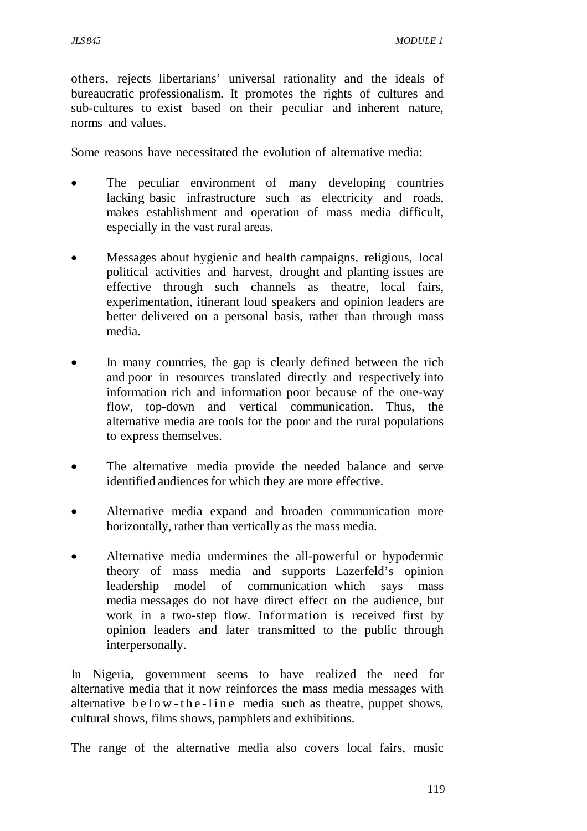others, rejects libertarians' universal rationality and the ideals of bureaucratic professionalism. It promotes the rights of cultures and sub-cultures to exist based on their peculiar and inherent nature, norms and values.

Some reasons have necessitated the evolution of alternative media:

- The peculiar environment of many developing countries lacking basic infrastructure such as electricity and roads, makes establishment and operation of mass media difficult, especially in the vast rural areas.
- Messages about hygienic and health campaigns, religious, local political activities and harvest, drought and planting issues are effective through such channels as theatre, local fairs, experimentation, itinerant loud speakers and opinion leaders are better delivered on a personal basis, rather than through mass media.
- In many countries, the gap is clearly defined between the rich and poor in resources translated directly and respectively into information rich and information poor because of the one-way flow, top-down and vertical communication. Thus, the alternative media are tools for the poor and the rural populations to express themselves.
- The alternative media provide the needed balance and serve identified audiences for which they are more effective.
- Alternative media expand and broaden communication more horizontally, rather than vertically as the mass media.
- Alternative media undermines the all-powerful or hypodermic theory of mass media and supports Lazerfeld's opinion leadership model of communication which says mass media messages do not have direct effect on the audience, but work in a two-step flow. Information is received first by opinion leaders and later transmitted to the public through interpersonally.

In Nigeria, government seems to have realized the need for alternative media that it now reinforces the mass media messages with alternative  $b \cdot b \cdot b \cdot b \cdot c$  - line media such as the atree, puppet shows, cultural shows, films shows, pamphlets and exhibitions.

The range of the alternative media also covers local fairs, music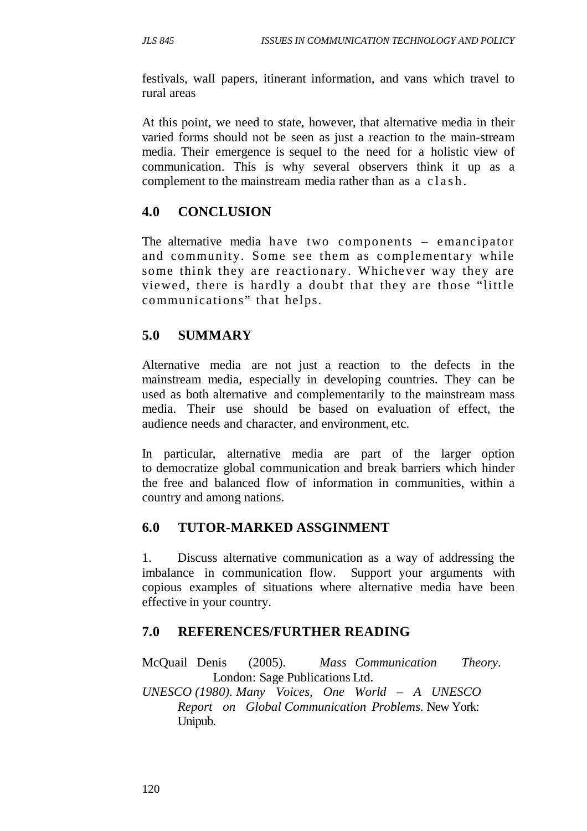festivals, wall papers, itinerant information, and vans which travel to rural areas

At this point, we need to state, however, that alternative media in their varied forms should not be seen as just a reaction to the main-stream media. Their emergence is sequel to the need for a holistic view of communication. This is why several observers think it up as a complement to the mainstream media rather than as a clash.

### **4.0 CONCLUSION**

The alternative media have two components – emancipator and community. Some see them as complementary while some think they are reactionary. Whichever way they are viewed, there is hardly a doubt that they are those "little communications" that helps.

# **5.0 SUMMARY**

Alternative media are not just a reaction to the defects in the mainstream media, especially in developing countries. They can be used as both alternative and complementarily to the mainstream mass media. Their use should be based on evaluation of effect, the audience needs and character, and environment, etc.

In particular, alternative media are part of the larger option to democratize global communication and break barriers which hinder the free and balanced flow of information in communities, within a country and among nations.

### **6.0 TUTOR-MARKED ASSGINMENT**

1. Discuss alternative communication as a way of addressing the imbalance in communication flow. Support your arguments with copious examples of situations where alternative media have been effective in your country.

### **7.0 REFERENCES/FURTHER READING**

McQuail Denis (2005). *Mass Communication Theory*. London: Sage Publications Ltd.

*UNESCO (1980). Many Voices, One World* – *A UNESCO Report on Global Communication Problems.* New York: Unipub.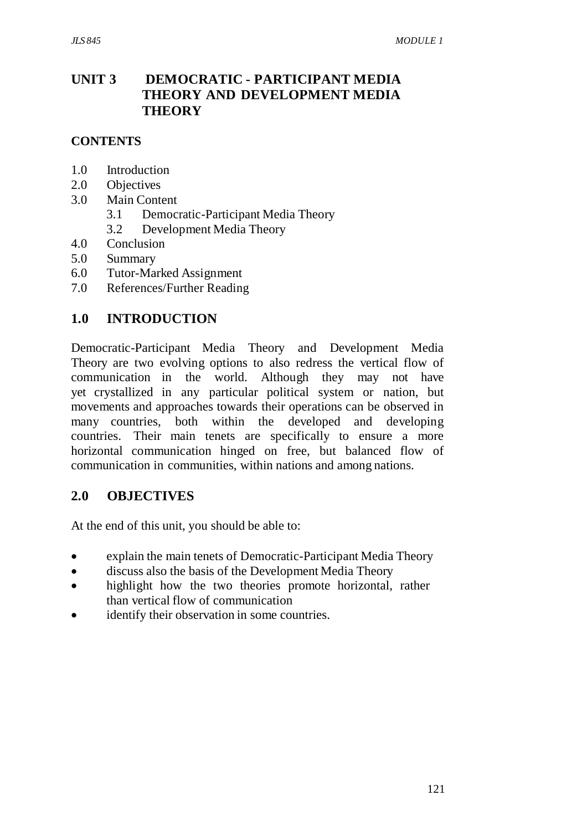# **UNIT 3 DEMOCRATIC - PARTICIPANT MEDIA THEORY AND DEVELOPMENT MEDIA THEORY**

### **CONTENTS**

- 1.0 Introduction
- 2.0 Objectives
- 3.0 Main Content
	- 3.1 Democratic-Participant Media Theory
	- 3.2 Development Media Theory
- 4.0 Conclusion
- 5.0 Summary
- 6.0 Tutor-Marked Assignment
- 7.0 References/Further Reading

### **1.0 INTRODUCTION**

Democratic-Participant Media Theory and Development Media Theory are two evolving options to also redress the vertical flow of communication in the world. Although they may not have yet crystallized in any particular political system or nation, but movements and approaches towards their operations can be observed in many countries, both within the developed and developing countries. Their main tenets are specifically to ensure a more horizontal communication hinged on free, but balanced flow of communication in communities, within nations and among nations.

#### **2.0 OBJECTIVES**

At the end of this unit, you should be able to:

- explain the main tenets of Democratic-Participant Media Theory
- discuss also the basis of the Development Media Theory
- highlight how the two theories promote horizontal, rather than vertical flow of communication
- identify their observation in some countries.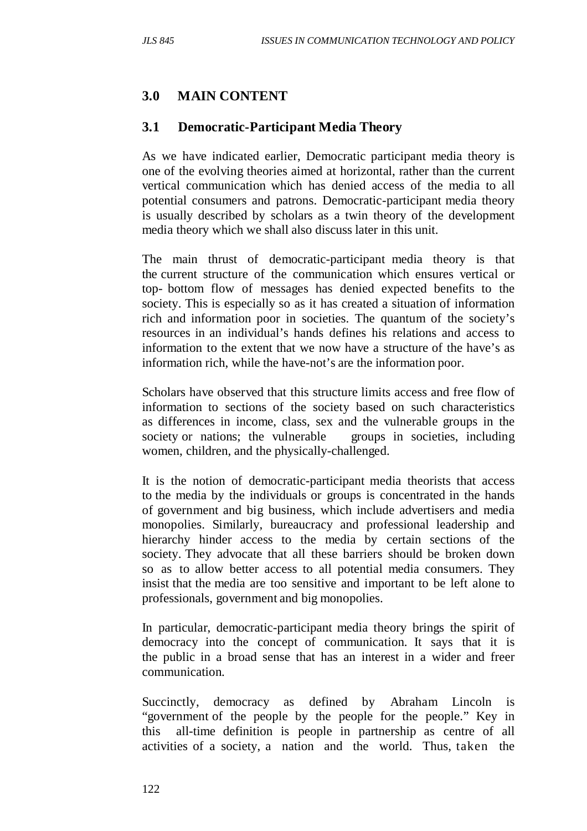## **3.0 MAIN CONTENT**

### **3.1 Democratic-Participant Media Theory**

As we have indicated earlier, Democratic participant media theory is one of the evolving theories aimed at horizontal, rather than the current vertical communication which has denied access of the media to all potential consumers and patrons. Democratic-participant media theory is usually described by scholars as a twin theory of the development media theory which we shall also discuss later in this unit.

The main thrust of democratic-participant media theory is that the current structure of the communication which ensures vertical or top- bottom flow of messages has denied expected benefits to the society. This is especially so as it has created a situation of information rich and information poor in societies. The quantum of the society's resources in an individual's hands defines his relations and access to information to the extent that we now have a structure of the have's as information rich, while the have-not's are the information poor.

Scholars have observed that this structure limits access and free flow of information to sections of the society based on such characteristics as differences in income, class, sex and the vulnerable groups in the society or nations; the vulnerable groups in societies, including women, children, and the physically-challenged.

It is the notion of democratic-participant media theorists that access to the media by the individuals or groups is concentrated in the hands of government and big business, which include advertisers and media monopolies. Similarly, bureaucracy and professional leadership and hierarchy hinder access to the media by certain sections of the society. They advocate that all these barriers should be broken down so as to allow better access to all potential media consumers. They insist that the media are too sensitive and important to be left alone to professionals, government and big monopolies.

In particular, democratic-participant media theory brings the spirit of democracy into the concept of communication. It says that it is the public in a broad sense that has an interest in a wider and freer communication.

Succinctly, democracy as defined by Abraham Lincoln is "government of the people by the people for the people." Key in this all-time definition is people in partnership as centre of all activities of a society, a nation and the world. Thus, taken the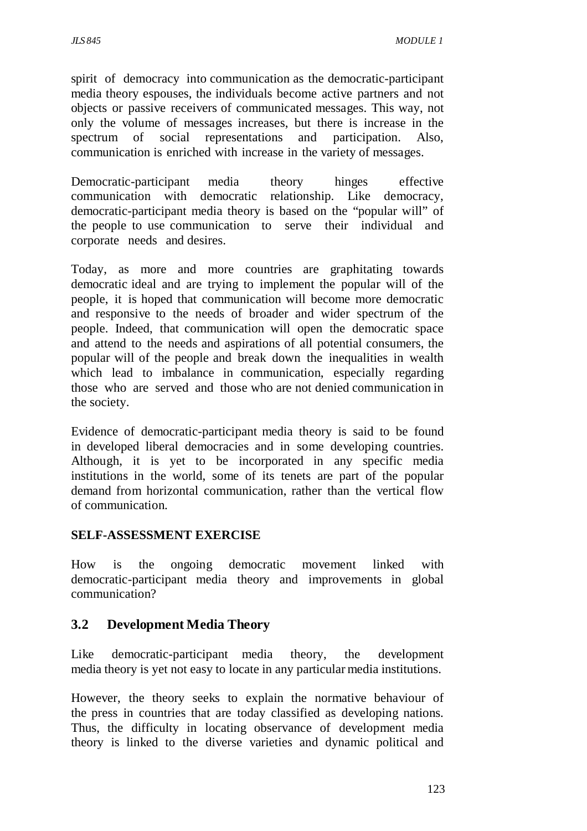spirit of democracy into communication as the democratic-participant media theory espouses, the individuals become active partners and not objects or passive receivers of communicated messages. This way, not only the volume of messages increases, but there is increase in the spectrum of social representations and participation. Also, communication is enriched with increase in the variety of messages.

Democratic-participant media theory hinges effective communication with democratic relationship. Like democracy, democratic-participant media theory is based on the "popular will" of the people to use communication to serve their individual and corporate needs and desires.

Today, as more and more countries are graphitating towards democratic ideal and are trying to implement the popular will of the people, it is hoped that communication will become more democratic and responsive to the needs of broader and wider spectrum of the people. Indeed, that communication will open the democratic space and attend to the needs and aspirations of all potential consumers, the popular will of the people and break down the inequalities in wealth which lead to imbalance in communication, especially regarding those who are served and those who are not denied communication in the society.

Evidence of democratic-participant media theory is said to be found in developed liberal democracies and in some developing countries. Although, it is yet to be incorporated in any specific media institutions in the world, some of its tenets are part of the popular demand from horizontal communication, rather than the vertical flow of communication.

### **SELF-ASSESSMENT EXERCISE**

How is the ongoing democratic movement linked with democratic-participant media theory and improvements in global communication?

### **3.2 Development Media Theory**

Like democratic-participant media theory, the development media theory is yet not easy to locate in any particular media institutions.

However, the theory seeks to explain the normative behaviour of the press in countries that are today classified as developing nations. Thus, the difficulty in locating observance of development media theory is linked to the diverse varieties and dynamic political and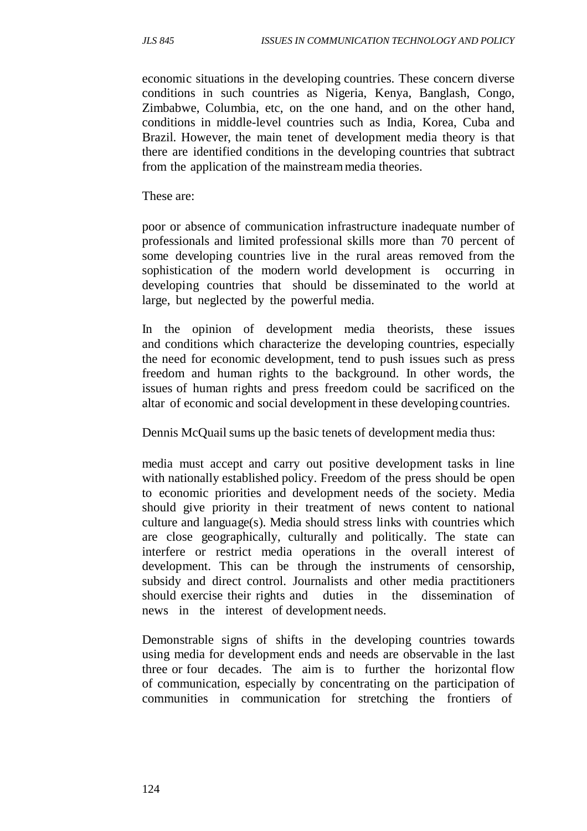economic situations in the developing countries. These concern diverse conditions in such countries as Nigeria, Kenya, Banglash, Congo, Zimbabwe, Columbia, etc, on the one hand, and on the other hand, conditions in middle-level countries such as India, Korea, Cuba and Brazil. However, the main tenet of development media theory is that there are identified conditions in the developing countries that subtract from the application of the mainstream media theories.

These are:

poor or absence of communication infrastructure inadequate number of professionals and limited professional skills more than 70 percent of some developing countries live in the rural areas removed from the sophistication of the modern world development is occurring in developing countries that should be disseminated to the world at large, but neglected by the powerful media.

In the opinion of development media theorists, these issues and conditions which characterize the developing countries, especially the need for economic development, tend to push issues such as press freedom and human rights to the background. In other words, the issues of human rights and press freedom could be sacrificed on the altar of economic and social development in these developing countries.

Dennis McQuail sums up the basic tenets of development media thus:

media must accept and carry out positive development tasks in line with nationally established policy. Freedom of the press should be open to economic priorities and development needs of the society. Media should give priority in their treatment of news content to national culture and language(s). Media should stress links with countries which are close geographically, culturally and politically. The state can interfere or restrict media operations in the overall interest of development. This can be through the instruments of censorship, subsidy and direct control. Journalists and other media practitioners should exercise their rights and duties in the dissemination of news in the interest of development needs.

Demonstrable signs of shifts in the developing countries towards using media for development ends and needs are observable in the last three or four decades. The aim is to further the horizontal flow of communication, especially by concentrating on the participation of communities in communication for stretching the frontiers of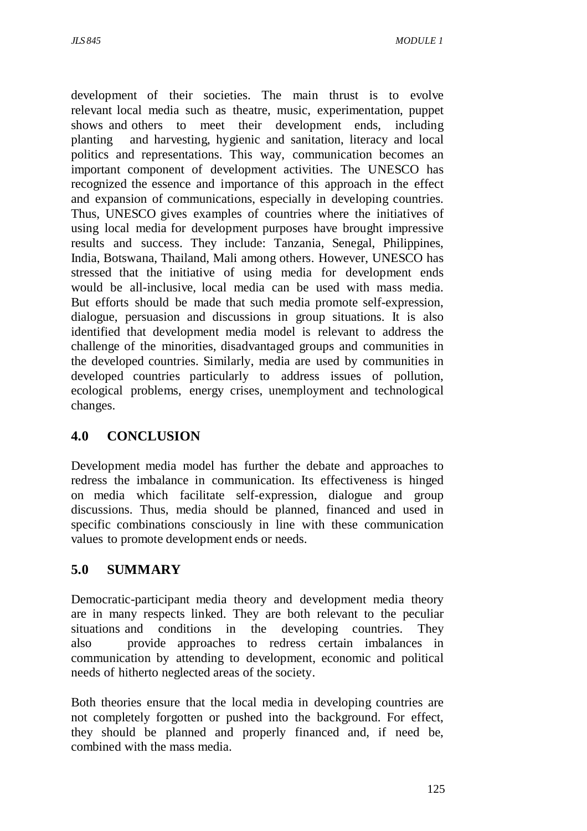development of their societies. The main thrust is to evolve relevant local media such as theatre, music, experimentation, puppet shows and others to meet their development ends, including planting and harvesting, hygienic and sanitation, literacy and local politics and representations. This way, communication becomes an important component of development activities. The UNESCO has recognized the essence and importance of this approach in the effect and expansion of communications, especially in developing countries. Thus, UNESCO gives examples of countries where the initiatives of using local media for development purposes have brought impressive results and success. They include: Tanzania, Senegal, Philippines, India, Botswana, Thailand, Mali among others. However, UNESCO has stressed that the initiative of using media for development ends would be all-inclusive, local media can be used with mass media. But efforts should be made that such media promote self-expression, dialogue, persuasion and discussions in group situations. It is also identified that development media model is relevant to address the challenge of the minorities, disadvantaged groups and communities in the developed countries. Similarly, media are used by communities in developed countries particularly to address issues of pollution, ecological problems, energy crises, unemployment and technological changes.

# **4.0 CONCLUSION**

Development media model has further the debate and approaches to redress the imbalance in communication. Its effectiveness is hinged on media which facilitate self-expression, dialogue and group discussions. Thus, media should be planned, financed and used in specific combinations consciously in line with these communication values to promote development ends or needs.

# **5.0 SUMMARY**

Democratic-participant media theory and development media theory are in many respects linked. They are both relevant to the peculiar situations and conditions in the developing countries. They also provide approaches to redress certain imbalances in communication by attending to development, economic and political needs of hitherto neglected areas of the society.

Both theories ensure that the local media in developing countries are not completely forgotten or pushed into the background. For effect, they should be planned and properly financed and, if need be, combined with the mass media.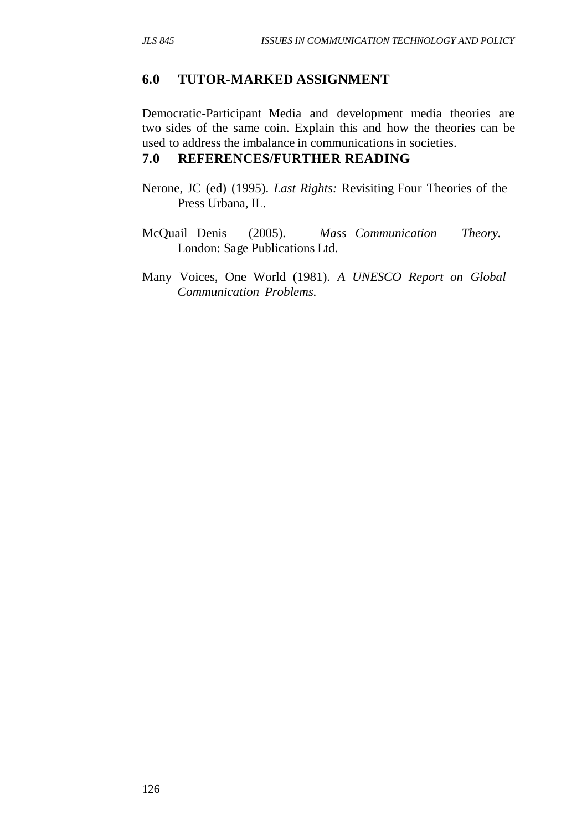### **6.0 TUTOR-MARKED ASSIGNMENT**

Democratic-Participant Media and development media theories are two sides of the same coin. Explain this and how the theories can be used to address the imbalance in communications in societies.

### **7.0 REFERENCES/FURTHER READING**

- Nerone, JC (ed) (1995). *Last Rights:* Revisiting Four Theories of the Press Urbana, IL.
- McQuail Denis (2005). *Mass Communication Theory.* London: Sage Publications Ltd.
- Many Voices, One World (1981). *A UNESCO Report on Global Communication Problems.*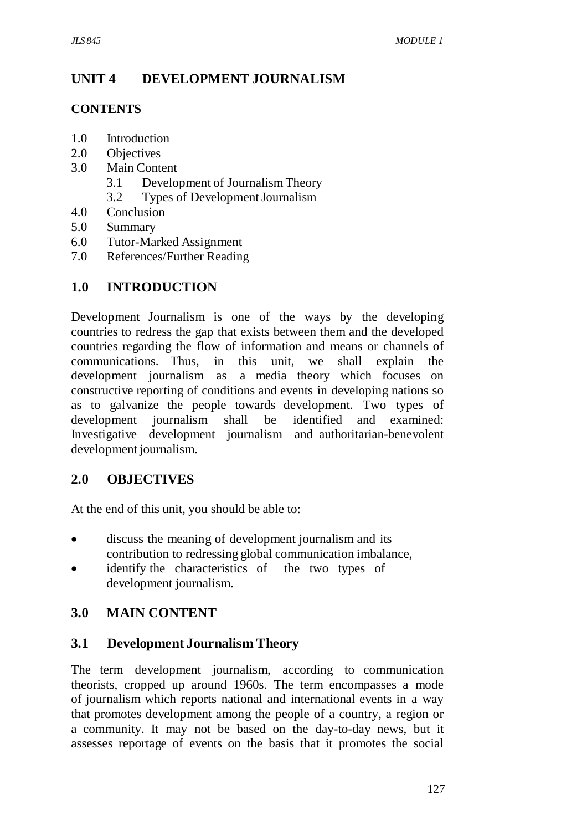# **UNIT 4 DEVELOPMENT JOURNALISM**

### **CONTENTS**

- 1.0 Introduction
- 2.0 Objectives
- 3.0 Main Content
	- 3.1 Development of Journalism Theory
	- 3.2 Types of Development Journalism
- 4.0 Conclusion
- 5.0 Summary
- 6.0 Tutor-Marked Assignment
- 7.0 References/Further Reading

# **1.0 INTRODUCTION**

Development Journalism is one of the ways by the developing countries to redress the gap that exists between them and the developed countries regarding the flow of information and means or channels of communications. Thus, in this unit, we shall explain the development journalism as a media theory which focuses on constructive reporting of conditions and events in developing nations so as to galvanize the people towards development. Two types of development journalism shall be identified and examined: Investigative development journalism and authoritarian-benevolent development journalism.

### **2.0 OBJECTIVES**

At the end of this unit, you should be able to:

- discuss the meaning of development journalism and its contribution to redressing global communication imbalance,
- identify the characteristics of the two types of development journalism.

# **3.0 MAIN CONTENT**

### **3.1 Development Journalism Theory**

The term development journalism, according to communication theorists, cropped up around 1960s. The term encompasses a mode of journalism which reports national and international events in a way that promotes development among the people of a country, a region or a community. It may not be based on the day-to-day news, but it assesses reportage of events on the basis that it promotes the social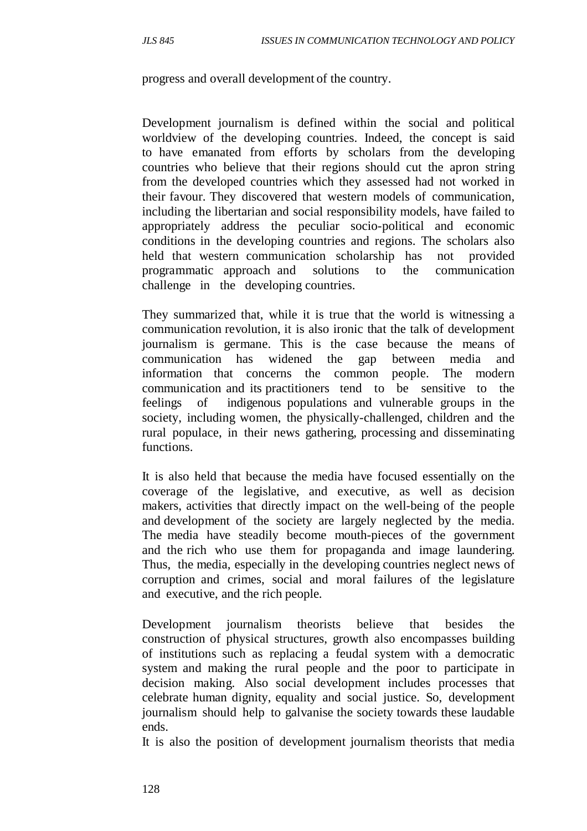progress and overall development of the country.

Development journalism is defined within the social and political worldview of the developing countries. Indeed, the concept is said to have emanated from efforts by scholars from the developing countries who believe that their regions should cut the apron string from the developed countries which they assessed had not worked in their favour. They discovered that western models of communication, including the libertarian and social responsibility models, have failed to appropriately address the peculiar socio-political and economic conditions in the developing countries and regions. The scholars also held that western communication scholarship has not provided programmatic approach and solutions to the communication challenge in the developing countries.

They summarized that, while it is true that the world is witnessing a communication revolution, it is also ironic that the talk of development journalism is germane. This is the case because the means of communication has widened the gap between media and information that concerns the common people. The modern communication and its practitioners tend to be sensitive to the feelings of indigenous populations and vulnerable groups in the society, including women, the physically-challenged, children and the rural populace, in their news gathering, processing and disseminating functions.

It is also held that because the media have focused essentially on the coverage of the legislative, and executive, as well as decision makers, activities that directly impact on the well-being of the people and development of the society are largely neglected by the media. The media have steadily become mouth-pieces of the government and the rich who use them for propaganda and image laundering. Thus, the media, especially in the developing countries neglect news of corruption and crimes, social and moral failures of the legislature and executive, and the rich people.

Development journalism theorists believe that besides the construction of physical structures, growth also encompasses building of institutions such as replacing a feudal system with a democratic system and making the rural people and the poor to participate in decision making. Also social development includes processes that celebrate human dignity, equality and social justice. So, development journalism should help to galvanise the society towards these laudable ends.

It is also the position of development journalism theorists that media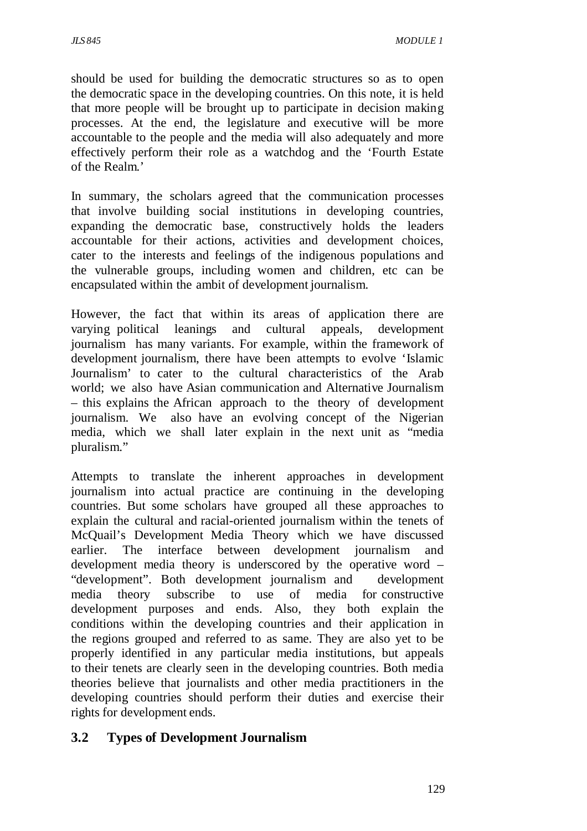should be used for building the democratic structures so as to open the democratic space in the developing countries. On this note, it is held that more people will be brought up to participate in decision making processes. At the end, the legislature and executive will be more accountable to the people and the media will also adequately and more effectively perform their role as a watchdog and the 'Fourth Estate of the Realm.'

In summary, the scholars agreed that the communication processes that involve building social institutions in developing countries, expanding the democratic base, constructively holds the leaders accountable for their actions, activities and development choices, cater to the interests and feelings of the indigenous populations and the vulnerable groups, including women and children, etc can be encapsulated within the ambit of development journalism.

However, the fact that within its areas of application there are varying political leanings and cultural appeals, development journalism has many variants. For example, within the framework of development journalism, there have been attempts to evolve 'Islamic Journalism' to cater to the cultural characteristics of the Arab world; we also have Asian communication and Alternative Journalism – this explains the African approach to the theory of development journalism. We also have an evolving concept of the Nigerian media, which we shall later explain in the next unit as "media pluralism."

Attempts to translate the inherent approaches in development journalism into actual practice are continuing in the developing countries. But some scholars have grouped all these approaches to explain the cultural and racial-oriented journalism within the tenets of McQuail's Development Media Theory which we have discussed earlier. The interface between development journalism and development media theory is underscored by the operative word – "development". Both development journalism and development media theory subscribe to use of media for constructive development purposes and ends. Also, they both explain the conditions within the developing countries and their application in the regions grouped and referred to as same. They are also yet to be properly identified in any particular media institutions, but appeals to their tenets are clearly seen in the developing countries. Both media theories believe that journalists and other media practitioners in the developing countries should perform their duties and exercise their rights for development ends.

### **3.2 Types of Development Journalism**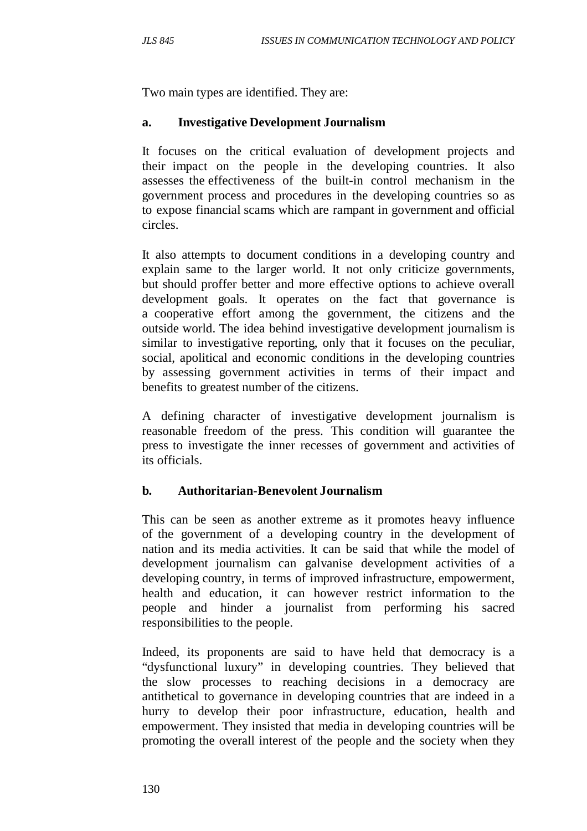Two main types are identified. They are:

#### **a. Investigative Development Journalism**

It focuses on the critical evaluation of development projects and their impact on the people in the developing countries. It also assesses the effectiveness of the built-in control mechanism in the government process and procedures in the developing countries so as to expose financial scams which are rampant in government and official circles.

It also attempts to document conditions in a developing country and explain same to the larger world. It not only criticize governments, but should proffer better and more effective options to achieve overall development goals. It operates on the fact that governance is a cooperative effort among the government, the citizens and the outside world. The idea behind investigative development journalism is similar to investigative reporting, only that it focuses on the peculiar, social, apolitical and economic conditions in the developing countries by assessing government activities in terms of their impact and benefits to greatest number of the citizens.

A defining character of investigative development journalism is reasonable freedom of the press. This condition will guarantee the press to investigate the inner recesses of government and activities of its officials.

#### **b. Authoritarian-Benevolent Journalism**

This can be seen as another extreme as it promotes heavy influence of the government of a developing country in the development of nation and its media activities. It can be said that while the model of development journalism can galvanise development activities of a developing country, in terms of improved infrastructure, empowerment, health and education, it can however restrict information to the people and hinder a journalist from performing his sacred responsibilities to the people.

Indeed, its proponents are said to have held that democracy is a "dysfunctional luxury" in developing countries. They believed that the slow processes to reaching decisions in a democracy are antithetical to governance in developing countries that are indeed in a hurry to develop their poor infrastructure, education, health and empowerment. They insisted that media in developing countries will be promoting the overall interest of the people and the society when they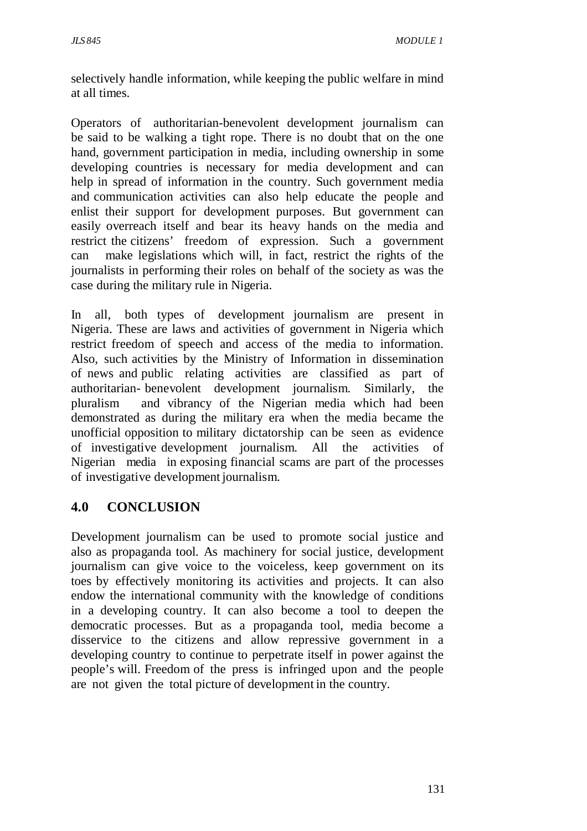selectively handle information, while keeping the public welfare in mind at all times.

Operators of authoritarian-benevolent development journalism can be said to be walking a tight rope. There is no doubt that on the one hand, government participation in media, including ownership in some developing countries is necessary for media development and can help in spread of information in the country. Such government media and communication activities can also help educate the people and enlist their support for development purposes. But government can easily overreach itself and bear its heavy hands on the media and restrict the citizens' freedom of expression. Such a government can make legislations which will, in fact, restrict the rights of the journalists in performing their roles on behalf of the society as was the case during the military rule in Nigeria.

In all, both types of development journalism are present in Nigeria. These are laws and activities of government in Nigeria which restrict freedom of speech and access of the media to information. Also, such activities by the Ministry of Information in dissemination of news and public relating activities are classified as part of authoritarian- benevolent development journalism. Similarly, the pluralism and vibrancy of the Nigerian media which had been demonstrated as during the military era when the media became the unofficial opposition to military dictatorship can be seen as evidence of investigative development journalism. All the activities of Nigerian media in exposing financial scams are part of the processes of investigative development journalism.

# **4.0 CONCLUSION**

Development journalism can be used to promote social justice and also as propaganda tool. As machinery for social justice, development journalism can give voice to the voiceless, keep government on its toes by effectively monitoring its activities and projects. It can also endow the international community with the knowledge of conditions in a developing country. It can also become a tool to deepen the democratic processes. But as a propaganda tool, media become a disservice to the citizens and allow repressive government in a developing country to continue to perpetrate itself in power against the people's will. Freedom of the press is infringed upon and the people are not given the total picture of development in the country.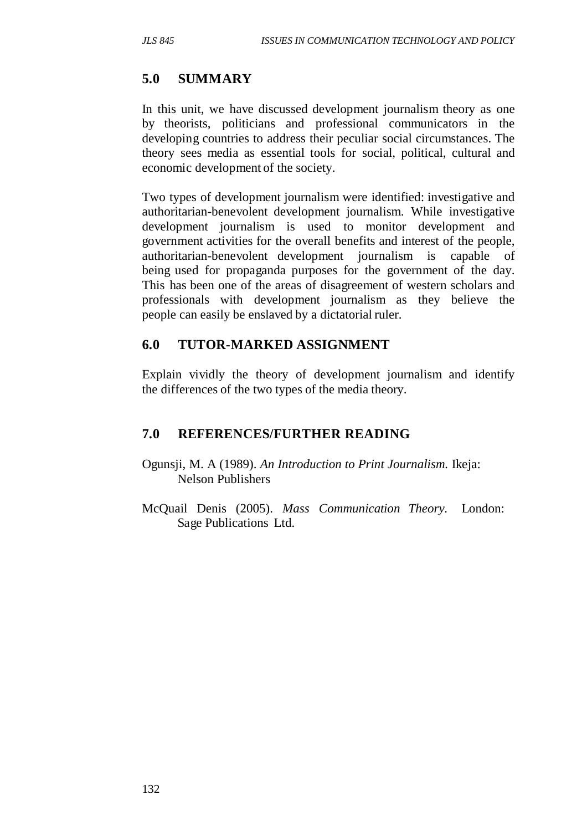# **5.0 SUMMARY**

In this unit, we have discussed development journalism theory as one by theorists, politicians and professional communicators in the developing countries to address their peculiar social circumstances. The theory sees media as essential tools for social, political, cultural and economic development of the society.

Two types of development journalism were identified: investigative and authoritarian-benevolent development journalism. While investigative development journalism is used to monitor development and government activities for the overall benefits and interest of the people, authoritarian-benevolent development journalism is capable of being used for propaganda purposes for the government of the day. This has been one of the areas of disagreement of western scholars and professionals with development journalism as they believe the people can easily be enslaved by a dictatorial ruler.

# **6.0 TUTOR-MARKED ASSIGNMENT**

Explain vividly the theory of development journalism and identify the differences of the two types of the media theory.

# **7.0 REFERENCES/FURTHER READING**

- Ogunsji, M. A (1989). *An Introduction to Print Journalism.* Ikeja: Nelson Publishers
- McQuail Denis (2005). *Mass Communication Theory.* London: Sage Publications Ltd.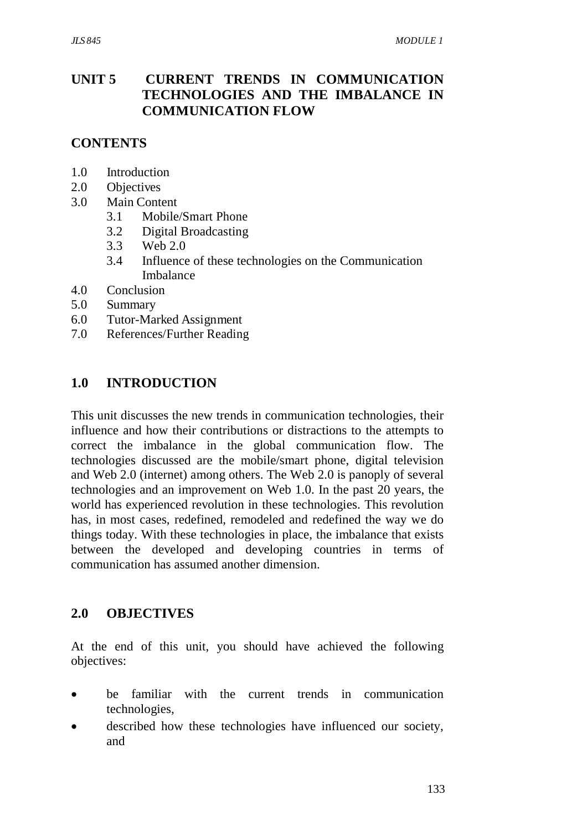# **UNIT 5 CURRENT TRENDS IN COMMUNICATION TECHNOLOGIES AND THE IMBALANCE IN COMMUNICATION FLOW**

### **CONTENTS**

- 1.0 Introduction
- 2.0 Objectives
- 3.0 Main Content
	- 3.1 Mobile/Smart Phone
	- 3.2 Digital Broadcasting
	- 3.3 Web 2.0
	- 3.4 Influence of these technologies on the Communication Imbalance
- 4.0 Conclusion
- 5.0 Summary
- 6.0 Tutor-Marked Assignment
- 7.0 References/Further Reading

### **1.0 INTRODUCTION**

This unit discusses the new trends in communication technologies, their influence and how their contributions or distractions to the attempts to correct the imbalance in the global communication flow. The technologies discussed are the mobile/smart phone, digital television and Web 2.0 (internet) among others. The Web 2.0 is panoply of several technologies and an improvement on Web 1.0. In the past 20 years, the world has experienced revolution in these technologies. This revolution has, in most cases, redefined, remodeled and redefined the way we do things today. With these technologies in place, the imbalance that exists between the developed and developing countries in terms of communication has assumed another dimension.

#### **2.0 OBJECTIVES**

At the end of this unit, you should have achieved the following objectives:

- be familiar with the current trends in communication technologies,
- described how these technologies have influenced our society, and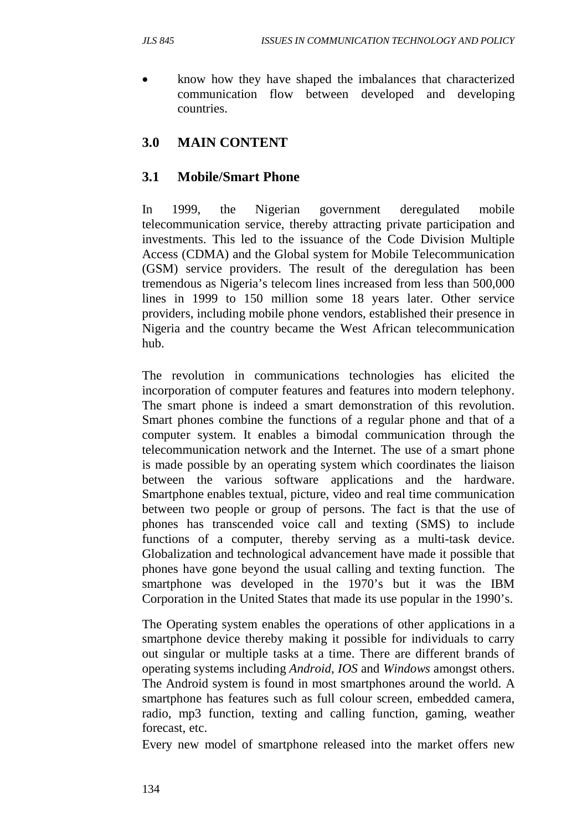• know how they have shaped the imbalances that characterized communication flow between developed and developing countries.

# **3.0 MAIN CONTENT**

## **3.1 Mobile/Smart Phone**

In 1999, the Nigerian government deregulated mobile telecommunication service, thereby attracting private participation and investments. This led to the issuance of the Code Division Multiple Access (CDMA) and the Global system for Mobile Telecommunication (GSM) service providers. The result of the deregulation has been tremendous as Nigeria's telecom lines increased from less than 500,000 lines in 1999 to 150 million some 18 years later. Other service providers, including mobile phone vendors, established their presence in Nigeria and the country became the West African telecommunication hub.

The revolution in communications technologies has elicited the incorporation of computer features and features into modern telephony. The smart phone is indeed a smart demonstration of this revolution. Smart phones combine the functions of a regular phone and that of a computer system. It enables a bimodal communication through the telecommunication network and the Internet. The use of a smart phone is made possible by an operating system which coordinates the liaison between the various software applications and the hardware. Smartphone enables textual, picture, video and real time communication between two people or group of persons. The fact is that the use of phones has transcended voice call and texting (SMS) to include functions of a computer, thereby serving as a multi-task device. Globalization and technological advancement have made it possible that phones have gone beyond the usual calling and texting function. The smartphone was developed in the 1970's but it was the IBM Corporation in the United States that made its use popular in the 1990's.

The Operating system enables the operations of other applications in a smartphone device thereby making it possible for individuals to carry out singular or multiple tasks at a time. There are different brands of operating systems including *Android*, *IOS* and *Windows* amongst others. The Android system is found in most smartphones around the world. A smartphone has features such as full colour screen, embedded camera, radio, mp3 function, texting and calling function, gaming, weather forecast, etc.

Every new model of smartphone released into the market offers new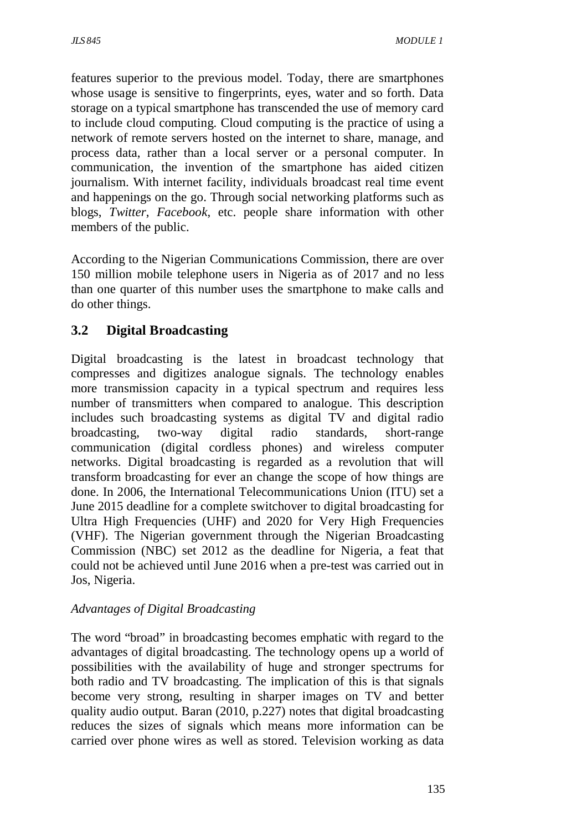features superior to the previous model. Today, there are smartphones whose usage is sensitive to fingerprints, eyes, water and so forth. Data storage on a typical smartphone has transcended the use of memory card to include cloud computing. Cloud computing is the practice of using a network of remote servers hosted on the internet to share, manage, and process data, rather than a local server or a personal computer. In communication, the invention of the smartphone has aided citizen journalism. With internet facility, individuals broadcast real time event and happenings on the go. Through social networking platforms such as blogs, *Twitter*, *Facebook*, etc. people share information with other members of the public.

According to the Nigerian Communications Commission, there are over 150 million mobile telephone users in Nigeria as of 2017 and no less than one quarter of this number uses the smartphone to make calls and do other things.

# **3.2 Digital Broadcasting**

Digital broadcasting is the latest in broadcast technology that compresses and digitizes analogue signals. The technology enables more transmission capacity in a typical spectrum and requires less number of transmitters when compared to analogue. This description includes such broadcasting systems as digital TV and digital radio broadcasting, two-way digital radio standards, short-range communication (digital cordless phones) and wireless computer networks. Digital broadcasting is regarded as a revolution that will transform broadcasting for ever an change the scope of how things are done. In 2006, the International Telecommunications Union (ITU) set a June 2015 deadline for a complete switchover to digital broadcasting for Ultra High Frequencies (UHF) and 2020 for Very High Frequencies (VHF). The Nigerian government through the Nigerian Broadcasting Commission (NBC) set 2012 as the deadline for Nigeria, a feat that could not be achieved until June 2016 when a pre-test was carried out in Jos, Nigeria.

#### *Advantages of Digital Broadcasting*

The word "broad" in broadcasting becomes emphatic with regard to the advantages of digital broadcasting. The technology opens up a world of possibilities with the availability of huge and stronger spectrums for both radio and TV broadcasting. The implication of this is that signals become very strong, resulting in sharper images on TV and better quality audio output. Baran (2010, p.227) notes that digital broadcasting reduces the sizes of signals which means more information can be carried over phone wires as well as stored. Television working as data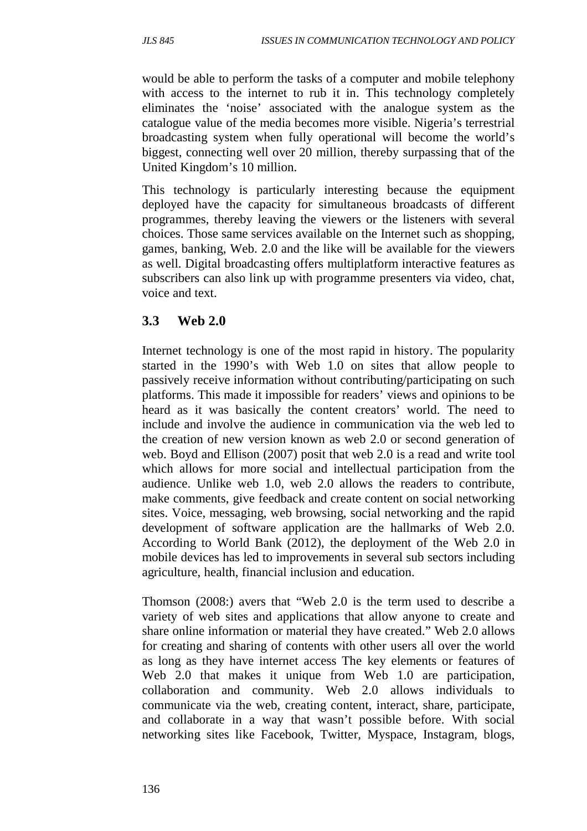would be able to perform the tasks of a computer and mobile telephony with access to the internet to rub it in. This technology completely eliminates the 'noise' associated with the analogue system as the catalogue value of the media becomes more visible. Nigeria's terrestrial broadcasting system when fully operational will become the world's biggest, connecting well over 20 million, thereby surpassing that of the United Kingdom's 10 million.

This technology is particularly interesting because the equipment deployed have the capacity for simultaneous broadcasts of different programmes, thereby leaving the viewers or the listeners with several choices. Those same services available on the Internet such as shopping, games, banking, Web. 2.0 and the like will be available for the viewers as well. Digital broadcasting offers multiplatform interactive features as subscribers can also link up with programme presenters via video, chat, voice and text.

### **3.3 Web 2.0**

Internet technology is one of the most rapid in history. The popularity started in the 1990's with Web 1.0 on sites that allow people to passively receive information without contributing/participating on such platforms. This made it impossible for readers' views and opinions to be heard as it was basically the content creators' world. The need to include and involve the audience in communication via the web led to the creation of new version known as web 2.0 or second generation of web. Boyd and Ellison (2007) posit that web 2.0 is a read and write tool which allows for more social and intellectual participation from the audience. Unlike web 1.0, web 2.0 allows the readers to contribute, make comments, give feedback and create content on social networking sites. Voice, messaging, web browsing, social networking and the rapid development of software application are the hallmarks of Web 2.0. According to World Bank (2012), the deployment of the Web 2.0 in mobile devices has led to improvements in several sub sectors including agriculture, health, financial inclusion and education.

Thomson (2008:) avers that "Web 2.0 is the term used to describe a variety of web sites and applications that allow anyone to create and share online information or material they have created." Web 2.0 allows for creating and sharing of contents with other users all over the world as long as they have internet access The key elements or features of Web 2.0 that makes it unique from Web 1.0 are participation, collaboration and community. Web 2.0 allows individuals to communicate via the web, creating content, interact, share, participate, and collaborate in a way that wasn't possible before. With social networking sites like Facebook, Twitter, Myspace, Instagram, blogs,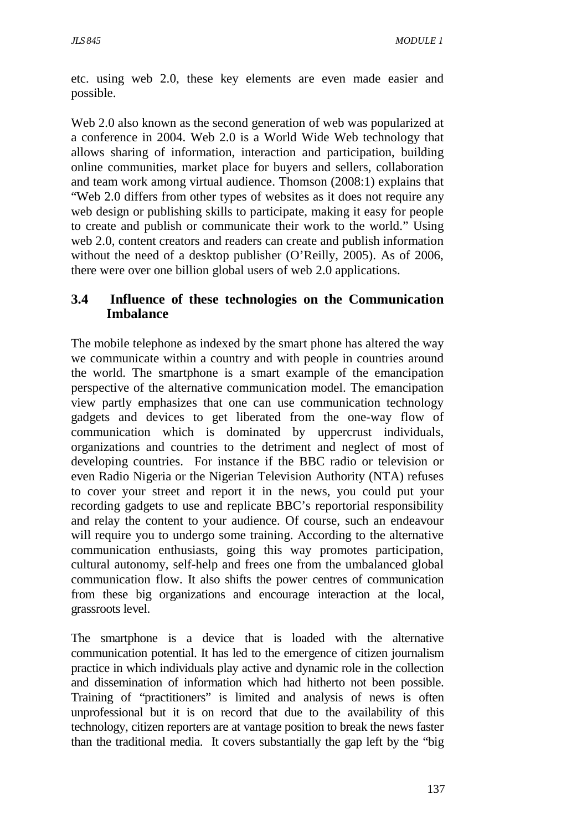etc. using web 2.0, these key elements are even made easier and possible.

Web 2.0 also known as the second generation of web was popularized at a conference in 2004. Web 2.0 is a World Wide Web technology that allows sharing of information, interaction and participation, building online communities, market place for buyers and sellers, collaboration and team work among virtual audience. Thomson (2008:1) explains that "Web 2.0 differs from other types of websites as it does not require any web design or publishing skills to participate, making it easy for people to create and publish or communicate their work to the world." Using web 2.0, content creators and readers can create and publish information without the need of a desktop publisher (O'Reilly, 2005). As of 2006, there were over one billion global users of web 2.0 applications.

### **3.4 Influence of these technologies on the Communication Imbalance**

The mobile telephone as indexed by the smart phone has altered the way we communicate within a country and with people in countries around the world. The smartphone is a smart example of the emancipation perspective of the alternative communication model. The emancipation view partly emphasizes that one can use communication technology gadgets and devices to get liberated from the one-way flow of communication which is dominated by uppercrust individuals, organizations and countries to the detriment and neglect of most of developing countries. For instance if the BBC radio or television or even Radio Nigeria or the Nigerian Television Authority (NTA) refuses to cover your street and report it in the news, you could put your recording gadgets to use and replicate BBC's reportorial responsibility and relay the content to your audience. Of course, such an endeavour will require you to undergo some training. According to the alternative communication enthusiasts, going this way promotes participation, cultural autonomy, self-help and frees one from the umbalanced global communication flow. It also shifts the power centres of communication from these big organizations and encourage interaction at the local, grassroots level.

The smartphone is a device that is loaded with the alternative communication potential. It has led to the emergence of citizen journalism practice in which individuals play active and dynamic role in the collection and dissemination of information which had hitherto not been possible. Training of "practitioners" is limited and analysis of news is often unprofessional but it is on record that due to the availability of this technology, citizen reporters are at vantage position to break the news faster than the traditional media. It covers substantially the gap left by the "big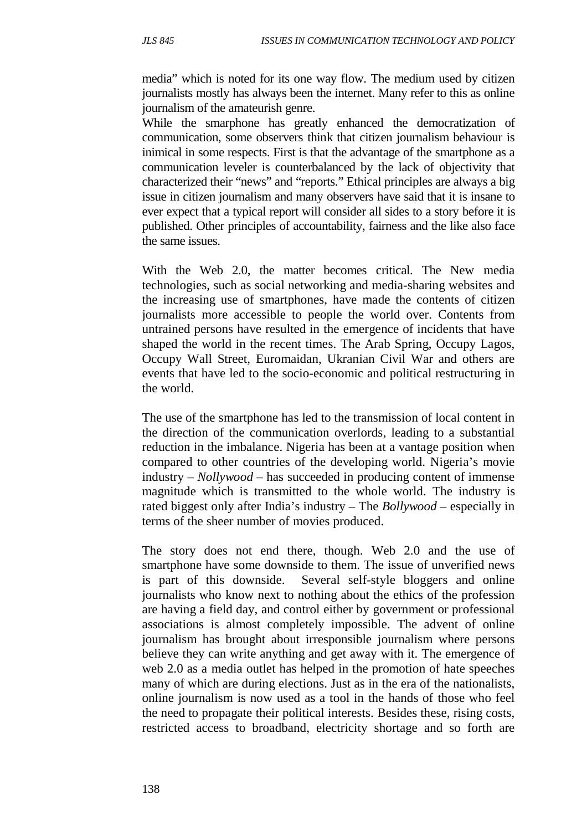media" which is noted for its one way flow. The medium used by citizen journalists mostly has always been the internet. Many refer to this as online journalism of the amateurish genre.

While the smarphone has greatly enhanced the democratization of communication, some observers think that citizen journalism behaviour is inimical in some respects. First is that the advantage of the smartphone as a communication leveler is counterbalanced by the lack of objectivity that characterized their "news" and "reports." Ethical principles are always a big issue in citizen journalism and many observers have said that it is insane to ever expect that a typical report will consider all sides to a story before it is published. Other principles of accountability, fairness and the like also face the same issues.

With the Web 2.0, the matter becomes critical. The New media technologies, such as social networking and media-sharing websites and the increasing use of smartphones, have made the contents of citizen journalists more accessible to people the world over. Contents from untrained persons have resulted in the emergence of incidents that have shaped the world in the recent times. The Arab Spring, Occupy Lagos, Occupy Wall Street, Euromaidan, Ukranian Civil War and others are events that have led to the socio-economic and political restructuring in the world.

The use of the smartphone has led to the transmission of local content in the direction of the communication overlords, leading to a substantial reduction in the imbalance. Nigeria has been at a vantage position when compared to other countries of the developing world. Nigeria's movie industry – *Nollywood* – has succeeded in producing content of immense magnitude which is transmitted to the whole world. The industry is rated biggest only after India's industry – The *Bollywood* – especially in terms of the sheer number of movies produced.

The story does not end there, though. Web 2.0 and the use of smartphone have some downside to them. The issue of unverified news is part of this downside. Several self-style bloggers and online journalists who know next to nothing about the ethics of the profession are having a field day, and control either by government or professional associations is almost completely impossible. The advent of online journalism has brought about irresponsible journalism where persons believe they can write anything and get away with it. The emergence of web 2.0 as a media outlet has helped in the promotion of hate speeches many of which are during elections. Just as in the era of the nationalists, online journalism is now used as a tool in the hands of those who feel the need to propagate their political interests. Besides these, rising costs, restricted access to broadband, electricity shortage and so forth are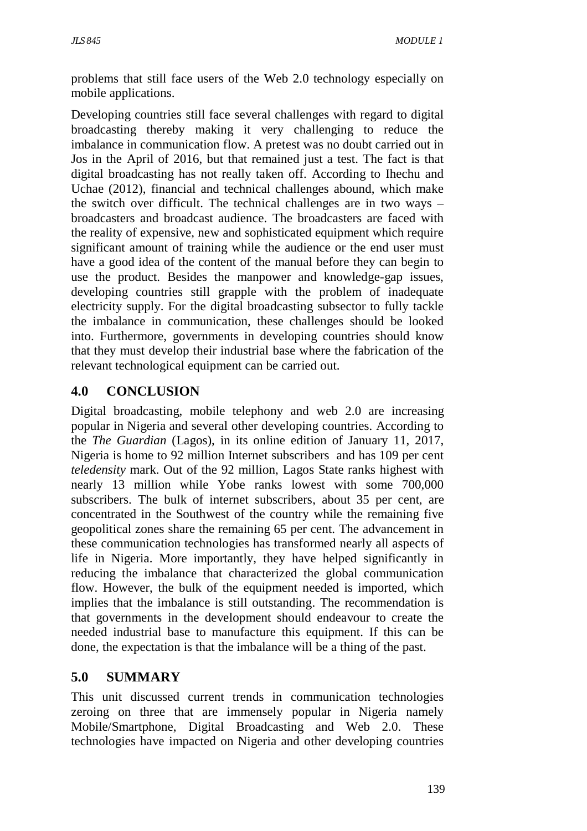problems that still face users of the Web 2.0 technology especially on mobile applications.

Developing countries still face several challenges with regard to digital broadcasting thereby making it very challenging to reduce the imbalance in communication flow. A pretest was no doubt carried out in Jos in the April of 2016, but that remained just a test. The fact is that digital broadcasting has not really taken off. According to Ihechu and Uchae (2012), financial and technical challenges abound, which make the switch over difficult. The technical challenges are in two ways – broadcasters and broadcast audience. The broadcasters are faced with the reality of expensive, new and sophisticated equipment which require significant amount of training while the audience or the end user must have a good idea of the content of the manual before they can begin to use the product. Besides the manpower and knowledge-gap issues, developing countries still grapple with the problem of inadequate electricity supply. For the digital broadcasting subsector to fully tackle the imbalance in communication, these challenges should be looked into. Furthermore, governments in developing countries should know that they must develop their industrial base where the fabrication of the relevant technological equipment can be carried out.

# **4.0 CONCLUSION**

Digital broadcasting, mobile telephony and web 2.0 are increasing popular in Nigeria and several other developing countries. According to the *The Guardian* (Lagos), in its online edition of January 11, 2017, Nigeria is home to 92 million Internet subscribers and has 109 per cent *teledensity* mark. Out of the 92 million, Lagos State ranks highest with nearly 13 million while Yobe ranks lowest with some 700,000 subscribers. The bulk of internet subscribers, about 35 per cent, are concentrated in the Southwest of the country while the remaining five geopolitical zones share the remaining 65 per cent. The advancement in these communication technologies has transformed nearly all aspects of life in Nigeria. More importantly, they have helped significantly in reducing the imbalance that characterized the global communication flow. However, the bulk of the equipment needed is imported, which implies that the imbalance is still outstanding. The recommendation is that governments in the development should endeavour to create the needed industrial base to manufacture this equipment. If this can be done, the expectation is that the imbalance will be a thing of the past.

### **5.0 SUMMARY**

This unit discussed current trends in communication technologies zeroing on three that are immensely popular in Nigeria namely Mobile/Smartphone, Digital Broadcasting and Web 2.0. These technologies have impacted on Nigeria and other developing countries